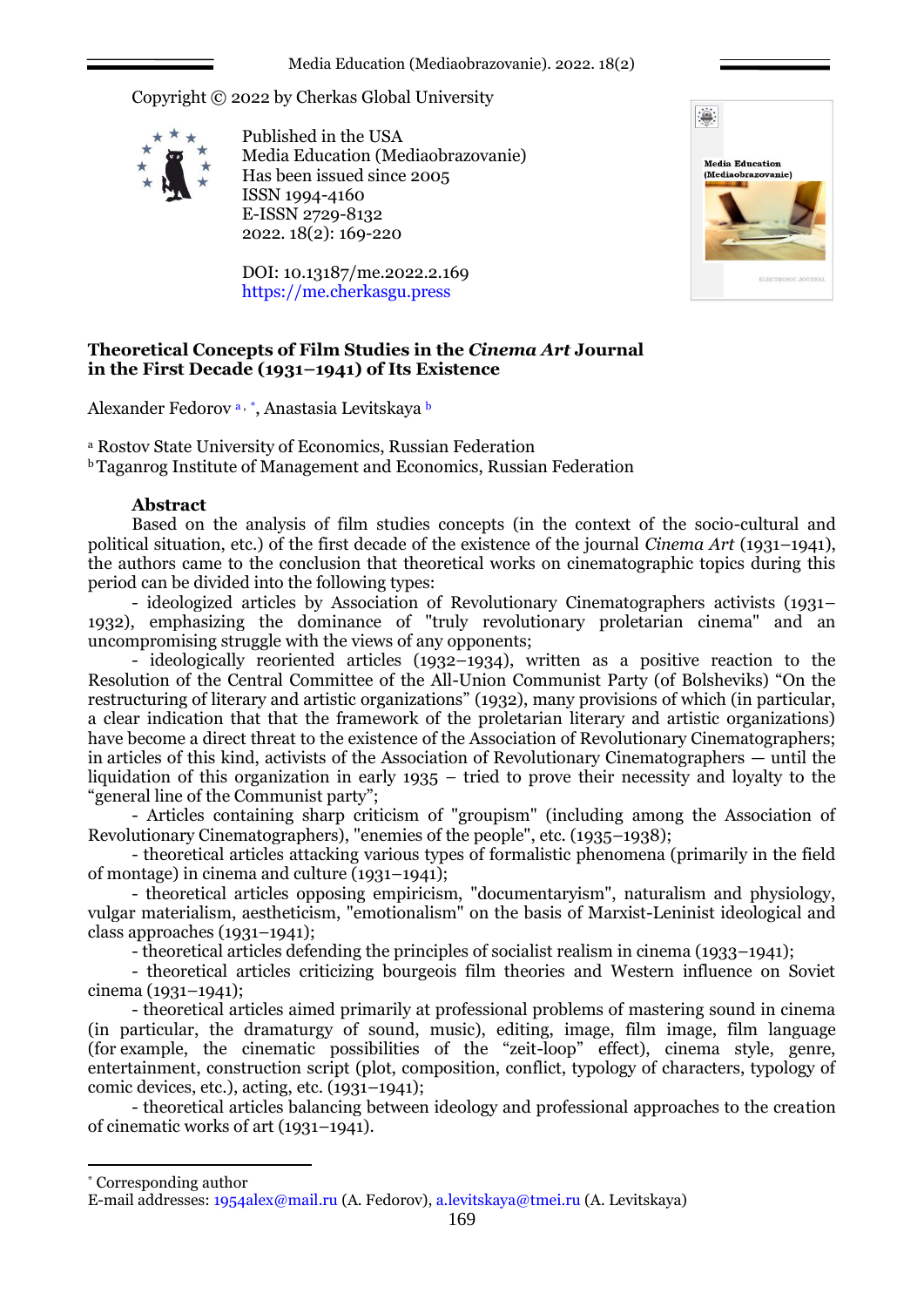Copyright © 2022 by Cherkas Global University



Published in the USA Media Education (Mediaobrazovanie) Has been issued since 2005 ISSN 1994-4160 E-ISSN 2729-8132 2022. 18(2): 169-220

DOI: 10.13187/me.2022.2.169 https://me.cherkasgu.press



# **Theoretical Concepts of Film Studies in the** *Cinema Art* **Journal in the First Decade (1931–1941) of Its Existence**

Alexander Fedorov a, \*, Anastasia Levitskaya b

<sup>а</sup> Rostov State University of Economics, Russian Federation

<sup>b</sup>Taganrog Institute of Management and Economics, Russian Federation

## **Abstract**

Based on the analysis of film studies concepts (in the context of the socio-cultural and political situation, etc.) of the first decade of the existence of the journal *Cinema Art* (1931–1941), the authors came to the conclusion that theoretical works on cinematographic topics during this period can be divided into the following types:

- ideologized articles by Association of Revolutionary Cinematographers activists (1931– 1932), emphasizing the dominance of "truly revolutionary proletarian cinema" and an uncompromising struggle with the views of any opponents;

- ideologically reoriented articles (1932–1934), written as a positive reaction to the Resolution of the Central Committee of the All-Union Communist Party (of Bolsheviks) "On the restructuring of literary and artistic organizations" (1932), many provisions of which (in particular, a clear indication that that the framework of the proletarian literary and artistic organizations) have become a direct threat to the existence of the Association of Revolutionary Cinematographers; in articles of this kind, activists of the Association of Revolutionary Cinematographers — until the liquidation of this organization in early 1935 – tried to prove their necessity and loyalty to the "general line of the Communist party";

- Articles containing sharp criticism of "groupism" (including among the Association of Revolutionary Cinematographers), "enemies of the people", etc. (1935–1938);

- theoretical articles attacking various types of formalistic phenomena (primarily in the field of montage) in cinema and culture  $(1931-1941)$ ;

- theoretical articles opposing empiricism, "documentaryism", naturalism and physiology, vulgar materialism, aestheticism, "emotionalism" on the basis of Marxist-Leninist ideological and class approaches (1931–1941);

- theoretical articles defending the principles of socialist realism in cinema (1933–1941);

- theoretical articles criticizing bourgeois film theories and Western influence on Soviet cinema (1931–1941);

- theoretical articles aimed primarily at professional problems of mastering sound in cinema (in particular, the dramaturgy of sound, music), editing, image, film image, film language (for example, the cinematic possibilities of the "zeit-loop" effect), cinema style, genre, entertainment, construction script (plot, composition, conflict, typology of characters, typology of comic devices, etc.), acting, etc. (1931–1941);

- theoretical articles balancing between ideology and professional approaches to the creation of cinematic works of art (1931–1941).

1

<sup>\*</sup> Corresponding author

E-mail addresses: [1954alex@mail.ru](mailto:1954alex@mail.ru) (A. Fedorov), [a.levitskaya@tmei.ru](mailto:a.levitskaya@tmei.ru) (A. Levitskaya)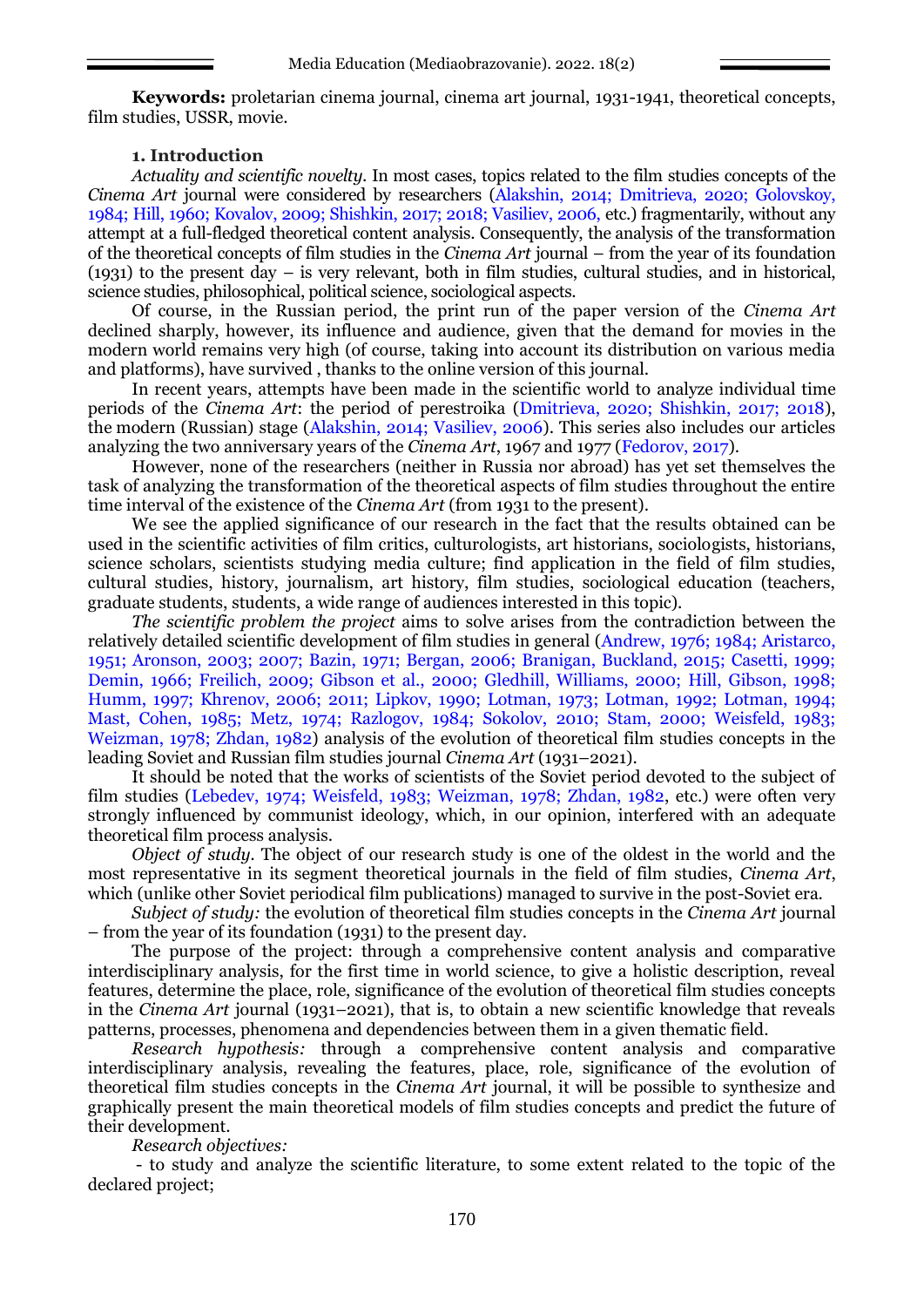**Keywords:** proletarian cinema journal, cinema art journal, 1931-1941, theoretical concepts, film studies, USSR, movie.

## **1. Introduction**

*Actuality and scientific novelty*. In most cases, topics related to the film studies concepts of the *Cinema Art* journal were considered by researchers (Alakshin, 2014; Dmitrieva, 2020; Golovskoy, 1984; Hill, 1960; Kovalov, 2009; Shishkin, 2017; 2018; Vasiliev, 2006, etc.) fragmentarily, without any attempt at a full-fledged theoretical content analysis. Consequently, the analysis of the transformation of the theoretical concepts of film studies in the *Cinema Art* journal – from the year of its foundation (1931) to the present day – is very relevant, both in film studies, cultural studies, and in historical, science studies, philosophical, political science, sociological aspects.

Of course, in the Russian period, the print run of the paper version of the *Cinema Art*  declined sharply, however, its influence and audience, given that the demand for movies in the modern world remains very high (of course, taking into account its distribution on various media and platforms), have survived , thanks to the online version of this journal.

In recent years, attempts have been made in the scientific world to analyze individual time periods of the *Cinema Art*: the period of perestroika (Dmitrieva, 2020; Shishkin, 2017; 2018), the modern (Russian) stage (Alakshin, 2014; Vasiliev, 2006). This series also includes our articles analyzing the two anniversary years of the *Cinema Art*, 1967 and 1977 (Fedorov, 2017).

However, none of the researchers (neither in Russia nor abroad) has yet set themselves the task of analyzing the transformation of the theoretical aspects of film studies throughout the entire time interval of the existence of the *Cinema Art* (from 1931 to the present).

We see the applied significance of our research in the fact that the results obtained can be used in the scientific activities of film critics, culturologists, art historians, sociologists, historians, science scholars, scientists studying media culture; find application in the field of film studies, cultural studies, history, journalism, art history, film studies, sociological education (teachers, graduate students, students, a wide range of audiences interested in this topic).

*The scientific problem the project* aims to solve arises from the contradiction between the relatively detailed scientific development of film studies in general (Andrew, 1976; 1984; Aristarco, 1951; Aronson, 2003; 2007; Bazin, 1971; Bergan, 2006; Branigan, Buckland, 2015; Casetti, 1999; Demin, 1966; Freilich, 2009; Gibson et al., 2000; Gledhill, Williams, 2000; Hill, Gibson, 1998; Humm, 1997; Khrenov, 2006; 2011; Lipkov, 1990; Lotman, 1973; Lotman, 1992; Lotman, 1994; Mast, Cohen, 1985; Metz, 1974; Razlogov, 1984; Sokolov, 2010; Stam, 2000; Weisfeld, 1983; Weizman, 1978; Zhdan, 1982) analysis of the evolution of theoretical film studies concepts in the leading Soviet and Russian film studies journal *Cinema Art* (1931–2021).

It should be noted that the works of scientists of the Soviet period devoted to the subject of film studies (Lebedev, 1974; Weisfeld, 1983; Weizman, 1978; Zhdan, 1982, etc.) were often very strongly influenced by communist ideology, which, in our opinion, interfered with an adequate theoretical film process analysis.

*Object of study.* The object of our research study is one of the oldest in the world and the most representative in its segment theoretical journals in the field of film studies, *Cinema Art*, which (unlike other Soviet periodical film publications) managed to survive in the post-Soviet era.

*Subject of study:* the evolution of theoretical film studies concepts in the *Cinema Art* journal – from the year of its foundation (1931) to the present day.

The purpose of the project: through a comprehensive content analysis and comparative interdisciplinary analysis, for the first time in world science, to give a holistic description, reveal features, determine the place, role, significance of the evolution of theoretical film studies concepts in the *Cinema Art* journal (1931–2021), that is, to obtain a new scientific knowledge that reveals patterns, processes, phenomena and dependencies between them in a given thematic field.

*Research hypothesis:* through a comprehensive content analysis and comparative interdisciplinary analysis, revealing the features, place, role, significance of the evolution of theoretical film studies concepts in the *Cinema Art* journal, it will be possible to synthesize and graphically present the main theoretical models of film studies concepts and predict the future of their development.

*Research objectives:*

- to study and analyze the scientific literature, to some extent related to the topic of the declared project;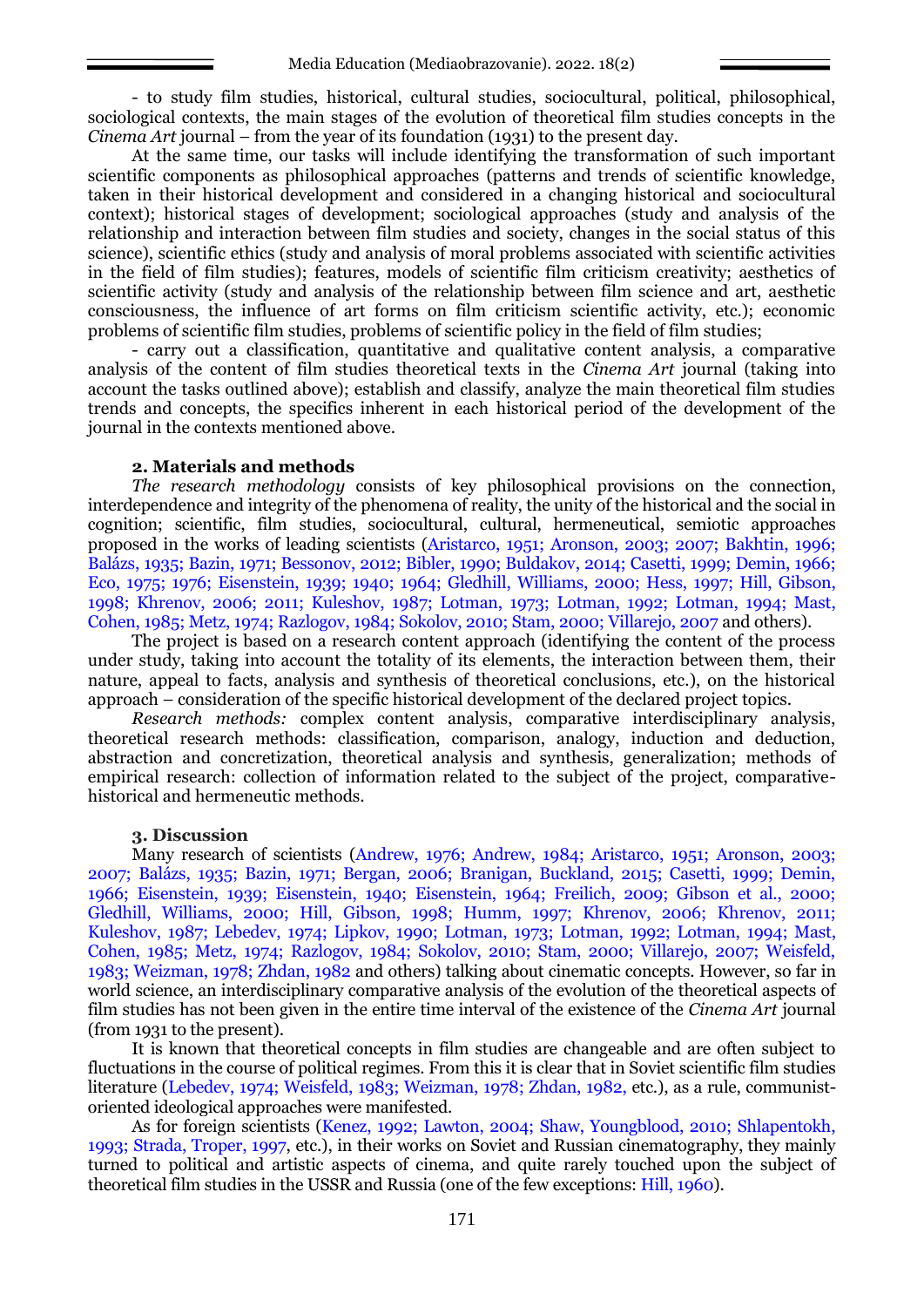- to study film studies, historical, cultural studies, sociocultural, political, philosophical, sociological contexts, the main stages of the evolution of theoretical film studies concepts in the *Cinema Art* journal – from the year of its foundation (1931) to the present day.

At the same time, our tasks will include identifying the transformation of such important scientific components as philosophical approaches (patterns and trends of scientific knowledge, taken in their historical development and considered in a changing historical and sociocultural context); historical stages of development; sociological approaches (study and analysis of the relationship and interaction between film studies and society, changes in the social status of this science), scientific ethics (study and analysis of moral problems associated with scientific activities in the field of film studies); features, models of scientific film criticism creativity; aesthetics of scientific activity (study and analysis of the relationship between film science and art, aesthetic consciousness, the influence of art forms on film criticism scientific activity, etc.); economic problems of scientific film studies, problems of scientific policy in the field of film studies;

- carry out a classification, quantitative and qualitative content analysis, a comparative analysis of the content of film studies theoretical texts in the *Cinema Art* journal (taking into account the tasks outlined above); establish and classify, analyze the main theoretical film studies trends and concepts, the specifics inherent in each historical period of the development of the journal in the contexts mentioned above.

#### **2. Materials and methods**

*The research methodology* consists of key philosophical provisions on the connection, interdependence and integrity of the phenomena of reality, the unity of the historical and the social in cognition; scientific, film studies, sociocultural, cultural, hermeneutical, semiotic approaches proposed in the works of leading scientists (Aristarco, 1951; Aronson, 2003; 2007; Bakhtin, 1996; Balázs, 1935; Bazin, 1971; Bessonov, 2012; Bibler, 1990; Buldakov, 2014; Casetti, 1999; Demin, 1966; Eco, 1975; 1976; Eisenstein, 1939; 1940; 1964; Gledhill, Williams, 2000; Hess, 1997; Hill, Gibson, 1998; Khrenov, 2006; 2011; Kuleshov, 1987; Lotman, 1973; Lotman, 1992; Lotman, 1994; Mast, Cohen, 1985; Metz, 1974; Razlogov, 1984; Sokolov, 2010; Stam, 2000; Villarejo, 2007 and others).

The project is based on a research content approach (identifying the content of the process under study, taking into account the totality of its elements, the interaction between them, their nature, appeal to facts, analysis and synthesis of theoretical conclusions, etc.), on the historical approach – consideration of the specific historical development of the declared project topics.

*Research methods:* complex content analysis, comparative interdisciplinary analysis, theoretical research methods: classification, comparison, analogy, induction and deduction, abstraction and concretization, theoretical analysis and synthesis, generalization; methods of empirical research: collection of information related to the subject of the project, comparativehistorical and hermeneutic methods.

#### **3. Discussion**

Many research of scientists (Andrew, 1976; Andrew, 1984; Aristarco, 1951; Aronson, 2003; 2007; Balázs, 1935; Bazin, 1971; Bergan, 2006; Branigan, Buckland, 2015; Casetti, 1999; Demin, 1966; Eisenstein, 1939; Eisenstein, 1940; Eisenstein, 1964; Freilich, 2009; Gibson et al., 2000; Gledhill, Williams, 2000; Hill, Gibson, 1998; Humm, 1997; Khrenov, 2006; Khrenov, 2011; Kuleshov, 1987; Lebedev, 1974; Lipkov, 1990; Lotman, 1973; Lotman, 1992; Lotman, 1994; Mast, Cohen, 1985; Metz, 1974; Razlogov, 1984; Sokolov, 2010; Stam, 2000; Villarejo, 2007; Weisfeld, 1983; Weizman, 1978; Zhdan, 1982 and others) talking about cinematic concepts. However, so far in world science, an interdisciplinary comparative analysis of the evolution of the theoretical aspects of film studies has not been given in the entire time interval of the existence of the *Cinema Art* journal (from 1931 to the present).

It is known that theoretical concepts in film studies are changeable and are often subject to fluctuations in the course of political regimes. From this it is clear that in Soviet scientific film studies literature (Lebedev, 1974; Weisfeld, 1983; Weizman, 1978; Zhdan, 1982, etc.), as a rule, communistoriented ideological approaches were manifested.

As for foreign scientists (Kenez, 1992; Lawton, 2004; Shaw, Youngblood, 2010; Shlapentokh, 1993; Strada, Troper, 1997, etc.), in their works on Soviet and Russian cinematography, they mainly turned to political and artistic aspects of cinema, and quite rarely touched upon the subject of theoretical film studies in the USSR and Russia (one of the few exceptions: Hill, 1960).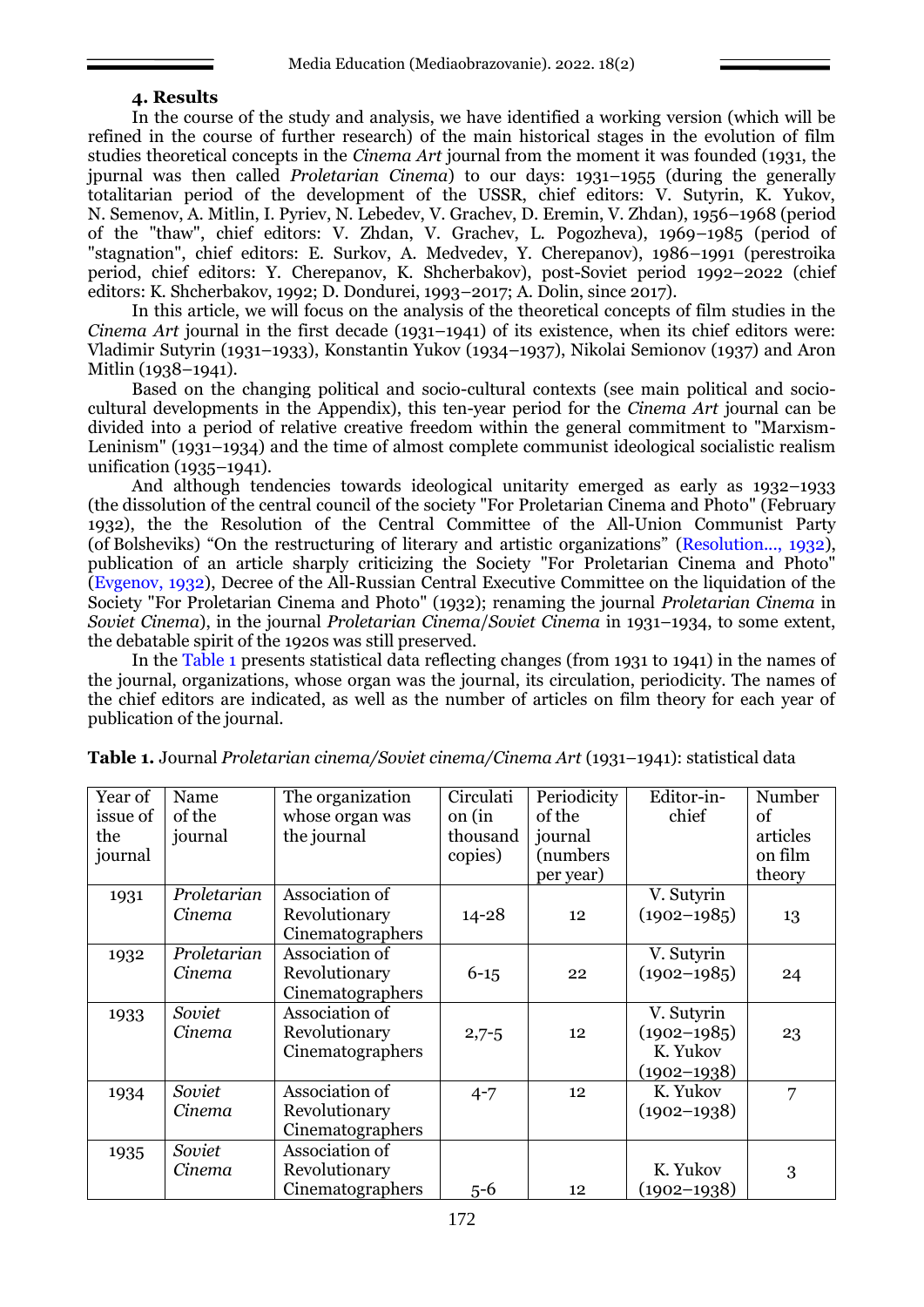## **4. Results**

In the course of the study and analysis, we have identified a working version (which will be refined in the course of further research) of the main historical stages in the evolution of film studies theoretical concepts in the *Cinema Art* journal from the moment it was founded (1931, the jpurnal was then called *Proletarian Cinema*) to our days: 1931–1955 (during the generally totalitarian period of the development of the USSR, chief editors: V. Sutyrin, K. Yukov, N. Semenov, A. Mitlin, I. Pyriev, N. Lebedev, V. Grachev, D. Eremin, V. Zhdan), 1956–1968 (period of the "thaw", chief editors: V. Zhdan, V. Grachev, L. Pogozheva), 1969–1985 (period of "stagnation", chief editors: E. Surkov, A. Medvedev, Y. Cherepanov), 1986–1991 (perestroika period, chief editors: Y. Cherepanov, K. Shcherbakov), post-Soviet period 1992–2022 (chief editors: K. Shcherbakov, 1992; D. Dondurei, 1993–2017; A. Dolin, since 2017).

In this article, we will focus on the analysis of the theoretical concepts of film studies in the *Cinema Art* journal in the first decade (1931–1941) of its existence, when its chief editors were: Vladimir Sutyrin (1931–1933), Konstantin Yukov (1934–1937), Nikolai Semionov (1937) and Aron Mitlin (1938–1941).

Based on the changing political and socio-cultural contexts (see main political and sociocultural developments in the Appendix), this ten-year period for the *Cinema Art* journal can be divided into a period of relative creative freedom within the general commitment to "Marxism-Leninism" (1931–1934) and the time of almost complete communist ideological socialistic realism unification (1935–1941).

And although tendencies towards ideological unitarity emerged as early as 1932–1933 (the dissolution of the central council of the society "For Proletarian Cinema and Photo" (February 1932), the the Resolution of the Central Committee of the All-Union Communist Party (of Bolsheviks) "On the restructuring of literary and artistic organizations" (Resolution..., 1932), publication of an article sharply criticizing the Society "For Proletarian Cinema and Photo" (Evgenov, 1932), Decree of the All-Russian Central Executive Committee on the liquidation of the Society "For Proletarian Cinema and Photo" (1932); renaming the journal *Proletarian Cinema* in *Soviet Cinema*), in the journal *Proletarian Cinema*/*Soviet Cinema* in 1931–1934, to some extent, the debatable spirit of the 1920s was still preserved.

In the Table 1 presents statistical data reflecting changes (from 1931 to 1941) in the names of the journal, organizations, whose organ was the journal, its circulation, periodicity. The names of the chief editors are indicated, as well as the number of articles on film theory for each year of publication of the journal.

| Year of<br>issue of<br>the<br>journal | Name<br>of the<br>journal | The organization<br>whose organ was<br>the journal  | Circulati<br>on (in<br>thousand<br>copies) | Periodicity<br>of the<br>journal<br>(numbers)<br>per year) | Editor-in-<br>chief                                          | Number<br>of<br>articles<br>on film<br>theory |
|---------------------------------------|---------------------------|-----------------------------------------------------|--------------------------------------------|------------------------------------------------------------|--------------------------------------------------------------|-----------------------------------------------|
| 1931                                  | Proletarian<br>Cinema     | Association of<br>Revolutionary<br>Cinematographers | $14 - 28$                                  | 12                                                         | V. Sutyrin<br>$(1902 - 1985)$                                | 13                                            |
| 1932                                  | Proletarian<br>Cinema     | Association of<br>Revolutionary<br>Cinematographers | $6 - 15$                                   | 22                                                         | V. Sutyrin<br>$(1902 - 1985)$                                | 24                                            |
| 1933                                  | Soviet<br>Cinema          | Association of<br>Revolutionary<br>Cinematographers | $2,7-5$                                    | 12                                                         | V. Sutyrin<br>$(1902 - 1985)$<br>K. Yukov<br>$(1902 - 1938)$ | 23                                            |
| 1934                                  | Soviet<br>Cinema          | Association of<br>Revolutionary<br>Cinematographers | $4 - 7$                                    | 12                                                         | K. Yukov<br>$(1902 - 1938)$                                  | 7                                             |
| 1935                                  | Soviet<br>Cinema          | Association of<br>Revolutionary<br>Cinematographers | $5 - 6$                                    | 12                                                         | K. Yukov<br>$(1902 - 1938)$                                  | 3                                             |

**Table 1.** Journal *Proletarian cinema/Soviet cinema/Cinema Art* (1931–1941): statistical data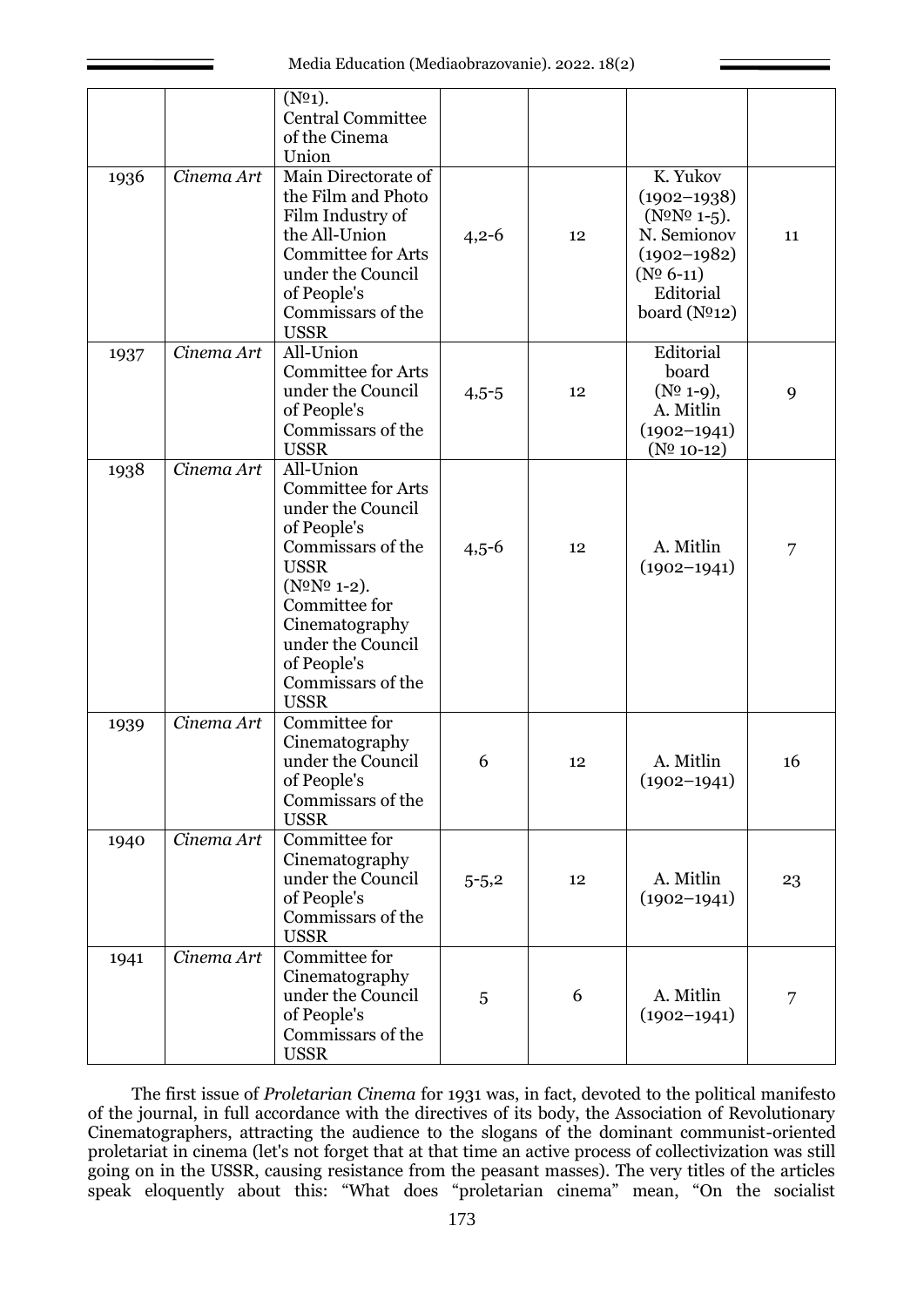|      |            | (N <sup>0</sup> 1).<br><b>Central Committee</b><br>of the Cinema<br>Union                                                                                                                                                                                  |           |    |                                                                                                                                               |    |
|------|------------|------------------------------------------------------------------------------------------------------------------------------------------------------------------------------------------------------------------------------------------------------------|-----------|----|-----------------------------------------------------------------------------------------------------------------------------------------------|----|
| 1936 | Cinema Art | Main Directorate of<br>the Film and Photo<br>Film Industry of<br>the All-Union<br><b>Committee for Arts</b><br>under the Council<br>of People's<br>Commissars of the<br><b>USSR</b>                                                                        | $4,2-6$   | 12 | K. Yukov<br>$(1902 - 1938)$<br>$(N^{\circ}N^{\circ}1^{-5})$ .<br>N. Semionov<br>$(1902 - 1982)$<br>$(N0 6-11)$<br>Editorial<br>board $(N012)$ | 11 |
| 1937 | Cinema Art | All-Union<br><b>Committee for Arts</b><br>under the Council<br>of People's<br>Commissars of the<br><b>USSR</b>                                                                                                                                             | $4,5-5$   | 12 | Editorial<br>board<br>$(N^{\Omega} 1-9),$<br>A. Mitlin<br>$(1902 - 1941)$<br>$(N^0 10-12)$                                                    | 9  |
| 1938 | Cinema Art | All-Union<br><b>Committee for Arts</b><br>under the Council<br>of People's<br>Commissars of the<br><b>USSR</b><br>$(N^{\Omega}N^{\Omega} 1-2).$<br>Committee for<br>Cinematography<br>under the Council<br>of People's<br>Commissars of the<br><b>USSR</b> | $4,5-6$   | 12 | A. Mitlin<br>$(1902 - 1941)$                                                                                                                  | 7  |
| 1939 | Cinema Art | Committee for<br>Cinematography<br>under the Council<br>of People's<br>Commissars of the<br><b>USSR</b>                                                                                                                                                    | 6         | 12 | A. Mitlin<br>$(1902 - 1941)$                                                                                                                  | 16 |
| 1940 | Cinema Art | Committee for<br>Cinematography<br>under the Council<br>of People's<br>Commissars of the<br><b>USSR</b>                                                                                                                                                    | $5 - 5,2$ | 12 | A. Mitlin<br>$(1902 - 1941)$                                                                                                                  | 23 |
| 1941 | Cinema Art | Committee for<br>Cinematography<br>under the Council<br>of People's<br>Commissars of the<br><b>USSR</b>                                                                                                                                                    | 5         | 6  | A. Mitlin<br>$(1902 - 1941)$                                                                                                                  | 7  |

The first issue of *Proletarian Cinema* for 1931 was, in fact, devoted to the political manifesto of the journal, in full accordance with the directives of its body, the Association of Revolutionary Cinematographers, attracting the audience to the slogans of the dominant communist-oriented proletariat in cinema (let's not forget that at that time an active process of collectivization was still going on in the USSR, causing resistance from the peasant masses). The very titles of the articles speak eloquently about this: "What does "proletarian cinema" mean, "On the socialist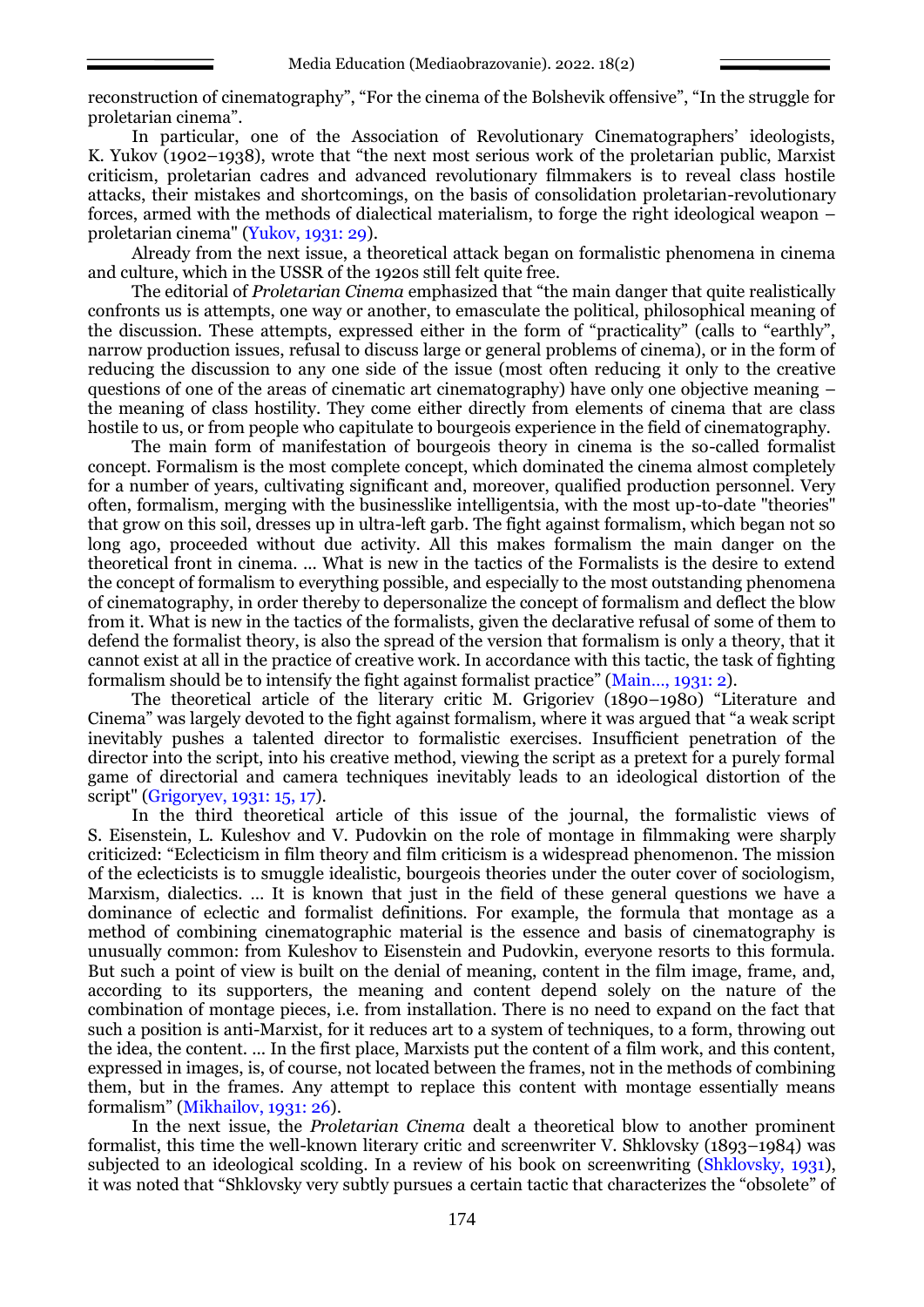reconstruction of cinematography", "For the cinema of the Bolshevik offensive", "In the struggle for proletarian cinema".

In particular, one of the Association of Revolutionary Cinematographers' ideologists, K. Yukov (1902–1938), wrote that "the next most serious work of the proletarian public, Marxist criticism, proletarian cadres and advanced revolutionary filmmakers is to reveal class hostile attacks, their mistakes and shortcomings, on the basis of consolidation proletarian-revolutionary forces, armed with the methods of dialectical materialism, to forge the right ideological weapon – proletarian cinema" (Yukov, 1931: 29).

Already from the next issue, a theoretical attack began on formalistic phenomena in cinema and culture, which in the USSR of the 1920s still felt quite free.

The editorial of *Proletarian Cinema* emphasized that "the main danger that quite realistically confronts us is attempts, one way or another, to emasculate the political, philosophical meaning of the discussion. These attempts, expressed either in the form of "practicality" (calls to "earthly", narrow production issues, refusal to discuss large or general problems of cinema), or in the form of reducing the discussion to any one side of the issue (most often reducing it only to the creative questions of one of the areas of cinematic art cinematography) have only one objective meaning – the meaning of class hostility. They come either directly from elements of cinema that are class hostile to us, or from people who capitulate to bourgeois experience in the field of cinematography.

The main form of manifestation of bourgeois theory in cinema is the so-called formalist concept. Formalism is the most complete concept, which dominated the cinema almost completely for a number of years, cultivating significant and, moreover, qualified production personnel. Very often, formalism, merging with the businesslike intelligentsia, with the most up-to-date "theories" that grow on this soil, dresses up in ultra-left garb. The fight against formalism, which began not so long ago, proceeded without due activity. All this makes formalism the main danger on the theoretical front in cinema. ... What is new in the tactics of the Formalists is the desire to extend the concept of formalism to everything possible, and especially to the most outstanding phenomena of cinematography, in order thereby to depersonalize the concept of formalism and deflect the blow from it. What is new in the tactics of the formalists, given the declarative refusal of some of them to defend the formalist theory, is also the spread of the version that formalism is only a theory, that it cannot exist at all in the practice of creative work. In accordance with this tactic, the task of fighting formalism should be to intensify the fight against formalist practice" (Main…, 1931: 2).

The theoretical article of the literary critic M. Grigoriev (1890–1980) "Literature and Cinema" was largely devoted to the fight against formalism, where it was argued that "a weak script inevitably pushes a talented director to formalistic exercises. Insufficient penetration of the director into the script, into his creative method, viewing the script as a pretext for a purely formal game of directorial and camera techniques inevitably leads to an ideological distortion of the script" (Grigoryev, 1931: 15, 17).

In the third theoretical article of this issue of the journal, the formalistic views of S. Eisenstein, L. Kuleshov and V. Pudovkin on the role of montage in filmmaking were sharply criticized: "Eclecticism in film theory and film criticism is a widespread phenomenon. The mission of the eclecticists is to smuggle idealistic, bourgeois theories under the outer cover of sociologism, Marxism, dialectics. … It is known that just in the field of these general questions we have a dominance of eclectic and formalist definitions. For example, the formula that montage as a method of combining cinematographic material is the essence and basis of cinematography is unusually common: from Kuleshov to Eisenstein and Pudovkin, everyone resorts to this formula. But such a point of view is built on the denial of meaning, content in the film image, frame, and, according to its supporters, the meaning and content depend solely on the nature of the combination of montage pieces, i.e. from installation. There is no need to expand on the fact that such a position is anti-Marxist, for it reduces art to a system of techniques, to a form, throwing out the idea, the content. ... In the first place, Marxists put the content of a film work, and this content, expressed in images, is, of course, not located between the frames, not in the methods of combining them, but in the frames. Any attempt to replace this content with montage essentially means formalism" (Mikhailov, 1931: 26).

In the next issue, the *Proletarian Cinema* dealt a theoretical blow to another prominent formalist, this time the well-known literary critic and screenwriter V. Shklovsky (1893–1984) was subjected to an ideological scolding. In a review of his book on screenwriting (Shklovsky, 1931), it was noted that "Shklovsky very subtly pursues a certain tactic that characterizes the "obsolete" of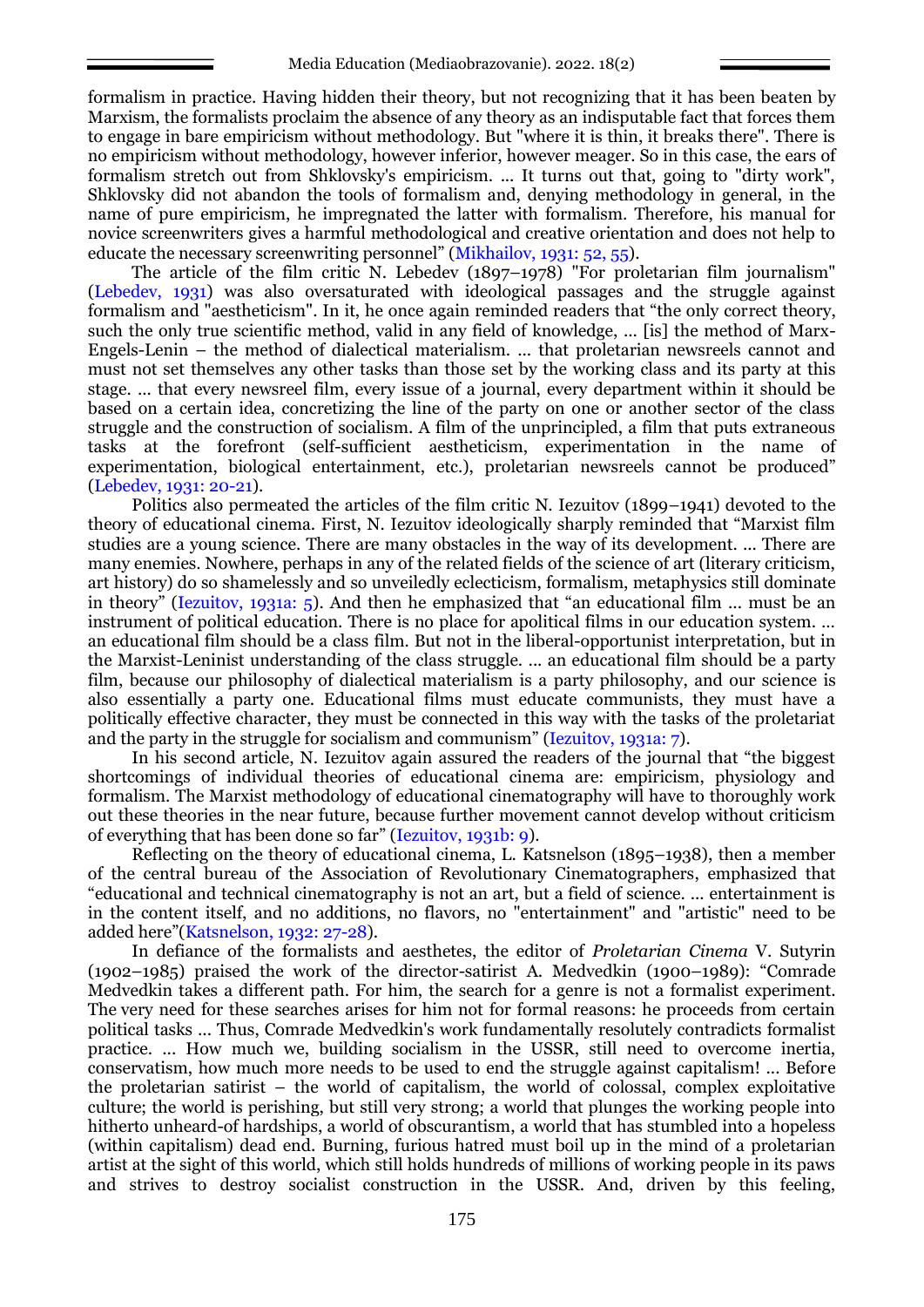formalism in practice. Having hidden their theory, but not recognizing that it has been beaten by Marxism, the formalists proclaim the absence of any theory as an indisputable fact that forces them to engage in bare empiricism without methodology. But "where it is thin, it breaks there". There is no empiricism without methodology, however inferior, however meager. So in this case, the ears of formalism stretch out from Shklovsky's empiricism. ... It turns out that, going to "dirty work", Shklovsky did not abandon the tools of formalism and, denying methodology in general, in the name of pure empiricism, he impregnated the latter with formalism. Therefore, his manual for novice screenwriters gives a harmful methodological and creative orientation and does not help to educate the necessary screenwriting personnel" (Mikhailov, 1931: 52, 55).

The article of the film critic N. Lebedev (1897–1978) "For proletarian film journalism" (Lebedev, 1931) was also oversaturated with ideological passages and the struggle against formalism and "aestheticism". In it, he once again reminded readers that "the only correct theory, such the only true scientific method, valid in any field of knowledge, ... [is] the method of Marx-Engels-Lenin – the method of dialectical materialism. ... that proletarian newsreels cannot and must not set themselves any other tasks than those set by the working class and its party at this stage. ... that every newsreel film, every issue of a journal, every department within it should be based on a certain idea, concretizing the line of the party on one or another sector of the class struggle and the construction of socialism. A film of the unprincipled, a film that puts extraneous tasks at the forefront (self-sufficient aestheticism, experimentation in the name of experimentation, biological entertainment, etc.), proletarian newsreels cannot be produced" (Lebedev, 1931: 20-21).

Politics also permeated the articles of the film critic N. Iezuitov (1899–1941) devoted to the theory of educational cinema. First, N. Iezuitov ideologically sharply reminded that "Marxist film studies are a young science. There are many obstacles in the way of its development. ... There are many enemies. Nowhere, perhaps in any of the related fields of the science of art (literary criticism, art history) do so shamelessly and so unveiledly eclecticism, formalism, metaphysics still dominate in theory" (Iezuitov, 1931a: 5). And then he emphasized that "an educational film ... must be an instrument of political education. There is no place for apolitical films in our education system. … an educational film should be a class film. But not in the liberal-opportunist interpretation, but in the Marxist-Leninist understanding of the class struggle. ... an educational film should be a party film, because our philosophy of dialectical materialism is a party philosophy, and our science is also essentially a party one. Educational films must educate communists, they must have a politically effective character, they must be connected in this way with the tasks of the proletariat and the party in the struggle for socialism and communism" (Iezuitov, 1931a: 7).

In his second article, N. Iezuitov again assured the readers of the journal that "the biggest shortcomings of individual theories of educational cinema are: empiricism, physiology and formalism. The Marxist methodology of educational cinematography will have to thoroughly work out these theories in the near future, because further movement cannot develop without criticism of everything that has been done so far" (Iezuitov, 1931b: 9).

Reflecting on the theory of educational cinema, L. Katsnelson (1895–1938), then a member of the central bureau of the Association of Revolutionary Cinematographers, emphasized that "educational and technical cinematography is not an art, but a field of science. ... entertainment is in the content itself, and no additions, no flavors, no "entertainment" and "artistic" need to be added here"(Katsnelson, 1932: 27-28).

In defiance of the formalists and aesthetes, the editor of *Proletarian Cinema* V. Sutyrin (1902–1985) praised the work of the director-satirist A. Medvedkin (1900–1989): "Comrade Medvedkin takes a different path. For him, the search for a genre is not a formalist experiment. The very need for these searches arises for him not for formal reasons: he proceeds from certain political tasks ... Thus, Comrade Medvedkin's work fundamentally resolutely contradicts formalist practice. ... How much we, building socialism in the USSR, still need to overcome inertia, conservatism, how much more needs to be used to end the struggle against capitalism! ... Before the proletarian satirist – the world of capitalism, the world of colossal, complex exploitative culture; the world is perishing, but still very strong; a world that plunges the working people into hitherto unheard-of hardships, a world of obscurantism, a world that has stumbled into a hopeless (within capitalism) dead end. Burning, furious hatred must boil up in the mind of a proletarian artist at the sight of this world, which still holds hundreds of millions of working people in its paws and strives to destroy socialist construction in the USSR. And, driven by this feeling,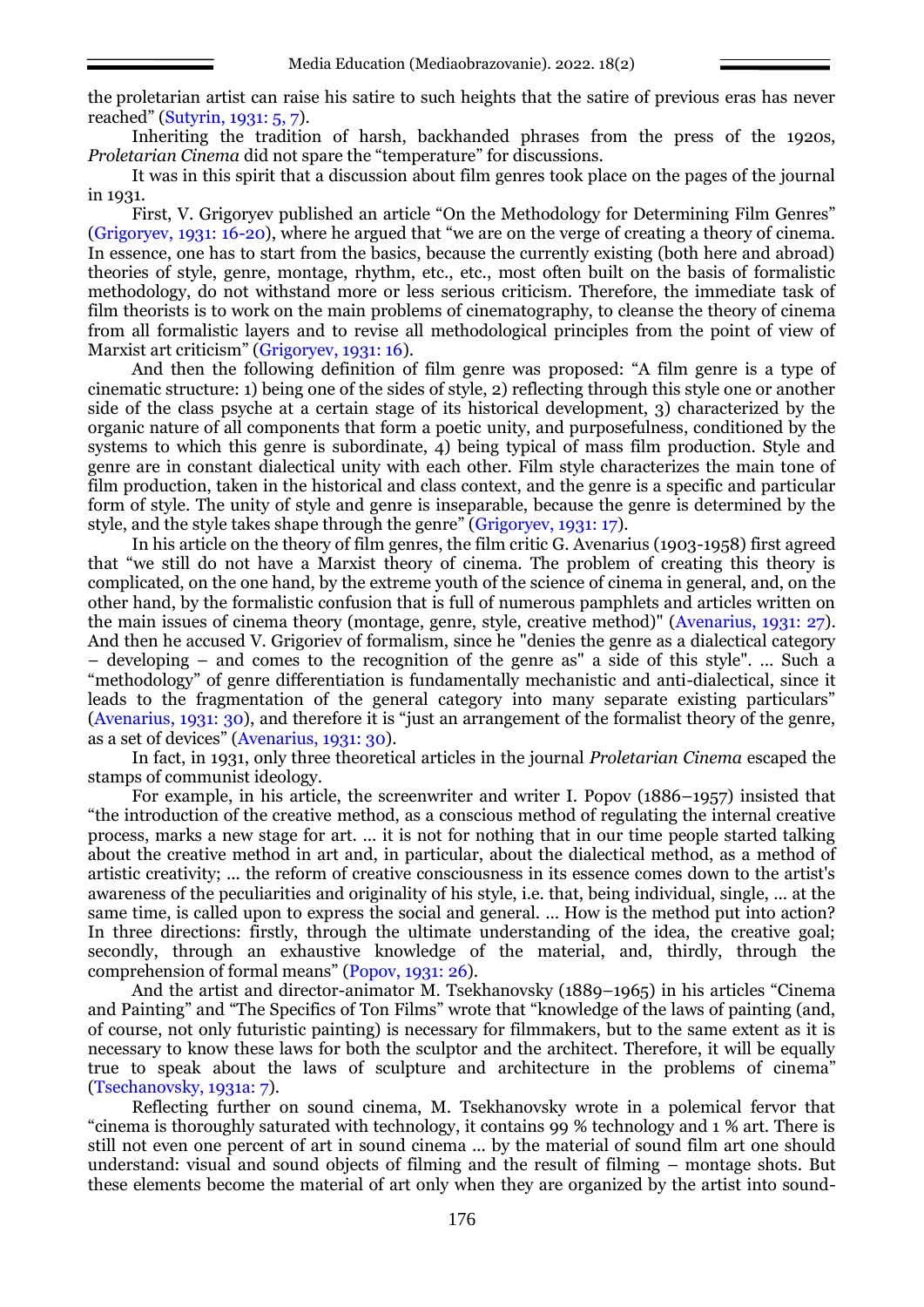the proletarian artist can raise his satire to such heights that the satire of previous eras has never reached" (Sutyrin, 1931: 5, 7).

Inheriting the tradition of harsh, backhanded phrases from the press of the 1920s, *Proletarian Cinema* did not spare the "temperature" for discussions.

It was in this spirit that a discussion about film genres took place on the pages of the journal in 1931.

First, V. Grigoryev published an article "On the Methodology for Determining Film Genres" (Grigoryev, 1931: 16-20), where he argued that "we are on the verge of creating a theory of cinema. In essence, one has to start from the basics, because the currently existing (both here and abroad) theories of style, genre, montage, rhythm, etc., etc., most often built on the basis of formalistic methodology, do not withstand more or less serious criticism. Therefore, the immediate task of film theorists is to work on the main problems of cinematography, to cleanse the theory of cinema from all formalistic layers and to revise all methodological principles from the point of view of Marxist art criticism" (Grigoryev, 1931: 16).

And then the following definition of film genre was proposed: "A film genre is a type of cinematic structure: 1) being one of the sides of style, 2) reflecting through this style one or another side of the class psyche at a certain stage of its historical development, 3) characterized by the organic nature of all components that form a poetic unity, and purposefulness, conditioned by the systems to which this genre is subordinate, 4) being typical of mass film production. Style and genre are in constant dialectical unity with each other. Film style characterizes the main tone of film production, taken in the historical and class context, and the genre is a specific and particular form of style. The unity of style and genre is inseparable, because the genre is determined by the style, and the style takes shape through the genre" (Grigoryev, 1931: 17).

In his article on the theory of film genres, the film critic G. Avenarius (1903-1958) first agreed that "we still do not have a Marxist theory of cinema. The problem of creating this theory is complicated, on the one hand, by the extreme youth of the science of cinema in general, and, on the other hand, by the formalistic confusion that is full of numerous pamphlets and articles written on the main issues of cinema theory (montage, genre, style, creative method)" (Avenarius, 1931: 27). And then he accused V. Grigoriev of formalism, since he "denies the genre as a dialectical category – developing – and comes to the recognition of the genre as" a side of this style". … Such a "methodology" of genre differentiation is fundamentally mechanistic and anti-dialectical, since it leads to the fragmentation of the general category into many separate existing particulars" (Avenarius, 1931: 30), and therefore it is "just an arrangement of the formalist theory of the genre, as a set of devices" (Avenarius, 1931: 30).

In fact, in 1931, only three theoretical articles in the journal *Proletarian Cinema* escaped the stamps of communist ideology.

For example, in his article, the screenwriter and writer I. Popov (1886–1957) insisted that "the introduction of the creative method, as a conscious method of regulating the internal creative process, marks a new stage for art. ... it is not for nothing that in our time people started talking about the creative method in art and, in particular, about the dialectical method, as a method of artistic creativity; ... the reform of creative consciousness in its essence comes down to the artist's awareness of the peculiarities and originality of his style, i.e. that, being individual, single, ... at the same time, is called upon to express the social and general. … How is the method put into action? In three directions: firstly, through the ultimate understanding of the idea, the creative goal; secondly, through an exhaustive knowledge of the material, and, thirdly, through the comprehension of formal means" (Popov, 1931: 26).

And the artist and director-animator M. Tsekhanovsky (1889–1965) in his articles "Cinema and Painting" and "The Specifics of Ton Films" wrote that "knowledge of the laws of painting (and, of course, not only futuristic painting) is necessary for filmmakers, but to the same extent as it is necessary to know these laws for both the sculptor and the architect. Therefore, it will be equally true to speak about the laws of sculpture and architecture in the problems of cinema" (Tsechanovsky, 1931a: 7).

Reflecting further on sound cinema, M. Tsekhanovsky wrote in a polemical fervor that "cinema is thoroughly saturated with technology, it contains 99 % technology and 1 % art. There is still not even one percent of art in sound cinema ... by the material of sound film art one should understand: visual and sound objects of filming and the result of filming – montage shots. But these elements become the material of art only when they are organized by the artist into sound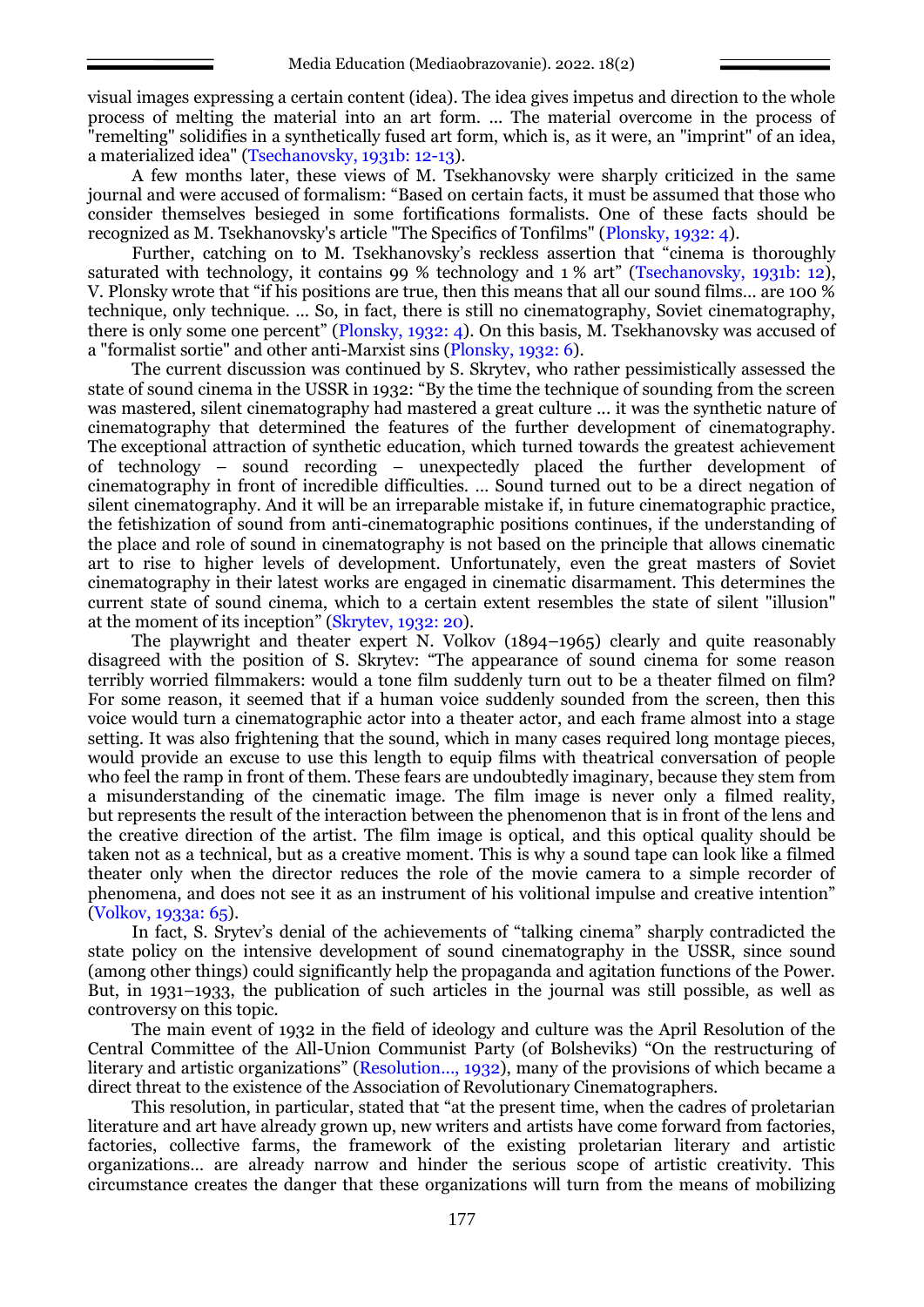visual images expressing a certain content (idea). The idea gives impetus and direction to the whole process of melting the material into an art form. ... The material overcome in the process of "remelting" solidifies in a synthetically fused art form, which is, as it were, an "imprint" of an idea, a materialized idea" (Tsechanovsky, 1931b: 12-13).

A few months later, these views of M. Tsekhanovsky were sharply criticized in the same journal and were accused of formalism: "Based on certain facts, it must be assumed that those who consider themselves besieged in some fortifications formalists. One of these facts should be recognized as M. Tsekhanovsky's article "The Specifics of Tonfilms" (Plonsky, 1932: 4).

Further, catching on to M. Tsekhanovsky's reckless assertion that "cinema is thoroughly saturated with technology, it contains 99 % technology and 1 % art" (Tsechanovsky, 1931b: 12), V. Plonsky wrote that "if his positions are true, then this means that all our sound films… are 100 % technique, only technique. ... So, in fact, there is still no cinematography, Soviet cinematography, there is only some one percent" (Plonsky, 1932: 4). On this basis, M. Tsekhanovsky was accused of a "formalist sortie" and other anti-Marxist sins (Plonsky, 1932: 6).

The current discussion was continued by S. Skrytev, who rather pessimistically assessed the state of sound cinema in the USSR in 1932: "By the time the technique of sounding from the screen was mastered, silent cinematography had mastered a great culture ... it was the synthetic nature of cinematography that determined the features of the further development of cinematography. The exceptional attraction of synthetic education, which turned towards the greatest achievement of technology – sound recording – unexpectedly placed the further development of cinematography in front of incredible difficulties. … Sound turned out to be a direct negation of silent cinematography. And it will be an irreparable mistake if, in future cinematographic practice, the fetishization of sound from anti-cinematographic positions continues, if the understanding of the place and role of sound in cinematography is not based on the principle that allows cinematic art to rise to higher levels of development. Unfortunately, even the great masters of Soviet cinematography in their latest works are engaged in cinematic disarmament. This determines the current state of sound cinema, which to a certain extent resembles the state of silent "illusion" at the moment of its inception" (Skrytev, 1932: 20).

The playwright and theater expert N. Volkov (1894–1965) clearly and quite reasonably disagreed with the position of S. Skrytev: "The appearance of sound cinema for some reason terribly worried filmmakers: would a tone film suddenly turn out to be a theater filmed on film? For some reason, it seemed that if a human voice suddenly sounded from the screen, then this voice would turn a cinematographic actor into a theater actor, and each frame almost into a stage setting. It was also frightening that the sound, which in many cases required long montage pieces, would provide an excuse to use this length to equip films with theatrical conversation of people who feel the ramp in front of them. These fears are undoubtedly imaginary, because they stem from a misunderstanding of the cinematic image. The film image is never only a filmed reality, but represents the result of the interaction between the phenomenon that is in front of the lens and the creative direction of the artist. The film image is optical, and this optical quality should be taken not as a technical, but as a creative moment. This is why a sound tape can look like a filmed theater only when the director reduces the role of the movie camera to a simple recorder of phenomena, and does not see it as an instrument of his volitional impulse and creative intention" (Volkov, 1933a: 65).

In fact, S. Srytev's denial of the achievements of "talking cinema" sharply contradicted the state policy on the intensive development of sound cinematography in the USSR, since sound (among other things) could significantly help the propaganda and agitation functions of the Power. But, in 1931–1933, the publication of such articles in the journal was still possible, as well as controversy on this topic.

The main event of 1932 in the field of ideology and culture was the April Resolution of the Central Committee of the All-Union Communist Party (of Bolsheviks) "On the restructuring of literary and artistic organizations" (Resolution..., 1932), many of the provisions of which became a direct threat to the existence of the Association of Revolutionary Cinematographers.

This resolution, in particular, stated that "at the present time, when the cadres of proletarian literature and art have already grown up, new writers and artists have come forward from factories, factories, collective farms, the framework of the existing proletarian literary and artistic organizations… are already narrow and hinder the serious scope of artistic creativity. This circumstance creates the danger that these organizations will turn from the means of mobilizing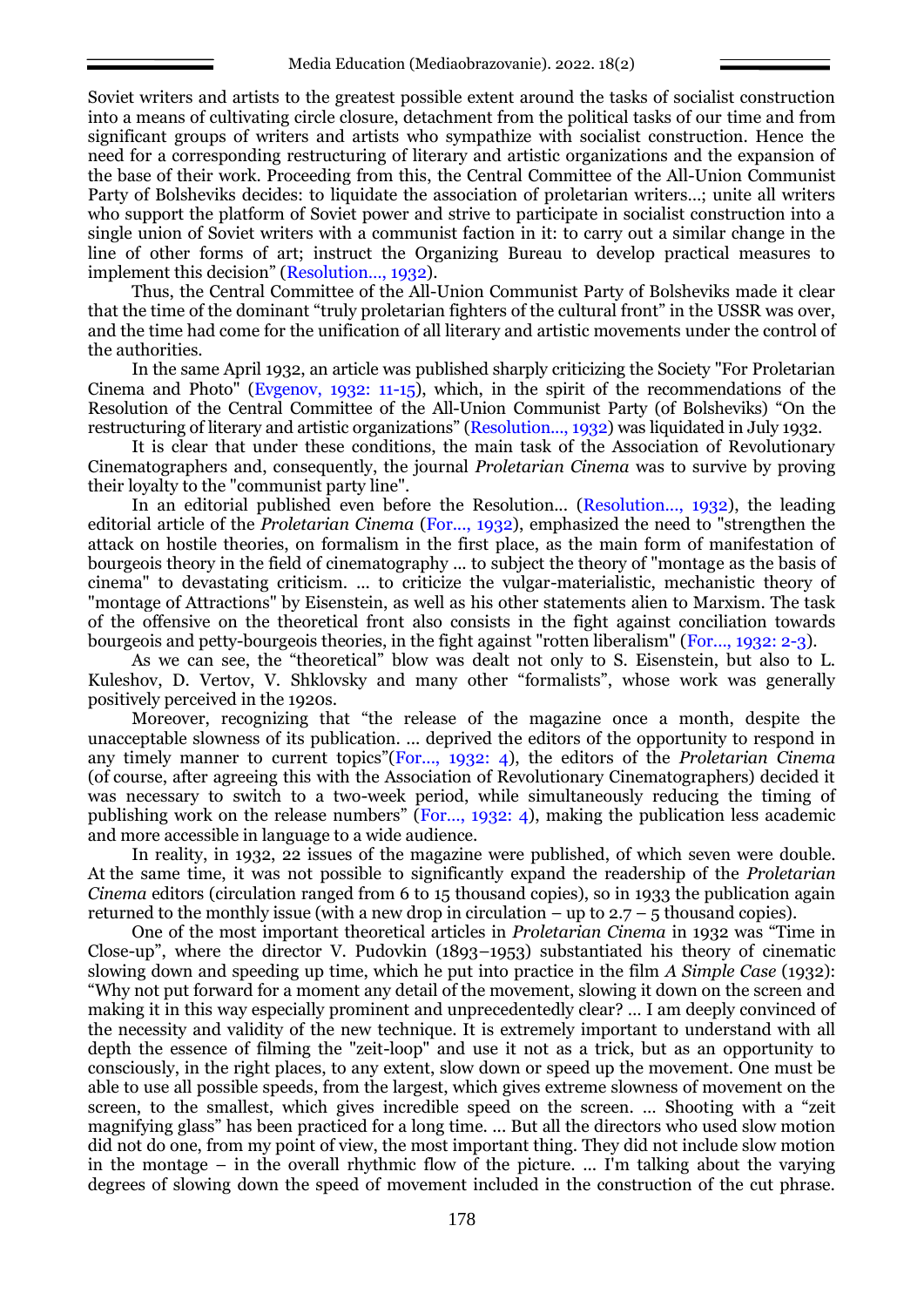Soviet writers and artists to the greatest possible extent around the tasks of socialist construction into a means of cultivating circle closure, detachment from the political tasks of our time and from significant groups of writers and artists who sympathize with socialist construction. Hence the need for a corresponding restructuring of literary and artistic organizations and the expansion of the base of their work. Proceeding from this, the Central Committee of the All-Union Communist Party of Bolsheviks decides: to liquidate the association of proletarian writers…; unite all writers who support the platform of Soviet power and strive to participate in socialist construction into a single union of Soviet writers with a communist faction in it: to carry out a similar change in the line of other forms of art; instruct the Organizing Bureau to develop practical measures to implement this decision" (Resolution…, 1932).

Thus, the Central Committee of the All-Union Communist Party of Bolsheviks made it clear that the time of the dominant "truly proletarian fighters of the cultural front" in the USSR was over, and the time had come for the unification of all literary and artistic movements under the control of the authorities.

In the same April 1932, an article was published sharply criticizing the Society "For Proletarian Cinema and Photo" (Evgenov, 1932: 11-15), which, in the spirit of the recommendations of the Resolution of the Central Committee of the All-Union Communist Party (of Bolsheviks) "On the restructuring of literary and artistic organizations" (Resolution..., 1932) was liquidated in July 1932.

It is clear that under these conditions, the main task of the Association of Revolutionary Cinematographers and, consequently, the journal *Proletarian Cinema* was to survive by proving their loyalty to the "communist party line".

In an editorial published even before the Resolution... (Resolution..., 1932), the leading editorial article of the *Proletarian Cinema* (For..., 1932), emphasized the need to "strengthen the attack on hostile theories, on formalism in the first place, as the main form of manifestation of bourgeois theory in the field of cinematography ... to subject the theory of "montage as the basis of cinema" to devastating criticism. ... to criticize the vulgar-materialistic, mechanistic theory of "montage of Attractions" by Eisenstein, as well as his other statements alien to Marxism. The task of the offensive on the theoretical front also consists in the fight against conciliation towards bourgeois and petty-bourgeois theories, in the fight against "rotten liberalism" (For..., 1932: 2-3).

As we can see, the "theoretical" blow was dealt not only to S. Eisenstein, but also to L. Kuleshov, D. Vertov, V. Shklovsky and many other "formalists", whose work was generally positively perceived in the 1920s.

Moreover, recognizing that "the release of the magazine once a month, despite the unacceptable slowness of its publication. ... deprived the editors of the opportunity to respond in any timely manner to current topics"(For..., 1932: 4), the editors of the *Proletarian Cinema* (of course, after agreeing this with the Association of Revolutionary Cinematographers) decided it was necessary to switch to a two-week period, while simultaneously reducing the timing of publishing work on the release numbers" (For…, 1932: 4), making the publication less academic and more accessible in language to a wide audience.

In reality, in 1932, 22 issues of the magazine were published, of which seven were double. At the same time, it was not possible to significantly expand the readership of the *Proletarian Cinema* editors (circulation ranged from 6 to 15 thousand copies), so in 1933 the publication again returned to the monthly issue (with a new drop in circulation – up to  $2.7 - 5$  thousand copies).

One of the most important theoretical articles in *Proletarian Cinema* in 1932 was "Time in Close-up", where the director V. Pudovkin (1893–1953) substantiated his theory of cinematic slowing down and speeding up time, which he put into practice in the film *A Simple Case* (1932): "Why not put forward for a moment any detail of the movement, slowing it down on the screen and making it in this way especially prominent and unprecedentedly clear? … I am deeply convinced of the necessity and validity of the new technique. It is extremely important to understand with all depth the essence of filming the "zeit-loop" and use it not as a trick, but as an opportunity to consciously, in the right places, to any extent, slow down or speed up the movement. One must be able to use all possible speeds, from the largest, which gives extreme slowness of movement on the screen, to the smallest, which gives incredible speed on the screen. … Shooting with a "zeit magnifying glass" has been practiced for a long time. ... But all the directors who used slow motion did not do one, from my point of view, the most important thing. They did not include slow motion in the montage – in the overall rhythmic flow of the picture. ... I'm talking about the varying degrees of slowing down the speed of movement included in the construction of the cut phrase.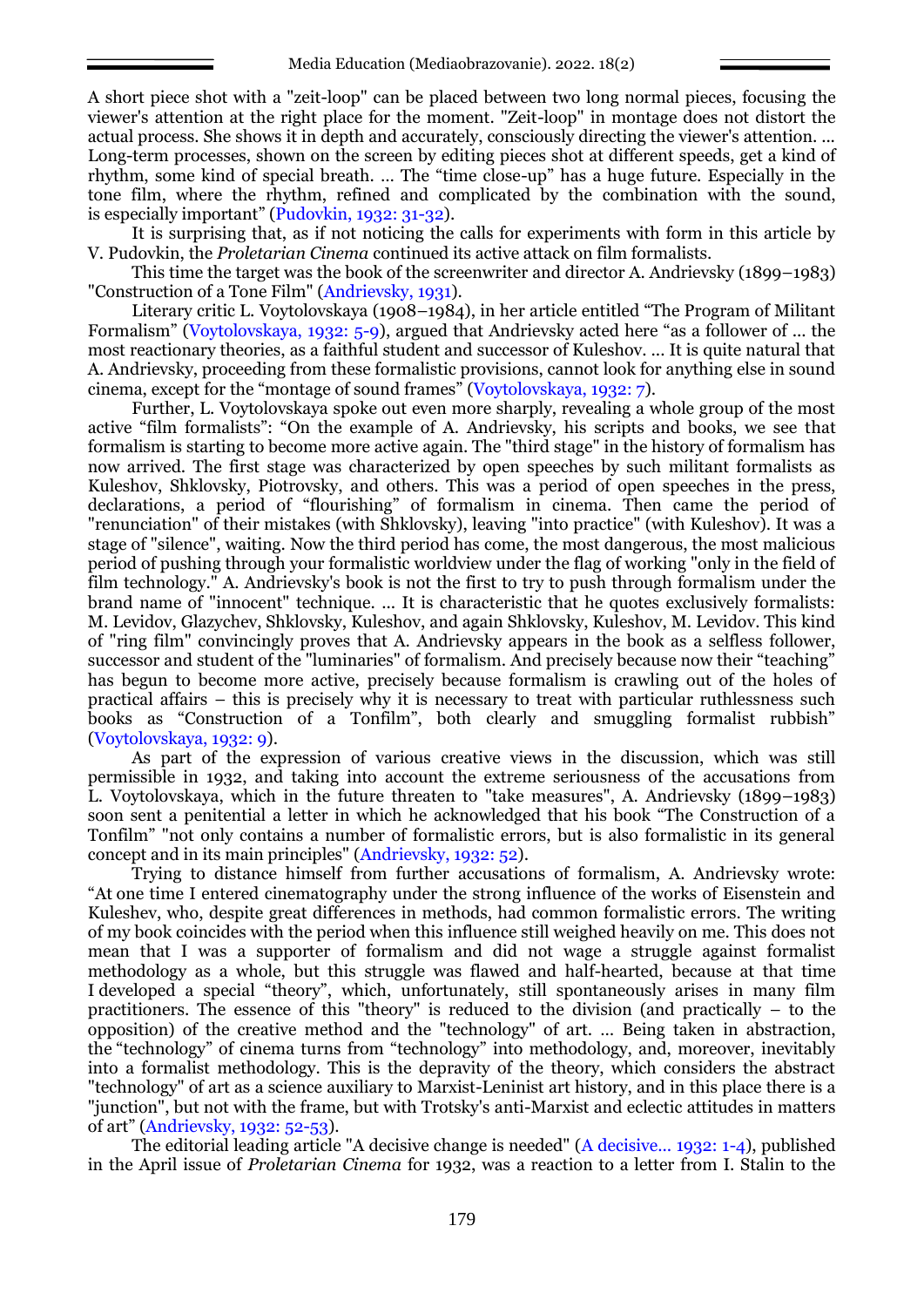A short piece shot with a "zeit-loop" can be placed between two long normal pieces, focusing the viewer's attention at the right place for the moment. "Zeit-loop" in montage does not distort the actual process. She shows it in depth and accurately, consciously directing the viewer's attention. ... Long-term processes, shown on the screen by editing pieces shot at different speeds, get a kind of rhythm, some kind of special breath. … The "time close-up" has a huge future. Especially in the tone film, where the rhythm, refined and complicated by the combination with the sound, is especially important" (Pudovkin, 1932: 31-32).

It is surprising that, as if not noticing the calls for experiments with form in this article by V. Pudovkin, the *Proletarian Cinema* continued its active attack on film formalists.

This time the target was the book of the screenwriter and director A. Andrievsky (1899–1983) "Construction of a Tone Film" (Andrievsky, 1931).

Literary critic L. Voytolovskaya (1908–1984), in her article entitled "The Program of Militant Formalism" (Voytolovskaya, 1932: 5-9), argued that Andrievsky acted here "as a follower of ... the most reactionary theories, as a faithful student and successor of Kuleshov. ... It is quite natural that A. Andrievsky, proceeding from these formalistic provisions, cannot look for anything else in sound cinema, except for the "montage of sound frames" (Voytolovskaya, 1932: 7).

Further, L. Voytolovskaya spoke out even more sharply, revealing a whole group of the most active "film formalists": "On the example of A. Andrievsky, his scripts and books, we see that formalism is starting to become more active again. The "third stage" in the history of formalism has now arrived. The first stage was characterized by open speeches by such militant formalists as Kuleshov, Shklovsky, Piotrovsky, and others. This was a period of open speeches in the press, declarations, a period of "flourishing" of formalism in cinema. Then came the period of "renunciation" of their mistakes (with Shklovsky), leaving "into practice" (with Kuleshov). It was a stage of "silence", waiting. Now the third period has come, the most dangerous, the most malicious period of pushing through your formalistic worldview under the flag of working "only in the field of film technology." A. Andrievsky's book is not the first to try to push through formalism under the brand name of "innocent" technique. ... It is characteristic that he quotes exclusively formalists: M. Levidov, Glazychev, Shklovsky, Kuleshov, and again Shklovsky, Kuleshov, M. Levidov. This kind of "ring film" convincingly proves that A. Andrievsky appears in the book as a selfless follower, successor and student of the "luminaries" of formalism. And precisely because now their "teaching" has begun to become more active, precisely because formalism is crawling out of the holes of practical affairs – this is precisely why it is necessary to treat with particular ruthlessness such books as "Construction of a Tonfilm", both clearly and smuggling formalist rubbish" (Voytolovskaya, 1932: 9).

As part of the expression of various creative views in the discussion, which was still permissible in 1932, and taking into account the extreme seriousness of the accusations from L. Voytolovskaya, which in the future threaten to "take measures", A. Andrievsky (1899–1983) soon sent a penitential a letter in which he acknowledged that his book "The Construction of a Tonfilm" "not only contains a number of formalistic errors, but is also formalistic in its general concept and in its main principles" (Andrievsky, 1932: 52).

Trying to distance himself from further accusations of formalism, A. Andrievsky wrote: "At one time I entered cinematography under the strong influence of the works of Eisenstein and Kuleshev, who, despite great differences in methods, had common formalistic errors. The writing of my book coincides with the period when this influence still weighed heavily on me. This does not mean that I was a supporter of formalism and did not wage a struggle against formalist methodology as a whole, but this struggle was flawed and half-hearted, because at that time I developed a special "theory", which, unfortunately, still spontaneously arises in many film practitioners. The essence of this "theory" is reduced to the division (and practically – to the opposition) of the creative method and the "technology" of art. … Being taken in abstraction, the "technology" of cinema turns from "technology" into methodology, and, moreover, inevitably into a formalist methodology. This is the depravity of the theory, which considers the abstract "technology" of art as a science auxiliary to Marxist-Leninist art history, and in this place there is a "junction", but not with the frame, but with Trotsky's anti-Marxist and eclectic attitudes in matters of art" (Andrievsky, 1932: 52-53).

The editorial leading article "A decisive change is needed" (A decisive... 1932: 1-4), published in the April issue of *Proletarian Cinema* for 1932, was a reaction to a letter from I. Stalin to the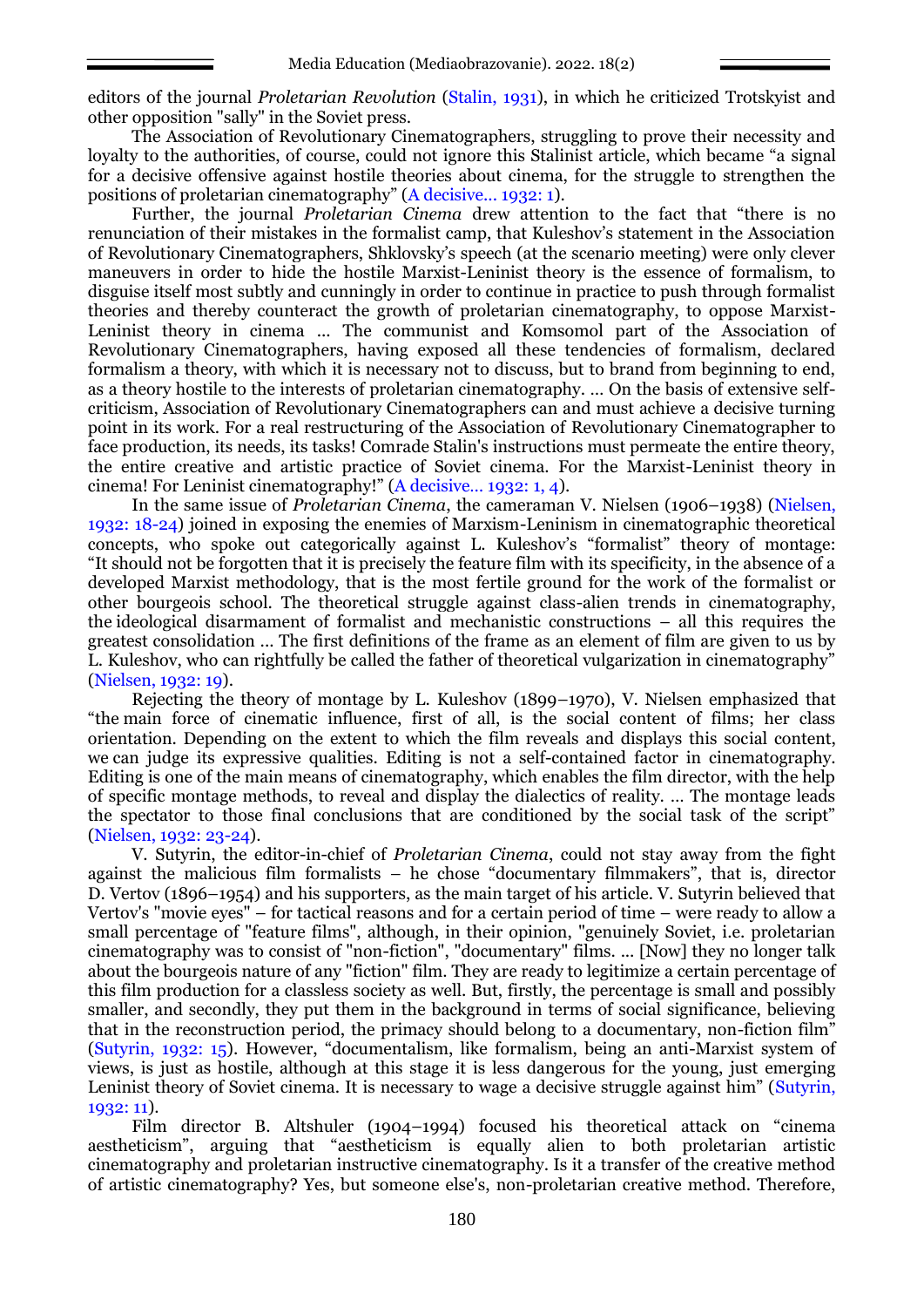editors of the journal *Proletarian Revolution* (Stalin, 1931), in which he criticized Trotskyist and other opposition "sally" in the Soviet press.

The Association of Revolutionary Cinematographers, struggling to prove their necessity and loyalty to the authorities, of course, could not ignore this Stalinist article, which became "a signal for a decisive offensive against hostile theories about cinema, for the struggle to strengthen the positions of proletarian cinematography" (A decisive... 1932: 1).

Further, the journal *Proletarian Cinema* drew attention to the fact that "there is no renunciation of their mistakes in the formalist camp, that Kuleshov's statement in the Association of Revolutionary Cinematographers, Shklovsky's speech (at the scenario meeting) were only clever maneuvers in order to hide the hostile Marxist-Leninist theory is the essence of formalism, to disguise itself most subtly and cunningly in order to continue in practice to push through formalist theories and thereby counteract the growth of proletarian cinematography, to oppose Marxist-Leninist theory in cinema ... The communist and Komsomol part of the Association of Revolutionary Cinematographers, having exposed all these tendencies of formalism, declared formalism a theory, with which it is necessary not to discuss, but to brand from beginning to end, as a theory hostile to the interests of proletarian cinematography. … On the basis of extensive selfcriticism, Association of Revolutionary Cinematographers can and must achieve a decisive turning point in its work. For a real restructuring of the Association of Revolutionary Cinematographer to face production, its needs, its tasks! Comrade Stalin's instructions must permeate the entire theory, the entire creative and artistic practice of Soviet cinema. For the Marxist-Leninist theory in cinema! For Leninist cinematography!" (A decisive… 1932: 1, 4).

In the same issue of *Proletarian Cinema*, the cameraman V. Nielsen (1906–1938) (Nielsen, 1932: 18-24) joined in exposing the enemies of Marxism-Leninism in cinematographic theoretical concepts, who spoke out categorically against L. Kuleshov's "formalist" theory of montage: "It should not be forgotten that it is precisely the feature film with its specificity, in the absence of a developed Marxist methodology, that is the most fertile ground for the work of the formalist or other bourgeois school. The theoretical struggle against class-alien trends in cinematography, the ideological disarmament of formalist and mechanistic constructions – all this requires the greatest consolidation ... The first definitions of the frame as an element of film are given to us by L. Kuleshov, who can rightfully be called the father of theoretical vulgarization in cinematography" (Nielsen, 1932: 19).

Rejecting the theory of montage by L. Kuleshov (1899–1970), V. Nielsen emphasized that "the main force of cinematic influence, first of all, is the social content of films; her class orientation. Depending on the extent to which the film reveals and displays this social content, we can judge its expressive qualities. Editing is not a self-contained factor in cinematography. Editing is one of the main means of cinematography, which enables the film director, with the help of specific montage methods, to reveal and display the dialectics of reality. … The montage leads the spectator to those final conclusions that are conditioned by the social task of the script" (Nielsen, 1932: 23-24).

V. Sutyrin, the editor-in-chief of *Proletarian Cinema*, could not stay away from the fight against the malicious film formalists – he chose "documentary filmmakers", that is, director D. Vertov (1896–1954) and his supporters, as the main target of his article. V. Sutyrin believed that Vertov's "movie eyes" – for tactical reasons and for a certain period of time – were ready to allow a small percentage of "feature films", although, in their opinion, "genuinely Soviet, i.e. proletarian cinematography was to consist of "non-fiction", "documentary" films. ... [Now] they no longer talk about the bourgeois nature of any "fiction" film. They are ready to legitimize a certain percentage of this film production for a classless society as well. But, firstly, the percentage is small and possibly smaller, and secondly, they put them in the background in terms of social significance, believing that in the reconstruction period, the primacy should belong to a documentary, non-fiction film" (Sutyrin, 1932: 15). However, "documentalism, like formalism, being an anti-Marxist system of views, is just as hostile, although at this stage it is less dangerous for the young, just emerging Leninist theory of Soviet cinema. It is necessary to wage a decisive struggle against him" (Sutyrin, 1932: 11).

Film director B. Altshuler (1904–1994) focused his theoretical attack on "cinema aestheticism", arguing that "aestheticism is equally alien to both proletarian artistic cinematography and proletarian instructive cinematography. Is it a transfer of the creative method of artistic cinematography? Yes, but someone else's, non-proletarian creative method. Therefore,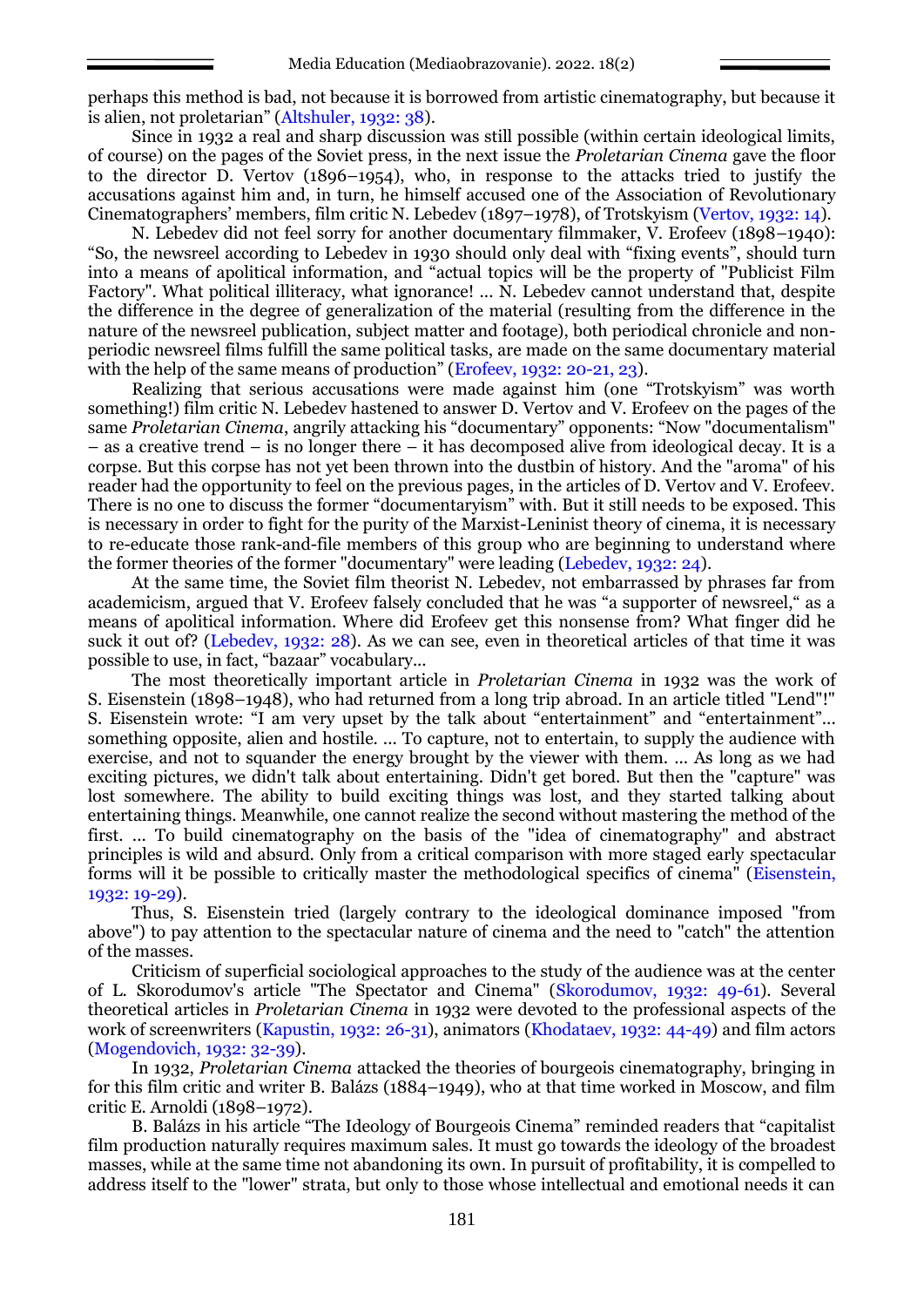perhaps this method is bad, not because it is borrowed from artistic cinematography, but because it is alien, not proletarian" (Altshuler, 1932: 38).

Since in 1932 a real and sharp discussion was still possible (within certain ideological limits, of course) on the pages of the Soviet press, in the next issue the *Proletarian Cinema* gave the floor to the director D. Vertov (1896–1954), who, in response to the attacks tried to justify the accusations against him and, in turn, he himself accused one of the Association of Revolutionary Cinematographers' members, film critic N. Lebedev (1897–1978), of Trotskyism (Vertov, 1932: 14).

N. Lebedev did not feel sorry for another documentary filmmaker, V. Erofeev (1898–1940): "So, the newsreel according to Lebedev in 1930 should only deal with "fixing events", should turn into a means of apolitical information, and "actual topics will be the property of "Publicist Film Factory". What political illiteracy, what ignorance! ... N. Lebedev cannot understand that, despite the difference in the degree of generalization of the material (resulting from the difference in the nature of the newsreel publication, subject matter and footage), both periodical chronicle and nonperiodic newsreel films fulfill the same political tasks, are made on the same documentary material with the help of the same means of production" (Erofeev, 1932: 20-21, 23).

Realizing that serious accusations were made against him (one "Trotskyism" was worth something!) film critic N. Lebedev hastened to answer D. Vertov and V. Erofeev on the pages of the same *Proletarian Cinema*, angrily attacking his "documentary" opponents: "Now "documentalism" – as a creative trend – is no longer there – it has decomposed alive from ideological decay. It is a corpse. But this corpse has not yet been thrown into the dustbin of history. And the "aroma" of his reader had the opportunity to feel on the previous pages, in the articles of D. Vertov and V. Erofeev. There is no one to discuss the former "documentaryism" with. But it still needs to be exposed. This is necessary in order to fight for the purity of the Marxist-Leninist theory of cinema, it is necessary to re-educate those rank-and-file members of this group who are beginning to understand where the former theories of the former "documentary" were leading (Lebedev, 1932: 24).

At the same time, the Soviet film theorist N. Lebedev, not embarrassed by phrases far from academicism, argued that V. Erofeev falsely concluded that he was "a supporter of newsreel," as a means of apolitical information. Where did Erofeev get this nonsense from? What finger did he suck it out of? (Lebedev, 1932: 28). As we can see, even in theoretical articles of that time it was possible to use, in fact, "bazaar" vocabulary...

The most theoretically important article in *Proletarian Cinema* in 1932 was the work of S. Eisenstein (1898–1948), who had returned from a long trip abroad. In an article titled "Lend"!" S. Eisenstein wrote: "I am very upset by the talk about "entertainment" and "entertainment"... something opposite, alien and hostile. ... To capture, not to entertain, to supply the audience with exercise, and not to squander the energy brought by the viewer with them. ... As long as we had exciting pictures, we didn't talk about entertaining. Didn't get bored. But then the "capture" was lost somewhere. The ability to build exciting things was lost, and they started talking about entertaining things. Meanwhile, one cannot realize the second without mastering the method of the first. ... To build cinematography on the basis of the "idea of cinematography" and abstract principles is wild and absurd. Only from a critical comparison with more staged early spectacular forms will it be possible to critically master the methodological specifics of cinema" (Eisenstein, 1932: 19-29).

Thus, S. Eisenstein tried (largely contrary to the ideological dominance imposed "from above") to pay attention to the spectacular nature of cinema and the need to "catch" the attention of the masses.

Criticism of superficial sociological approaches to the study of the audience was at the center of L. Skorodumov's article "The Spectator and Cinema" (Skorodumov, 1932: 49-61). Several theoretical articles in *Proletarian Cinema* in 1932 were devoted to the professional aspects of the work of screenwriters (Kapustin, 1932: 26-31), animators (Khodataev, 1932: 44-49) and film actors (Mogendovich, 1932: 32-39).

In 1932, *Proletarian Cinema* attacked the theories of bourgeois cinematography, bringing in for this film critic and writer B. Balázs (1884–1949), who at that time worked in Moscow, and film critic E. Arnoldi (1898–1972).

B. Balázs in his article "The Ideology of Bourgeois Cinema" reminded readers that "capitalist film production naturally requires maximum sales. It must go towards the ideology of the broadest masses, while at the same time not abandoning its own. In pursuit of profitability, it is compelled to address itself to the "lower" strata, but only to those whose intellectual and emotional needs it can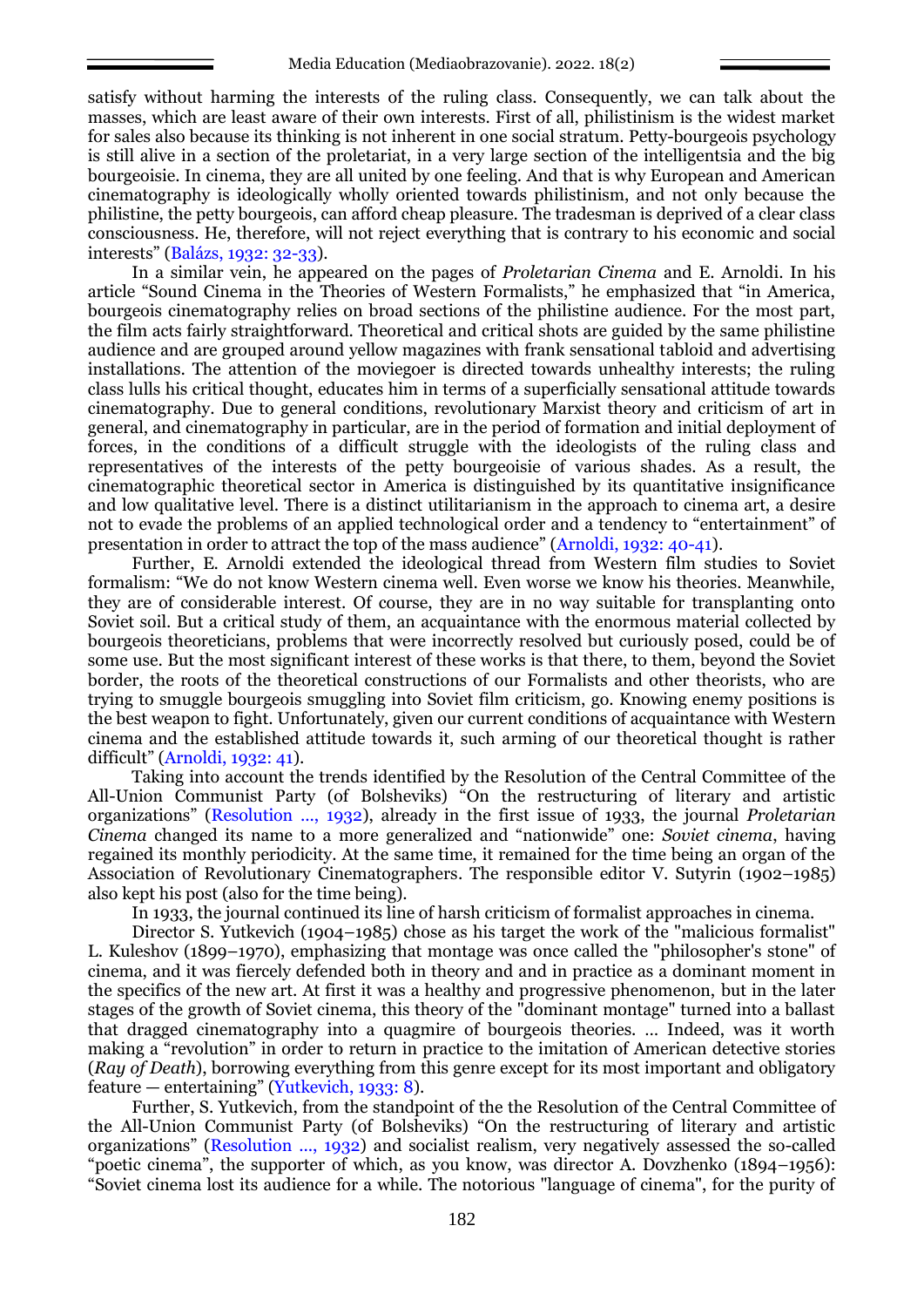satisfy without harming the interests of the ruling class. Consequently, we can talk about the masses, which are least aware of their own interests. First of all, philistinism is the widest market for sales also because its thinking is not inherent in one social stratum. Petty-bourgeois psychology is still alive in a section of the proletariat, in a very large section of the intelligentsia and the big bourgeoisie. In cinema, they are all united by one feeling. And that is why European and American cinematography is ideologically wholly oriented towards philistinism, and not only because the philistine, the petty bourgeois, can afford cheap pleasure. The tradesman is deprived of a clear class consciousness. He, therefore, will not reject everything that is contrary to his economic and social interests" (Balázs, 1932: 32-33).

In a similar vein, he appeared on the pages of *Proletarian Cinema* and E. Arnoldi. In his article "Sound Cinema in the Theories of Western Formalists," he emphasized that "in America, bourgeois cinematography relies on broad sections of the philistine audience. For the most part, the film acts fairly straightforward. Theoretical and critical shots are guided by the same philistine audience and are grouped around yellow magazines with frank sensational tabloid and advertising installations. The attention of the moviegoer is directed towards unhealthy interests; the ruling class lulls his critical thought, educates him in terms of a superficially sensational attitude towards cinematography. Due to general conditions, revolutionary Marxist theory and criticism of art in general, and cinematography in particular, are in the period of formation and initial deployment of forces, in the conditions of a difficult struggle with the ideologists of the ruling class and representatives of the interests of the petty bourgeoisie of various shades. As a result, the cinematographic theoretical sector in America is distinguished by its quantitative insignificance and low qualitative level. There is a distinct utilitarianism in the approach to cinema art, a desire not to evade the problems of an applied technological order and a tendency to "entertainment" of presentation in order to attract the top of the mass audience" (Arnoldi, 1932: 40-41).

Further, E. Arnoldi extended the ideological thread from Western film studies to Soviet formalism: "We do not know Western cinema well. Even worse we know his theories. Meanwhile, they are of considerable interest. Of course, they are in no way suitable for transplanting onto Soviet soil. But a critical study of them, an acquaintance with the enormous material collected by bourgeois theoreticians, problems that were incorrectly resolved but curiously posed, could be of some use. But the most significant interest of these works is that there, to them, beyond the Soviet border, the roots of the theoretical constructions of our Formalists and other theorists, who are trying to smuggle bourgeois smuggling into Soviet film criticism, go. Knowing enemy positions is the best weapon to fight. Unfortunately, given our current conditions of acquaintance with Western cinema and the established attitude towards it, such arming of our theoretical thought is rather difficult" (Arnoldi, 1932: 41).

Taking into account the trends identified by the Resolution of the Central Committee of the All-Union Communist Party (of Bolsheviks) "On the restructuring of literary and artistic organizations" (Resolution ..., 1932), already in the first issue of 1933, the journal *Proletarian Cinema* changed its name to a more generalized and "nationwide" one: *Soviet cinema*, having regained its monthly periodicity. At the same time, it remained for the time being an organ of the Association of Revolutionary Cinematographers. The responsible editor V. Sutyrin (1902–1985) also kept his post (also for the time being).

In 1933, the journal continued its line of harsh criticism of formalist approaches in cinema.

Director S. Yutkevich (1904–1985) chose as his target the work of the "malicious formalist" L. Kuleshov (1899–1970), emphasizing that montage was once called the "philosopher's stone" of cinema, and it was fiercely defended both in theory and and in practice as a dominant moment in the specifics of the new art. At first it was a healthy and progressive phenomenon, but in the later stages of the growth of Soviet cinema, this theory of the "dominant montage" turned into a ballast that dragged cinematography into a quagmire of bourgeois theories. … Indeed, was it worth making a "revolution" in order to return in practice to the imitation of American detective stories (*Ray of Death*), borrowing everything from this genre except for its most important and obligatory feature — entertaining" (Yutkevich, 1933: 8).

Further, S. Yutkevich, from the standpoint of the the Resolution of the Central Committee of the All-Union Communist Party (of Bolsheviks) "On the restructuring of literary and artistic organizations" (Resolution ..., 1932) and socialist realism, very negatively assessed the so-called "poetic cinema", the supporter of which, as you know, was director A. Dovzhenko (1894–1956): "Soviet cinema lost its audience for a while. The notorious "language of cinema", for the purity of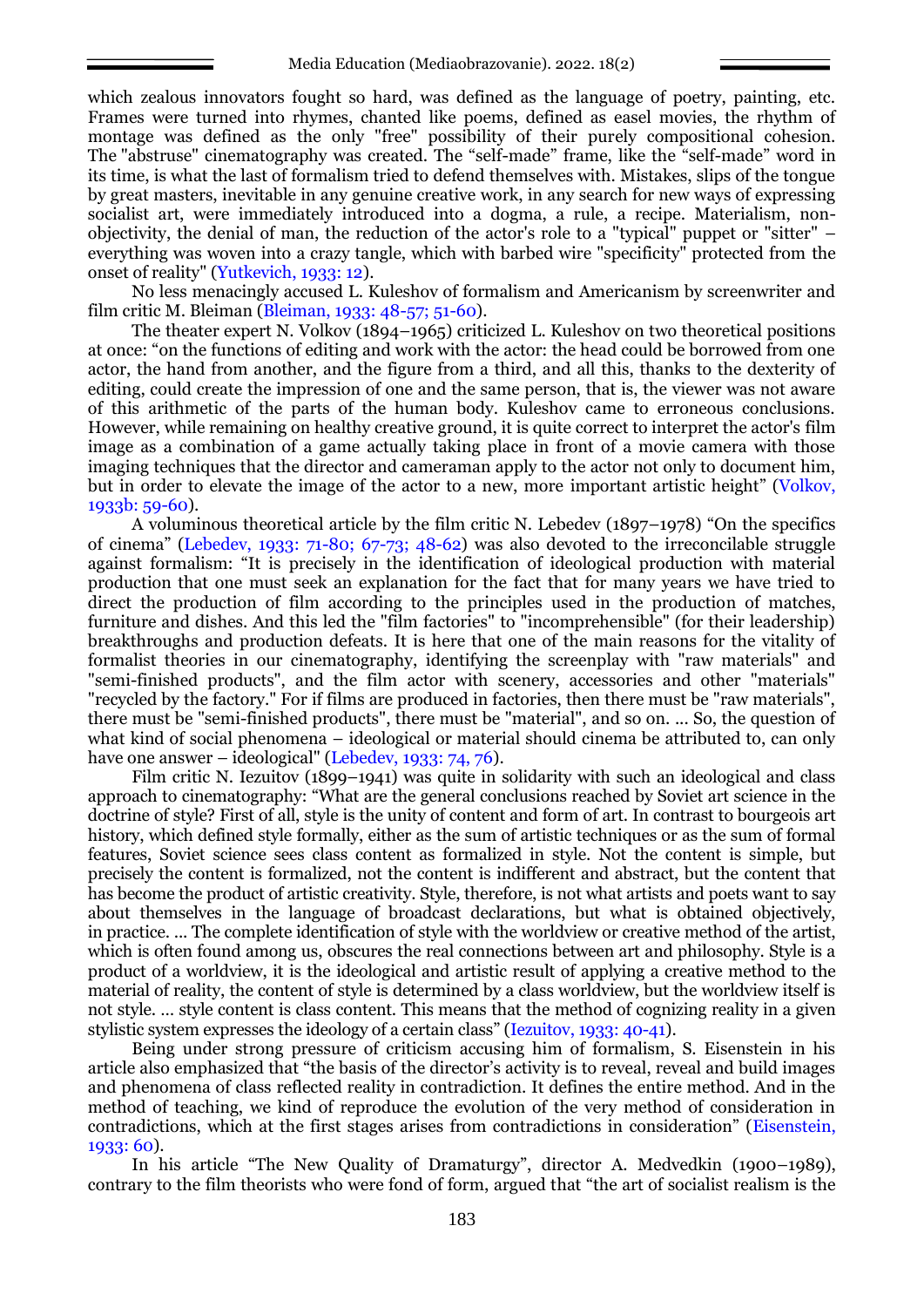which zealous innovators fought so hard, was defined as the language of poetry, painting, etc. Frames were turned into rhymes, chanted like poems, defined as easel movies, the rhythm of montage was defined as the only "free" possibility of their purely compositional cohesion. The "abstruse" cinematography was created. The "self-made" frame, like the "self-made" word in its time, is what the last of formalism tried to defend themselves with. Mistakes, slips of the tongue by great masters, inevitable in any genuine creative work, in any search for new ways of expressing socialist art, were immediately introduced into a dogma, a rule, a recipe. Materialism, nonobjectivity, the denial of man, the reduction of the actor's role to a "typical" puppet or "sitter" – everything was woven into a crazy tangle, which with barbed wire "specificity" protected from the onset of reality" (Yutkevich, 1933: 12).

No less menacingly accused L. Kuleshov of formalism and Americanism by screenwriter and film critic M. Bleiman (Bleiman, 1933: 48-57; 51-60).

The theater expert N. Volkov (1894–1965) criticized L. Kuleshov on two theoretical positions at once: "on the functions of editing and work with the actor: the head could be borrowed from one actor, the hand from another, and the figure from a third, and all this, thanks to the dexterity of editing, could create the impression of one and the same person, that is, the viewer was not aware of this arithmetic of the parts of the human body. Kuleshov came to erroneous conclusions. However, while remaining on healthy creative ground, it is quite correct to interpret the actor's film image as a combination of a game actually taking place in front of a movie camera with those imaging techniques that the director and cameraman apply to the actor not only to document him, but in order to elevate the image of the actor to a new, more important artistic height" (Volkov, 1933b: 59-60).

A voluminous theoretical article by the film critic N. Lebedev (1897–1978) "On the specifics of cinema" (Lebedev, 1933: 71-80; 67-73; 48-62) was also devoted to the irreconcilable struggle against formalism: "It is precisely in the identification of ideological production with material production that one must seek an explanation for the fact that for many years we have tried to direct the production of film according to the principles used in the production of matches, furniture and dishes. And this led the "film factories" to "incomprehensible" (for their leadership) breakthroughs and production defeats. It is here that one of the main reasons for the vitality of formalist theories in our cinematography, identifying the screenplay with "raw materials" and "semi-finished products", and the film actor with scenery, accessories and other "materials" "recycled by the factory." For if films are produced in factories, then there must be "raw materials", there must be "semi-finished products", there must be "material", and so on. ... So, the question of what kind of social phenomena – ideological or material should cinema be attributed to, can only have one answer – ideological" (Lebedev, 1933: 74, 76).

Film critic N. Iezuitov (1899–1941) was quite in solidarity with such an ideological and class approach to cinematography: "What are the general conclusions reached by Soviet art science in the doctrine of style? First of all, style is the unity of content and form of art. In contrast to bourgeois art history, which defined style formally, either as the sum of artistic techniques or as the sum of formal features, Soviet science sees class content as formalized in style. Not the content is simple, but precisely the content is formalized, not the content is indifferent and abstract, but the content that has become the product of artistic creativity. Style, therefore, is not what artists and poets want to say about themselves in the language of broadcast declarations, but what is obtained objectively, in practice. ... The complete identification of style with the worldview or creative method of the artist, which is often found among us, obscures the real connections between art and philosophy. Style is a product of a worldview, it is the ideological and artistic result of applying a creative method to the material of reality, the content of style is determined by a class worldview, but the worldview itself is not style. … style content is class content. This means that the method of cognizing reality in a given stylistic system expresses the ideology of a certain class" (Iezuitov, 1933: 40-41).

Being under strong pressure of criticism accusing him of formalism, S. Eisenstein in his article also emphasized that "the basis of the director's activity is to reveal, reveal and build images and phenomena of class reflected reality in contradiction. It defines the entire method. And in the method of teaching, we kind of reproduce the evolution of the very method of consideration in contradictions, which at the first stages arises from contradictions in consideration" (Eisenstein, 1933: 60).

In his article "The New Quality of Dramaturgy", director A. Medvedkin (1900–1989), contrary to the film theorists who were fond of form, argued that "the art of socialist realism is the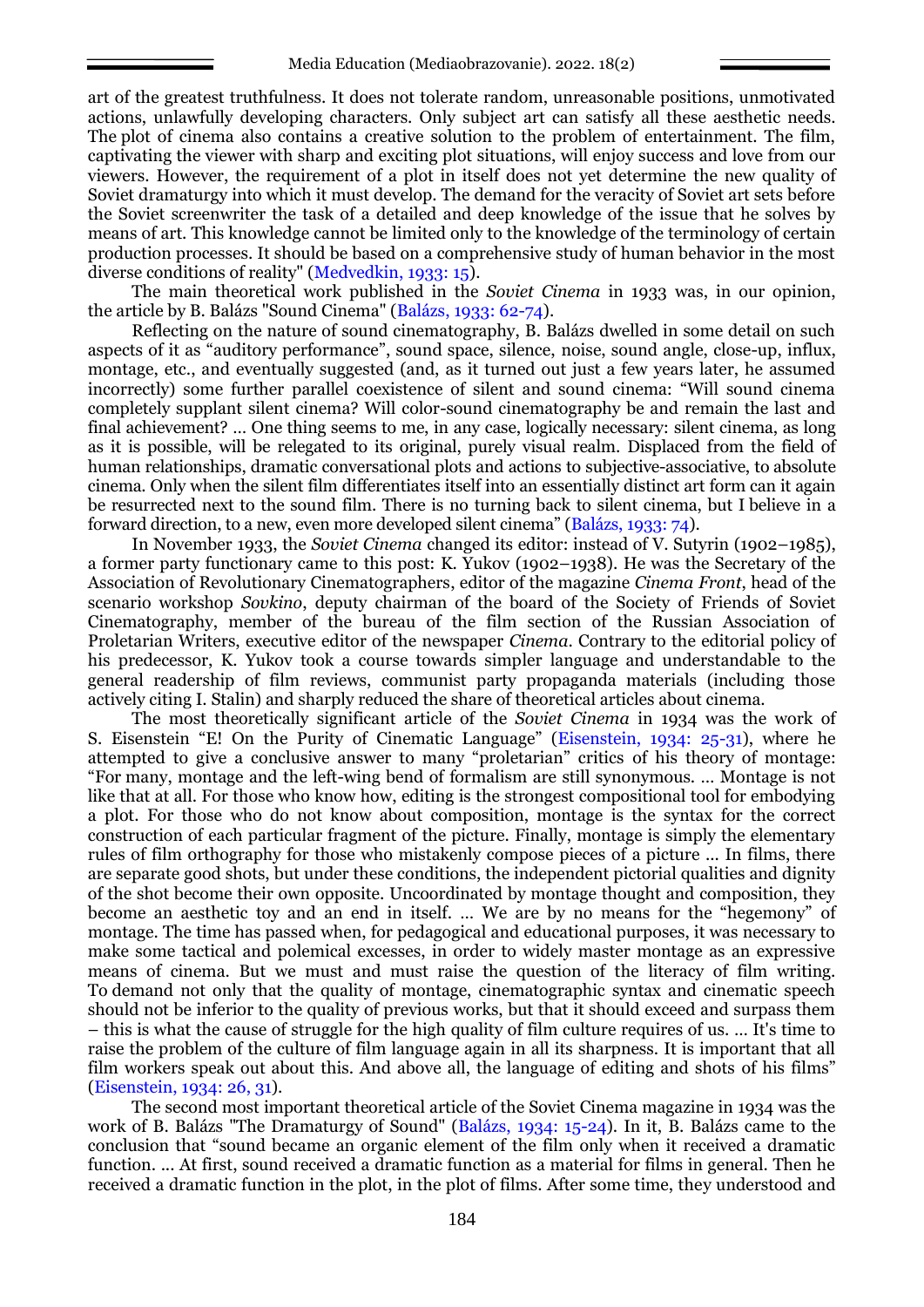art of the greatest truthfulness. It does not tolerate random, unreasonable positions, unmotivated actions, unlawfully developing characters. Only subject art can satisfy all these aesthetic needs. The plot of cinema also contains a creative solution to the problem of entertainment. The film, captivating the viewer with sharp and exciting plot situations, will enjoy success and love from our viewers. However, the requirement of a plot in itself does not yet determine the new quality of Soviet dramaturgy into which it must develop. The demand for the veracity of Soviet art sets before the Soviet screenwriter the task of a detailed and deep knowledge of the issue that he solves by means of art. This knowledge cannot be limited only to the knowledge of the terminology of certain production processes. It should be based on a comprehensive study of human behavior in the most diverse conditions of reality" (Medvedkin, 1933: 15).

The main theoretical work published in the *Soviet Cinema* in 1933 was, in our opinion, the article by B. Balázs "Sound Cinema" (Balázs, 1933: 62-74).

Reflecting on the nature of sound cinematography, B. Balázs dwelled in some detail on such aspects of it as "auditory performance", sound space, silence, noise, sound angle, close-up, influx, montage, etc., and eventually suggested (and, as it turned out just a few years later, he assumed incorrectly) some further parallel coexistence of silent and sound cinema: "Will sound cinema completely supplant silent cinema? Will color-sound cinematography be and remain the last and final achievement? … One thing seems to me, in any case, logically necessary: silent cinema, as long as it is possible, will be relegated to its original, purely visual realm. Displaced from the field of human relationships, dramatic conversational plots and actions to subjective-associative, to absolute cinema. Only when the silent film differentiates itself into an essentially distinct art form can it again be resurrected next to the sound film. There is no turning back to silent cinema, but I believe in a forward direction, to a new, even more developed silent cinema" (Balázs, 1933: 74).

In November 1933, the *Soviet Cinema* changed its editor: instead of V. Sutyrin (1902–1985), a former party functionary came to this post: K. Yukov (1902–1938). He was the Secretary of the Association of Revolutionary Cinematographers, editor of the magazine *Cinema Front*, head of the scenario workshop *Sovkino*, deputy chairman of the board of the Society of Friends of Soviet Cinematography, member of the bureau of the film section of the Russian Association of Proletarian Writers, executive editor of the newspaper *Cinema*. Contrary to the editorial policy of his predecessor, K. Yukov took a course towards simpler language and understandable to the general readership of film reviews, communist party propaganda materials (including those actively citing I. Stalin) and sharply reduced the share of theoretical articles about cinema.

The most theoretically significant article of the *Soviet Cinema* in 1934 was the work of S. Eisenstein "E! On the Purity of Cinematic Language" (Eisenstein, 1934: 25-31), where he attempted to give a conclusive answer to many "proletarian" critics of his theory of montage: "For many, montage and the left-wing bend of formalism are still synonymous. … Montage is not like that at all. For those who know how, editing is the strongest compositional tool for embodying a plot. For those who do not know about composition, montage is the syntax for the correct construction of each particular fragment of the picture. Finally, montage is simply the elementary rules of film orthography for those who mistakenly compose pieces of a picture ... In films, there are separate good shots, but under these conditions, the independent pictorial qualities and dignity of the shot become their own opposite. Uncoordinated by montage thought and composition, they become an aesthetic toy and an end in itself. … We are by no means for the "hegemony" of montage. The time has passed when, for pedagogical and educational purposes, it was necessary to make some tactical and polemical excesses, in order to widely master montage as an expressive means of cinema. But we must and must raise the question of the literacy of film writing. To demand not only that the quality of montage, cinematographic syntax and cinematic speech should not be inferior to the quality of previous works, but that it should exceed and surpass them  $-$  this is what the cause of struggle for the high quality of film culture requires of us.  $\ldots$  It's time to raise the problem of the culture of film language again in all its sharpness. It is important that all film workers speak out about this. And above all, the language of editing and shots of his films" (Eisenstein, 1934: 26, 31).

The second most important theoretical article of the Soviet Cinema magazine in 1934 was the work of B. Balázs "The Dramaturgy of Sound" (Balázs, 1934: 15-24). In it, B. Balázs came to the conclusion that "sound became an organic element of the film only when it received a dramatic function. ... At first, sound received a dramatic function as a material for films in general. Then he received a dramatic function in the plot, in the plot of films. After some time, they understood and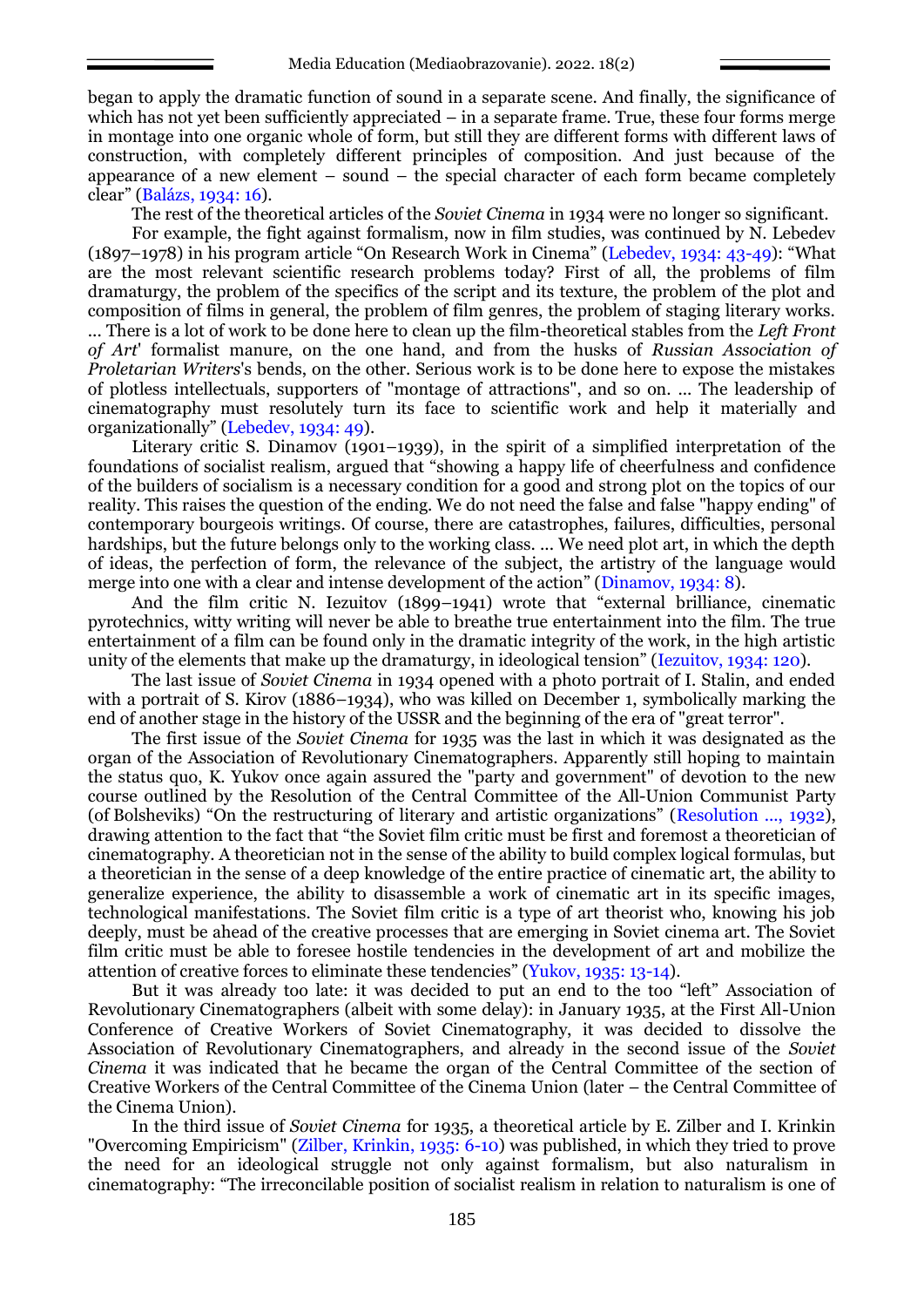began to apply the dramatic function of sound in a separate scene. And finally, the significance of which has not yet been sufficiently appreciated – in a separate frame. True, these four forms merge in montage into one organic whole of form, but still they are different forms with different laws of construction, with completely different principles of composition. And just because of the appearance of a new element – sound – the special character of each form became completely clear" (Balázs, 1934: 16).

The rest of the theoretical articles of the *Soviet Cinema* in 1934 were no longer so significant.

For example, the fight against formalism, now in film studies, was continued by N. Lebedev (1897–1978) in his program article "On Research Work in Cinema" (Lebedev, 1934: 43-49): "What are the most relevant scientific research problems today? First of all, the problems of film dramaturgy, the problem of the specifics of the script and its texture, the problem of the plot and composition of films in general, the problem of film genres, the problem of staging literary works. ... There is a lot of work to be done here to clean up the film-theoretical stables from the *Left Front of Art*' formalist manure, on the one hand, and from the husks of *Russian Association of Proletarian Writers*'s bends, on the other. Serious work is to be done here to expose the mistakes of plotless intellectuals, supporters of "montage of attractions", and so on. ... The leadership of cinematography must resolutely turn its face to scientific work and help it materially and organizationally" (Lebedev, 1934: 49).

Literary critic S. Dinamov (1901–1939), in the spirit of a simplified interpretation of the foundations of socialist realism, argued that "showing a happy life of cheerfulness and confidence of the builders of socialism is a necessary condition for a good and strong plot on the topics of our reality. This raises the question of the ending. We do not need the false and false "happy ending" of contemporary bourgeois writings. Of course, there are catastrophes, failures, difficulties, personal hardships, but the future belongs only to the working class. ... We need plot art, in which the depth of ideas, the perfection of form, the relevance of the subject, the artistry of the language would merge into one with a clear and intense development of the action" (Dinamov, 1934: 8).

And the film critic N. Iezuitov (1899–1941) wrote that "external brilliance, cinematic pyrotechnics, witty writing will never be able to breathe true entertainment into the film. The true entertainment of a film can be found only in the dramatic integrity of the work, in the high artistic unity of the elements that make up the dramaturgy, in ideological tension" (Iezuitov, 1934: 120).

The last issue of *Soviet Cinema* in 1934 opened with a photo portrait of I. Stalin, and ended with a portrait of S. Kirov (1886–1934), who was killed on December 1, symbolically marking the end of another stage in the history of the USSR and the beginning of the era of "great terror".

The first issue of the *Soviet Cinema* for 1935 was the last in which it was designated as the organ of the Association of Revolutionary Cinematographers. Apparently still hoping to maintain the status quo, K. Yukov once again assured the "party and government" of devotion to the new course outlined by the Resolution of the Central Committee of the All-Union Communist Party (of Bolsheviks) "On the restructuring of literary and artistic organizations" (Resolution ..., 1932), drawing attention to the fact that "the Soviet film critic must be first and foremost a theoretician of cinematography. A theoretician not in the sense of the ability to build complex logical formulas, but a theoretician in the sense of a deep knowledge of the entire practice of cinematic art, the ability to generalize experience, the ability to disassemble a work of cinematic art in its specific images, technological manifestations. The Soviet film critic is a type of art theorist who, knowing his job deeply, must be ahead of the creative processes that are emerging in Soviet cinema art. The Soviet film critic must be able to foresee hostile tendencies in the development of art and mobilize the attention of creative forces to eliminate these tendencies" (Yukov, 1935: 13-14).

But it was already too late: it was decided to put an end to the too "left" Association of Revolutionary Cinematographers (albeit with some delay): in January 1935, at the First All-Union Conference of Creative Workers of Soviet Cinematography, it was decided to dissolve the Association of Revolutionary Cinematographers, and already in the second issue of the *Soviet Cinema* it was indicated that he became the organ of the Central Committee of the section of Creative Workers of the Central Committee of the Cinema Union (later – the Central Committee of the Cinema Union).

In the third issue of *Soviet Cinema* for 1935, a theoretical article by E. Zilber and I. Krinkin "Overcoming Empiricism" (Zilber, Krinkin, 1935: 6-10) was published, in which they tried to prove the need for an ideological struggle not only against formalism, but also naturalism in cinematography: "The irreconcilable position of socialist realism in relation to naturalism is one of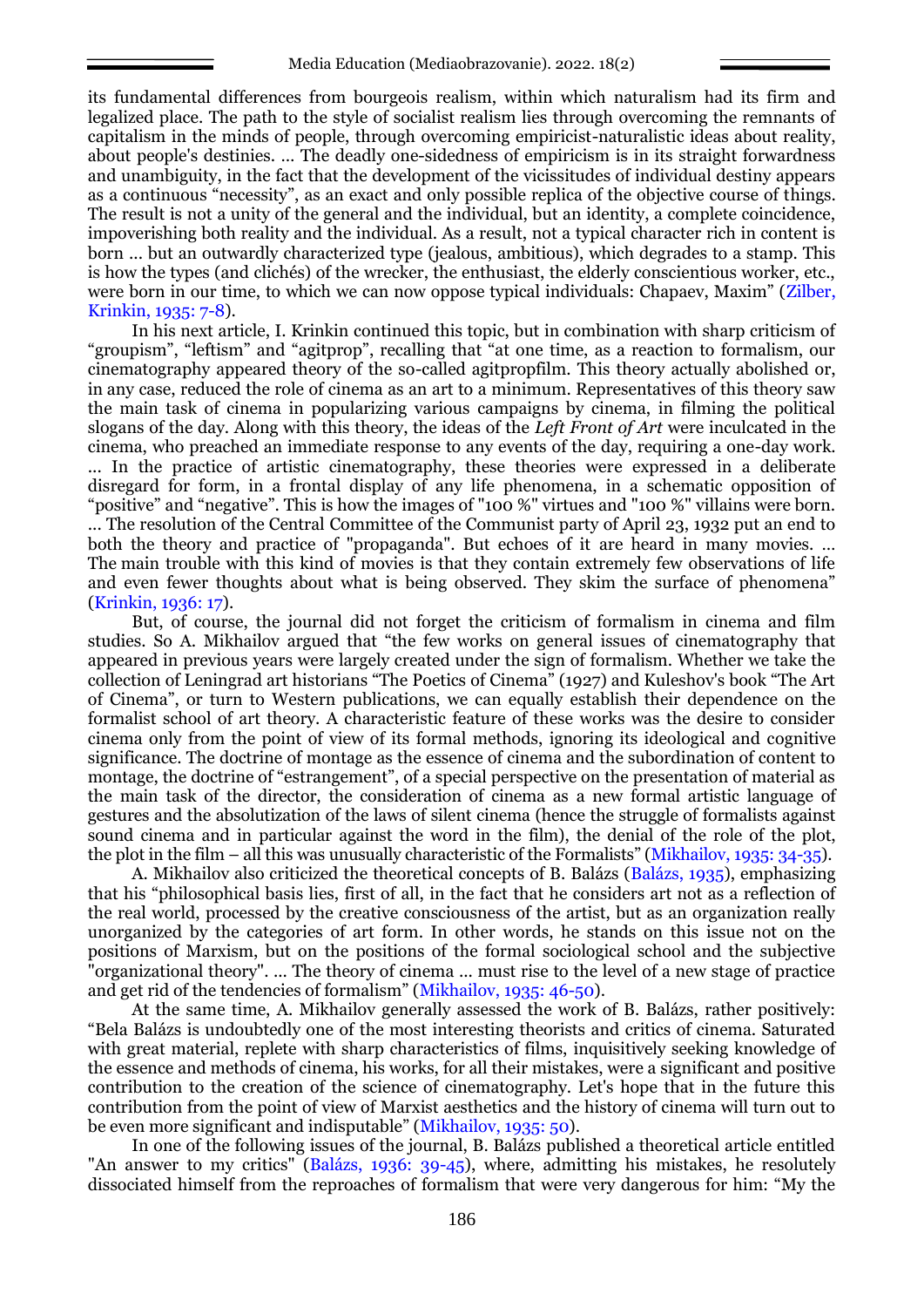its fundamental differences from bourgeois realism, within which naturalism had its firm and legalized place. The path to the style of socialist realism lies through overcoming the remnants of capitalism in the minds of people, through overcoming empiricist-naturalistic ideas about reality, about people's destinies. ... The deadly one-sidedness of empiricism is in its straight forwardness and unambiguity, in the fact that the development of the vicissitudes of individual destiny appears as a continuous "necessity", as an exact and only possible replica of the objective course of things. The result is not a unity of the general and the individual, but an identity, a complete coincidence, impoverishing both reality and the individual. As a result, not a typical character rich in content is born ... but an outwardly characterized type (jealous, ambitious), which degrades to a stamp. This is how the types (and clichés) of the wrecker, the enthusiast, the elderly conscientious worker, etc., were born in our time, to which we can now oppose typical individuals: Chapaev, Maxim" (Zilber, Krinkin, 1935: 7-8).

In his next article, I. Krinkin continued this topic, but in combination with sharp criticism of "groupism", "leftism" and "agitprop", recalling that "at one time, as a reaction to formalism, our cinematography appeared theory of the so-called agitpropfilm. This theory actually abolished or, in any case, reduced the role of cinema as an art to a minimum. Representatives of this theory saw the main task of cinema in popularizing various campaigns by cinema, in filming the political slogans of the day. Along with this theory, the ideas of the *Left Front of Art* were inculcated in the cinema, who preached an immediate response to any events of the day, requiring a one-day work. ... In the practice of artistic cinematography, these theories were expressed in a deliberate disregard for form, in a frontal display of any life phenomena, in a schematic opposition of "positive" and "negative". This is how the images of "100 %" virtues and "100 %" villains were born. ... The resolution of the Central Committee of the Communist party of April 23, 1932 put an end to both the theory and practice of "propaganda". But echoes of it are heard in many movies. … The main trouble with this kind of movies is that they contain extremely few observations of life and even fewer thoughts about what is being observed. They skim the surface of phenomena" (Krinkin, 1936: 17).

But, of course, the journal did not forget the criticism of formalism in cinema and film studies. So A. Mikhailov argued that "the few works on general issues of cinematography that appeared in previous years were largely created under the sign of formalism. Whether we take the collection of Leningrad art historians "The Poetics of Cinema" (1927) and Kuleshov's book "The Art of Cinema", or turn to Western publications, we can equally establish their dependence on the formalist school of art theory. A characteristic feature of these works was the desire to consider cinema only from the point of view of its formal methods, ignoring its ideological and cognitive significance. The doctrine of montage as the essence of cinema and the subordination of content to montage, the doctrine of "estrangement", of a special perspective on the presentation of material as the main task of the director, the consideration of cinema as a new formal artistic language of gestures and the absolutization of the laws of silent cinema (hence the struggle of formalists against sound cinema and in particular against the word in the film), the denial of the role of the plot, the plot in the film – all this was unusually characteristic of the Formalists" (Mikhailov, 1935: 34-35).

A. Mikhailov also criticized the theoretical concepts of B. Balázs (Balázs, 1935), emphasizing that his "philosophical basis lies, first of all, in the fact that he considers art not as a reflection of the real world, processed by the creative consciousness of the artist, but as an organization really unorganized by the categories of art form. In other words, he stands on this issue not on the positions of Marxism, but on the positions of the formal sociological school and the subjective "organizational theory". ... The theory of cinema ... must rise to the level of a new stage of practice and get rid of the tendencies of formalism" (Mikhailov, 1935: 46-50).

At the same time, A. Mikhailov generally assessed the work of B. Balázs, rather positively: "Bela Balázs is undoubtedly one of the most interesting theorists and critics of cinema. Saturated with great material, replete with sharp characteristics of films, inquisitively seeking knowledge of the essence and methods of cinema, his works, for all their mistakes, were a significant and positive contribution to the creation of the science of cinematography. Let's hope that in the future this contribution from the point of view of Marxist aesthetics and the history of cinema will turn out to be even more significant and indisputable" (Mikhailov, 1935: 50).

In one of the following issues of the journal, B. Balázs published a theoretical article entitled "An answer to my critics" (Balázs, 1936: 39-45), where, admitting his mistakes, he resolutely dissociated himself from the reproaches of formalism that were very dangerous for him: "My the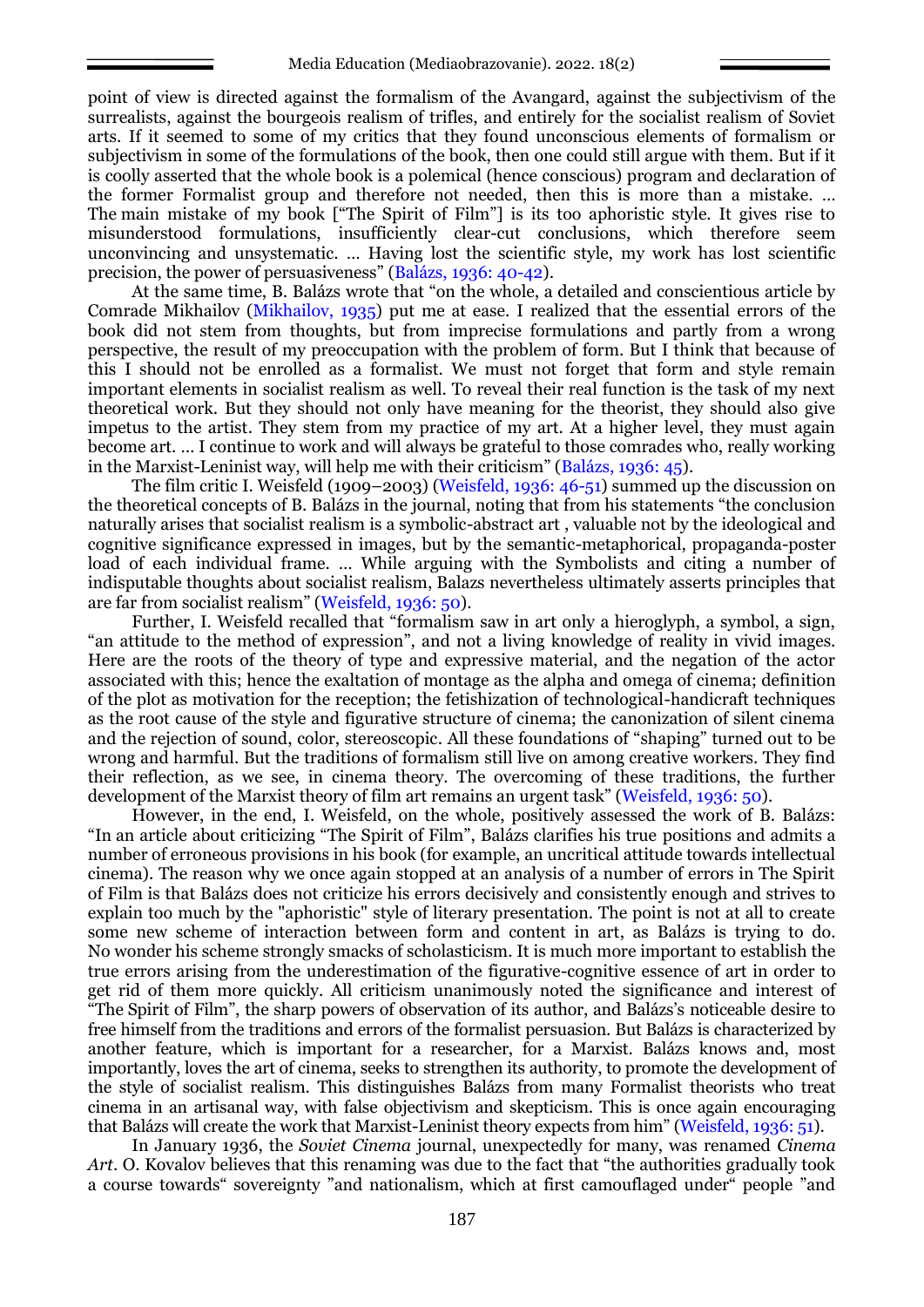point of view is directed against the formalism of the Avangard, against the subjectivism of the surrealists, against the bourgeois realism of trifles, and entirely for the socialist realism of Soviet arts. If it seemed to some of my critics that they found unconscious elements of formalism or subjectivism in some of the formulations of the book, then one could still argue with them. But if it is coolly asserted that the whole book is a polemical (hence conscious) program and declaration of the former Formalist group and therefore not needed, then this is more than a mistake. … The main mistake of my book ["The Spirit of Film"] is its too aphoristic style. It gives rise to misunderstood formulations, insufficiently clear-cut conclusions, which therefore seem unconvincing and unsystematic. … Having lost the scientific style, my work has lost scientific precision, the power of persuasiveness" (Balázs, 1936: 40-42).

At the same time, B. Balázs wrote that "on the whole, a detailed and conscientious article by Comrade Mikhailov (Mikhailov, 1935) put me at ease. I realized that the essential errors of the book did not stem from thoughts, but from imprecise formulations and partly from a wrong perspective, the result of my preoccupation with the problem of form. But I think that because of this I should not be enrolled as a formalist. We must not forget that form and style remain important elements in socialist realism as well. To reveal their real function is the task of my next theoretical work. But they should not only have meaning for the theorist, they should also give impetus to the artist. They stem from my practice of my art. At a higher level, they must again become art. … I continue to work and will always be grateful to those comrades who, really working in the Marxist-Leninist way, will help me with their criticism" (Balázs, 1936: 45).

The film critic I. Weisfeld (1909–2003) (Weisfeld, 1936: 46-51) summed up the discussion on the theoretical concepts of B. Balázs in the journal, noting that from his statements "the conclusion naturally arises that socialist realism is a symbolic-abstract art , valuable not by the ideological and cognitive significance expressed in images, but by the semantic-metaphorical, propaganda-poster load of each individual frame. … While arguing with the Symbolists and citing a number of indisputable thoughts about socialist realism, Balazs nevertheless ultimately asserts principles that are far from socialist realism" (Weisfeld, 1936: 50).

Further, I. Weisfeld recalled that "formalism saw in art only a hieroglyph, a symbol, a sign, "an attitude to the method of expression", and not a living knowledge of reality in vivid images. Here are the roots of the theory of type and expressive material, and the negation of the actor associated with this; hence the exaltation of montage as the alpha and omega of cinema; definition of the plot as motivation for the reception; the fetishization of technological-handicraft techniques as the root cause of the style and figurative structure of cinema; the canonization of silent cinema and the rejection of sound, color, stereoscopic. All these foundations of "shaping" turned out to be wrong and harmful. But the traditions of formalism still live on among creative workers. They find their reflection, as we see, in cinema theory. The overcoming of these traditions, the further development of the Marxist theory of film art remains an urgent task" (Weisfeld, 1936: 50).

However, in the end, I. Weisfeld, on the whole, positively assessed the work of B. Balázs: "In an article about criticizing "The Spirit of Film", Balázs clarifies his true positions and admits a number of erroneous provisions in his book (for example, an uncritical attitude towards intellectual cinema). The reason why we once again stopped at an analysis of a number of errors in The Spirit of Film is that Balázs does not criticize his errors decisively and consistently enough and strives to explain too much by the "aphoristic" style of literary presentation. The point is not at all to create some new scheme of interaction between form and content in art, as Balázs is trying to do. No wonder his scheme strongly smacks of scholasticism. It is much more important to establish the true errors arising from the underestimation of the figurative-cognitive essence of art in order to get rid of them more quickly. All criticism unanimously noted the significance and interest of "The Spirit of Film", the sharp powers of observation of its author, and Balázs's noticeable desire to free himself from the traditions and errors of the formalist persuasion. But Balázs is characterized by another feature, which is important for a researcher, for a Marxist. Balázs knows and, most importantly, loves the art of cinema, seeks to strengthen its authority, to promote the development of the style of socialist realism. This distinguishes Balázs from many Formalist theorists who treat cinema in an artisanal way, with false objectivism and skepticism. This is once again encouraging that Balázs will create the work that Marxist-Leninist theory expects from him" (Weisfeld, 1936: 51).

In January 1936, the *Soviet Cinema* journal, unexpectedly for many, was renamed *Cinema Art*. O. Kovalov believes that this renaming was due to the fact that "the authorities gradually took a course towards" sovereignty "and nationalism, which at first camouflaged under" people "and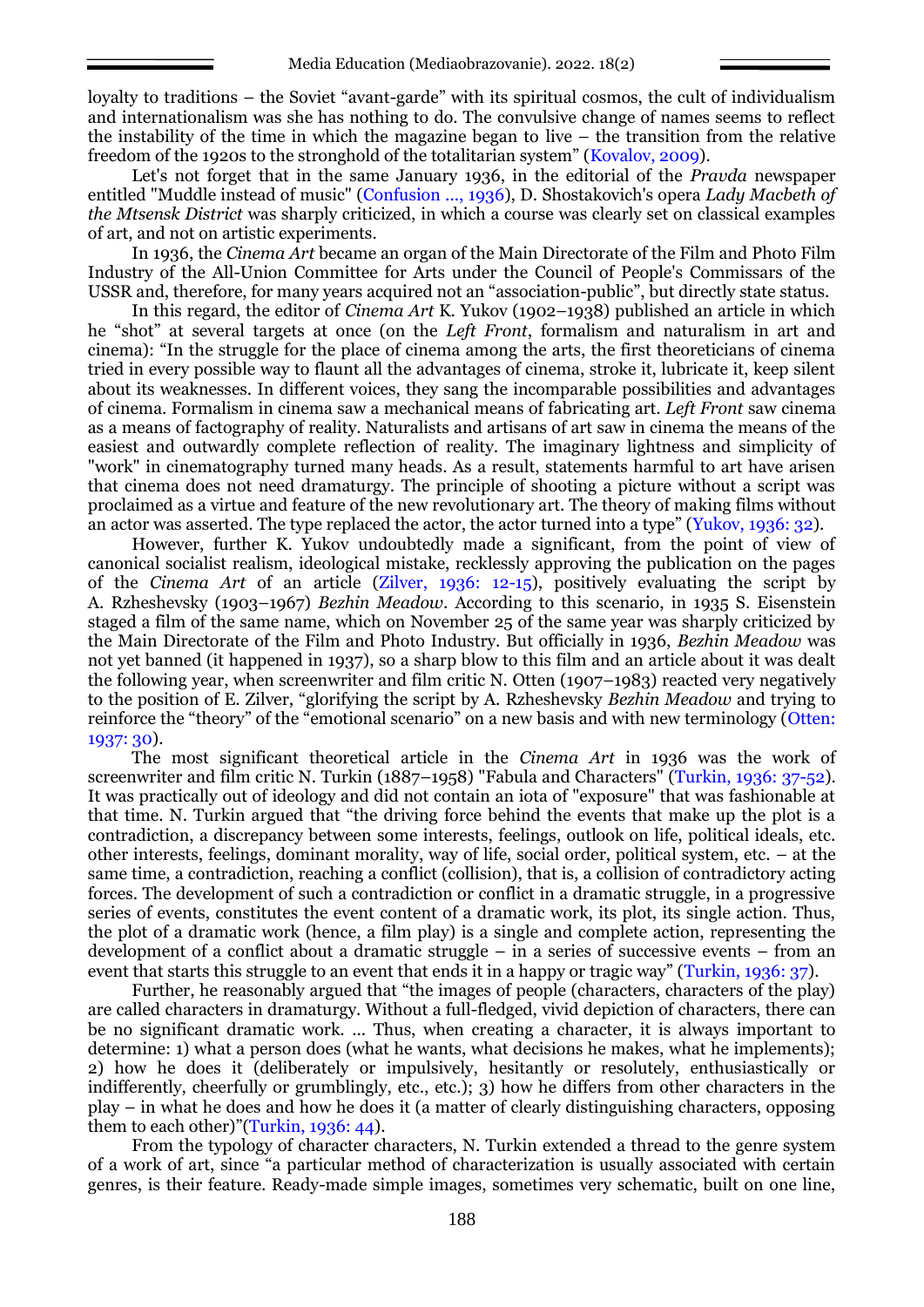loyalty to traditions – the Soviet "avant-garde" with its spiritual cosmos, the cult of individualism and internationalism was she has nothing to do. The convulsive change of names seems to reflect the instability of the time in which the magazine began to live – the transition from the relative freedom of the 1920s to the stronghold of the totalitarian system" (Kovalov, 2009).

Let's not forget that in the same January 1936, in the editorial of the *Pravda* newspaper entitled "Muddle instead of music" (Confusion ..., 1936), D. Shostakovich's opera *Lady Macbeth of the Mtsensk District* was sharply criticized, in which a course was clearly set on classical examples of art, and not on artistic experiments.

In 1936, the *Cinema Art* became an organ of the Main Directorate of the Film and Photo Film Industry of the All-Union Committee for Arts under the Council of People's Commissars of the USSR and, therefore, for many years acquired not an "association-public", but directly state status.

In this regard, the editor of *Cinema Art* K. Yukov (1902–1938) published an article in which he "shot" at several targets at once (on the *Left Front*, formalism and naturalism in art and cinema): "In the struggle for the place of cinema among the arts, the first theoreticians of cinema tried in every possible way to flaunt all the advantages of cinema, stroke it, lubricate it, keep silent about its weaknesses. In different voices, they sang the incomparable possibilities and advantages of cinema. Formalism in cinema saw a mechanical means of fabricating art. *Left Front* saw cinema as a means of factography of reality. Naturalists and artisans of art saw in cinema the means of the easiest and outwardly complete reflection of reality. The imaginary lightness and simplicity of "work" in cinematography turned many heads. As a result, statements harmful to art have arisen that cinema does not need dramaturgy. The principle of shooting a picture without a script was proclaimed as a virtue and feature of the new revolutionary art. The theory of making films without an actor was asserted. The type replaced the actor, the actor turned into a type" (Yukov, 1936: 32).

However, further K. Yukov undoubtedly made a significant, from the point of view of canonical socialist realism, ideological mistake, recklessly approving the publication on the pages of the *Cinema Art* of an article (Zilver, 1936: 12-15), positively evaluating the script by A. Rzheshevsky (1903–1967) *Bezhin Meadow*. According to this scenario, in 1935 S. Eisenstein staged a film of the same name, which on November 25 of the same year was sharply criticized by the Main Directorate of the Film and Photo Industry. But officially in 1936, *Bezhin Meadow* was not yet banned (it happened in 1937), so a sharp blow to this film and an article about it was dealt the following year, when screenwriter and film critic N. Otten (1907–1983) reacted very negatively to the position of E. Zilver, "glorifying the script by A. Rzheshevsky *Bezhin Meadow* and trying to reinforce the "theory" of the "emotional scenario" on a new basis and with new terminology (Otten: 1937: 30).

The most significant theoretical article in the *Cinema Art* in 1936 was the work of screenwriter and film critic N. Turkin (1887–1958) "Fabula and Characters" (Turkin, 1936: 37-52). It was practically out of ideology and did not contain an iota of "exposure" that was fashionable at that time. N. Turkin argued that "the driving force behind the events that make up the plot is a contradiction, a discrepancy between some interests, feelings, outlook on life, political ideals, etc. other interests, feelings, dominant morality, way of life, social order, political system, etc. – at the same time, a contradiction, reaching a conflict (collision), that is, a collision of contradictory acting forces. The development of such a contradiction or conflict in a dramatic struggle, in a progressive series of events, constitutes the event content of a dramatic work, its plot, its single action. Thus, the plot of a dramatic work (hence, a film play) is a single and complete action, representing the development of a conflict about a dramatic struggle – in a series of successive events – from an event that starts this struggle to an event that ends it in a happy or tragic way" (Turkin, 1936: 37).

Further, he reasonably argued that "the images of people (characters, characters of the play) are called characters in dramaturgy. Without a full-fledged, vivid depiction of characters, there can be no significant dramatic work. ... Thus, when creating a character, it is always important to determine: 1) what a person does (what he wants, what decisions he makes, what he implements); 2) how he does it (deliberately or impulsively, hesitantly or resolutely, enthusiastically or indifferently, cheerfully or grumblingly, etc., etc.); 3) how he differs from other characters in the play – in what he does and how he does it (a matter of clearly distinguishing characters, opposing them to each other)"(Turkin, 1936: 44).

From the typology of character characters, N. Turkin extended a thread to the genre system of a work of art, since "a particular method of characterization is usually associated with certain genres, is their feature. Ready-made simple images, sometimes very schematic, built on one line,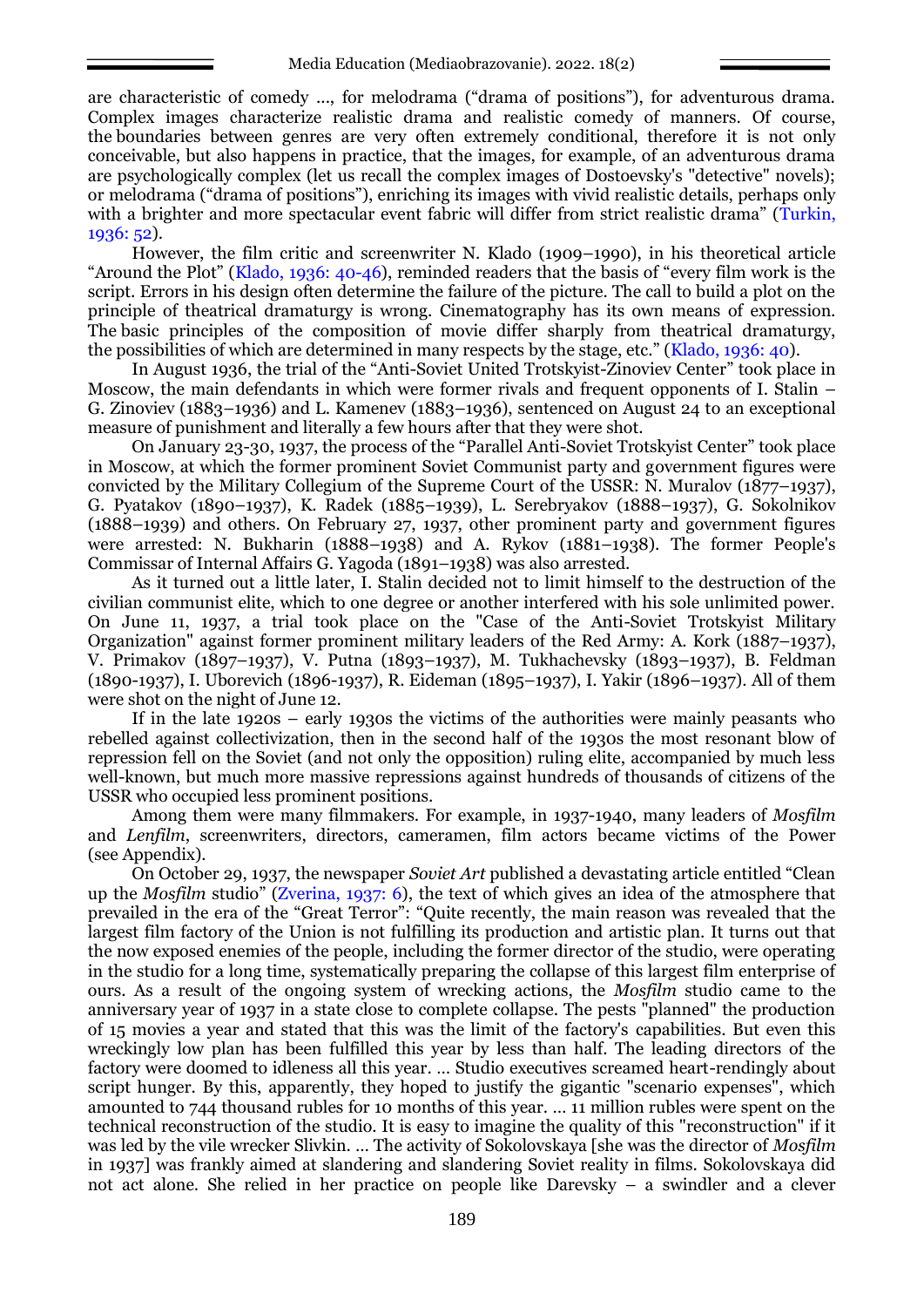are characteristic of comedy ..., for melodrama ("drama of positions"), for adventurous drama. Complex images characterize realistic drama and realistic comedy of manners. Of course, the boundaries between genres are very often extremely conditional, therefore it is not only conceivable, but also happens in practice, that the images, for example, of an adventurous drama are psychologically complex (let us recall the complex images of Dostoevsky's "detective" novels); or melodrama ("drama of positions"), enriching its images with vivid realistic details, perhaps only with a brighter and more spectacular event fabric will differ from strict realistic drama" (Turkin, 1936: 52).

However, the film critic and screenwriter N. Klado (1909–1990), in his theoretical article "Around the Plot" (Klado, 1936: 40-46), reminded readers that the basis of "every film work is the script. Errors in his design often determine the failure of the picture. The call to build a plot on the principle of theatrical dramaturgy is wrong. Cinematography has its own means of expression. The basic principles of the composition of movie differ sharply from theatrical dramaturgy, the possibilities of which are determined in many respects by the stage, etc." (Klado, 1936: 40).

In August 1936, the trial of the "Anti-Soviet United Trotskyist-Zinoviev Center" took place in Moscow, the main defendants in which were former rivals and frequent opponents of I. Stalin – G. Zinoviev (1883–1936) and L. Kamenev (1883–1936), sentenced on August 24 to an exceptional measure of punishment and literally a few hours after that they were shot.

On January 23-30, 1937, the process of the "Parallel Anti-Soviet Trotskyist Center" took place in Moscow, at which the former prominent Soviet Communist party and government figures were convicted by the Military Collegium of the Supreme Court of the USSR: N. Muralov (1877–1937), G. Pyatakov (1890–1937), K. Radek (1885–1939), L. Serebryakov (1888–1937), G. Sokolnikov (1888–1939) and others. On February 27, 1937, other prominent party and government figures were arrested: N. Bukharin (1888–1938) and A. Rykov (1881–1938). The former People's Commissar of Internal Affairs G. Yagoda (1891–1938) was also arrested.

As it turned out a little later, I. Stalin decided not to limit himself to the destruction of the civilian communist elite, which to one degree or another interfered with his sole unlimited power. On June 11, 1937, a trial took place on the "Case of the Anti-Soviet Trotskyist Military Organization" against former prominent military leaders of the Red Army: A. Kork (1887–1937), V. Primakov (1897–1937), V. Putna (1893–1937), M. Tukhachevsky (1893–1937), B. Feldman (1890-1937), I. Uborevich (1896-1937), R. Eideman (1895–1937), I. Yakir (1896–1937). All of them were shot on the night of June 12.

If in the late 1920s – early 1930s the victims of the authorities were mainly peasants who rebelled against collectivization, then in the second half of the 1930s the most resonant blow of repression fell on the Soviet (and not only the opposition) ruling elite, accompanied by much less well-known, but much more massive repressions against hundreds of thousands of citizens of the USSR who occupied less prominent positions.

Among them were many filmmakers. For example, in 1937-1940, many leaders of *Mosfilm*  and *Lenfilm*, screenwriters, directors, cameramen, film actors became victims of the Power (see Appendix).

On October 29, 1937, the newspaper *Soviet Art* published a devastating article entitled "Clean up the *Mosfilm* studio" (Zverina, 1937: 6), the text of which gives an idea of the atmosphere that prevailed in the era of the "Great Terror": "Quite recently, the main reason was revealed that the largest film factory of the Union is not fulfilling its production and artistic plan. It turns out that the now exposed enemies of the people, including the former director of the studio, were operating in the studio for a long time, systematically preparing the collapse of this largest film enterprise of ours. As a result of the ongoing system of wrecking actions, the *Mosfilm* studio came to the anniversary year of 1937 in a state close to complete collapse. The pests "planned" the production of 15 movies a year and stated that this was the limit of the factory's capabilities. But even this wreckingly low plan has been fulfilled this year by less than half. The leading directors of the factory were doomed to idleness all this year. … Studio executives screamed heart-rendingly about script hunger. By this, apparently, they hoped to justify the gigantic "scenario expenses", which amounted to 744 thousand rubles for 10 months of this year. … 11 million rubles were spent on the technical reconstruction of the studio. It is easy to imagine the quality of this "reconstruction" if it was led by the vile wrecker Slivkin. … The activity of Sokolovskaya [she was the director of *Mosfilm* in 1937] was frankly aimed at slandering and slandering Soviet reality in films. Sokolovskaya did not act alone. She relied in her practice on people like Darevsky – a swindler and a clever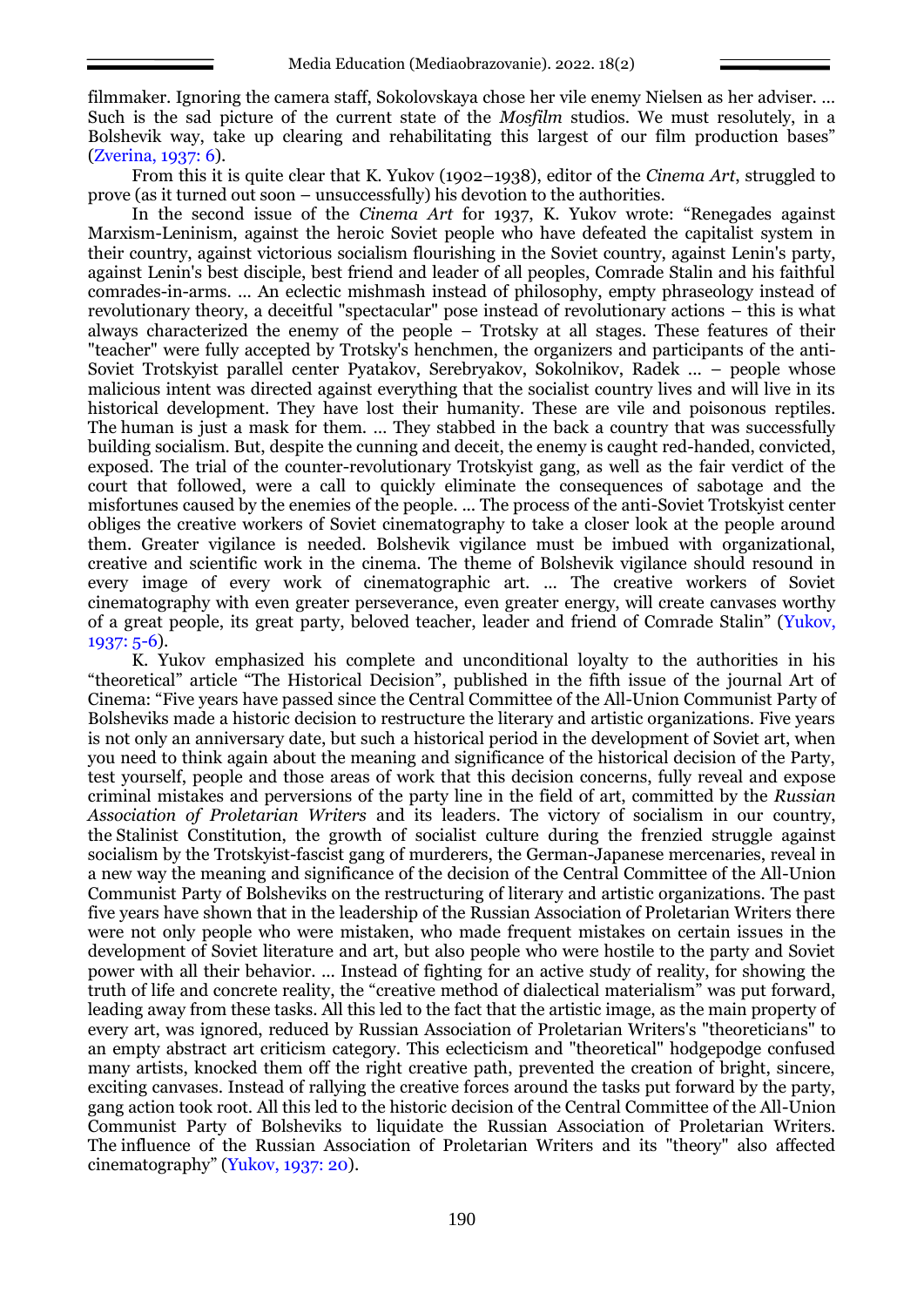filmmaker. Ignoring the camera staff, Sokolovskaya chose her vile enemy Nielsen as her adviser. … Such is the sad picture of the current state of the *Mosfilm* studios. We must resolutely, in a Bolshevik way, take up clearing and rehabilitating this largest of our film production bases" (Zverina, 1937: 6).

From this it is quite clear that K. Yukov (1902–1938), editor of the *Cinema Art*, struggled to prove (as it turned out soon – unsuccessfully) his devotion to the authorities.

In the second issue of the *Cinema Art* for 1937, K. Yukov wrote: "Renegades against Marxism-Leninism, against the heroic Soviet people who have defeated the capitalist system in their country, against victorious socialism flourishing in the Soviet country, against Lenin's party, against Lenin's best disciple, best friend and leader of all peoples, Comrade Stalin and his faithful comrades-in-arms. ... An eclectic mishmash instead of philosophy, empty phraseology instead of revolutionary theory, a deceitful "spectacular" pose instead of revolutionary actions – this is what always characterized the enemy of the people – Trotsky at all stages. These features of their "teacher" were fully accepted by Trotsky's henchmen, the organizers and participants of the anti-Soviet Trotskyist parallel center Pyatakov, Serebryakov, Sokolnikov, Radek ... – people whose malicious intent was directed against everything that the socialist country lives and will live in its historical development. They have lost their humanity. These are vile and poisonous reptiles. The human is just a mask for them. … They stabbed in the back a country that was successfully building socialism. But, despite the cunning and deceit, the enemy is caught red-handed, convicted, exposed. The trial of the counter-revolutionary Trotskyist gang, as well as the fair verdict of the court that followed, were a call to quickly eliminate the consequences of sabotage and the misfortunes caused by the enemies of the people. ... The process of the anti-Soviet Trotskyist center obliges the creative workers of Soviet cinematography to take a closer look at the people around them. Greater vigilance is needed. Bolshevik vigilance must be imbued with organizational, creative and scientific work in the cinema. The theme of Bolshevik vigilance should resound in every image of every work of cinematographic art. ... The creative workers of Soviet cinematography with even greater perseverance, even greater energy, will create canvases worthy of a great people, its great party, beloved teacher, leader and friend of Comrade Stalin" (Yukov, 1937: 5-6).

K. Yukov emphasized his complete and unconditional loyalty to the authorities in his "theoretical" article "The Historical Decision", published in the fifth issue of the journal Art of Cinema: "Five years have passed since the Central Committee of the All-Union Communist Party of Bolsheviks made a historic decision to restructure the literary and artistic organizations. Five years is not only an anniversary date, but such a historical period in the development of Soviet art, when you need to think again about the meaning and significance of the historical decision of the Party, test yourself, people and those areas of work that this decision concerns, fully reveal and expose criminal mistakes and perversions of the party line in the field of art, committed by the *Russian Association of Proletarian Writers* and its leaders. The victory of socialism in our country, the Stalinist Constitution, the growth of socialist culture during the frenzied struggle against socialism by the Trotskyist-fascist gang of murderers, the German-Japanese mercenaries, reveal in a new way the meaning and significance of the decision of the Central Committee of the All-Union Communist Party of Bolsheviks on the restructuring of literary and artistic organizations. The past five years have shown that in the leadership of the Russian Association of Proletarian Writers there were not only people who were mistaken, who made frequent mistakes on certain issues in the development of Soviet literature and art, but also people who were hostile to the party and Soviet power with all their behavior. ... Instead of fighting for an active study of reality, for showing the truth of life and concrete reality, the "creative method of dialectical materialism" was put forward, leading away from these tasks. All this led to the fact that the artistic image, as the main property of every art, was ignored, reduced by Russian Association of Proletarian Writers's "theoreticians" to an empty abstract art criticism category. This eclecticism and "theoretical" hodgepodge confused many artists, knocked them off the right creative path, prevented the creation of bright, sincere, exciting canvases. Instead of rallying the creative forces around the tasks put forward by the party, gang action took root. All this led to the historic decision of the Central Committee of the All-Union Communist Party of Bolsheviks to liquidate the Russian Association of Proletarian Writers. The influence of the Russian Association of Proletarian Writers and its "theory" also affected cinematography" (Yukov, 1937: 20).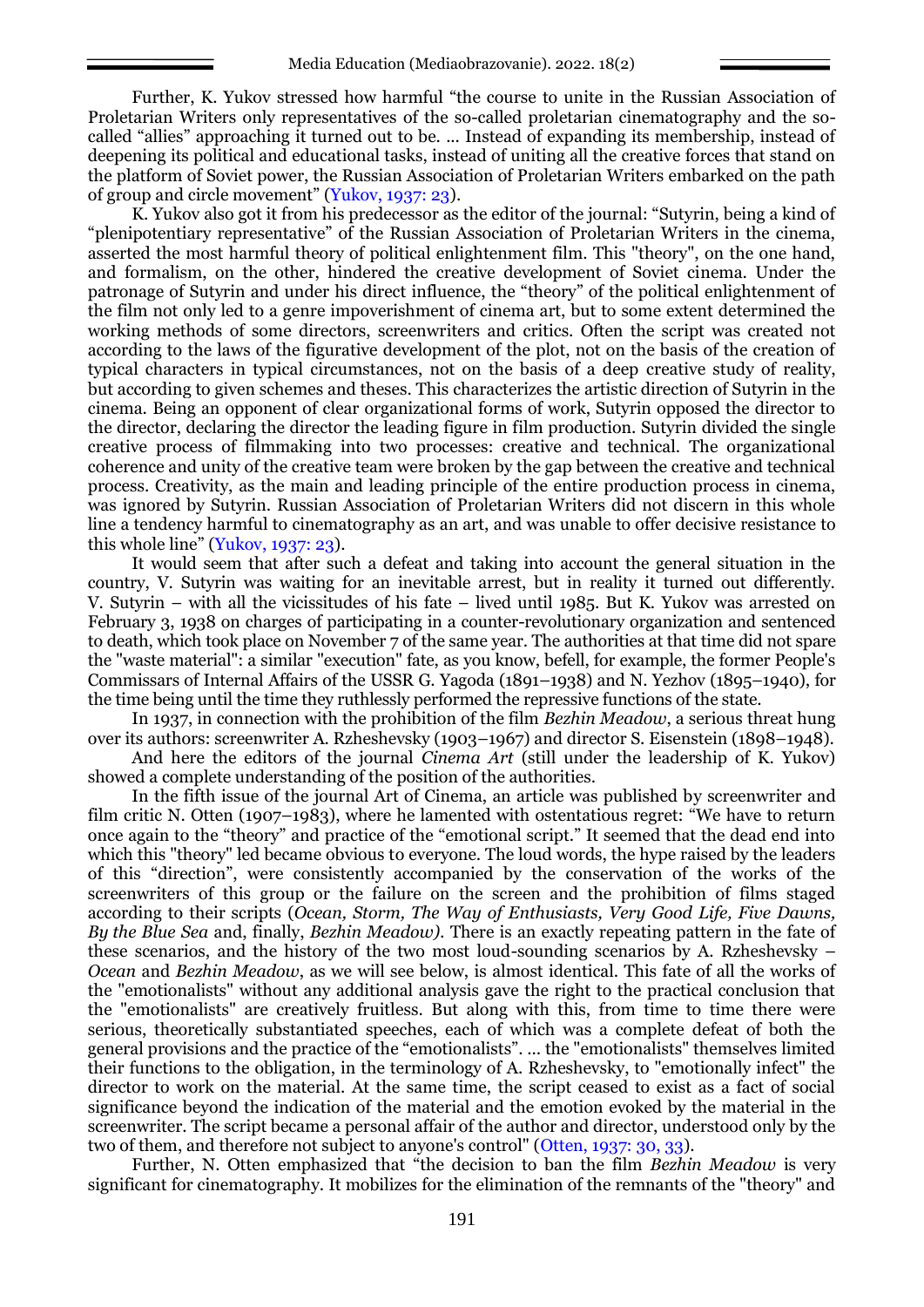Further, K. Yukov stressed how harmful "the course to unite in the Russian Association of Proletarian Writers only representatives of the so-called proletarian cinematography and the socalled "allies" approaching it turned out to be. ... Instead of expanding its membership, instead of deepening its political and educational tasks, instead of uniting all the creative forces that stand on the platform of Soviet power, the Russian Association of Proletarian Writers embarked on the path of group and circle movement" (Yukov, 1937: 23).

K. Yukov also got it from his predecessor as the editor of the journal: "Sutyrin, being a kind of "plenipotentiary representative" of the Russian Association of Proletarian Writers in the cinema, asserted the most harmful theory of political enlightenment film. This "theory", on the one hand, and formalism, on the other, hindered the creative development of Soviet cinema. Under the patronage of Sutyrin and under his direct influence, the "theory" of the political enlightenment of the film not only led to a genre impoverishment of cinema art, but to some extent determined the working methods of some directors, screenwriters and critics. Often the script was created not according to the laws of the figurative development of the plot, not on the basis of the creation of typical characters in typical circumstances, not on the basis of a deep creative study of reality, but according to given schemes and theses. This characterizes the artistic direction of Sutyrin in the cinema. Being an opponent of clear organizational forms of work, Sutyrin opposed the director to the director, declaring the director the leading figure in film production. Sutyrin divided the single creative process of filmmaking into two processes: creative and technical. The organizational coherence and unity of the creative team were broken by the gap between the creative and technical process. Creativity, as the main and leading principle of the entire production process in cinema, was ignored by Sutyrin. Russian Association of Proletarian Writers did not discern in this whole line a tendency harmful to cinematography as an art, and was unable to offer decisive resistance to this whole line" (Yukov, 1937: 23).

It would seem that after such a defeat and taking into account the general situation in the country, V. Sutyrin was waiting for an inevitable arrest, but in reality it turned out differently. V. Sutyrin – with all the vicissitudes of his fate – lived until 1985. But K. Yukov was arrested on February 3, 1938 on charges of participating in a counter-revolutionary organization and sentenced to death, which took place on November 7 of the same year. The authorities at that time did not spare the "waste material": a similar "execution" fate, as you know, befell, for example, the former People's Commissars of Internal Affairs of the USSR G. Yagoda (1891–1938) and N. Yezhov (1895–1940), for the time being until the time they ruthlessly performed the repressive functions of the state.

In 1937, in connection with the prohibition of the film *Bezhin Meadow*, a serious threat hung over its authors: screenwriter A. Rzheshevsky (1903–1967) and director S. Eisenstein (1898–1948).

And here the editors of the journal *Cinema Art* (still under the leadership of K. Yukov) showed a complete understanding of the position of the authorities.

In the fifth issue of the journal Art of Cinema, an article was published by screenwriter and film critic N. Otten (1907–1983), where he lamented with ostentatious regret: "We have to return once again to the "theory" and practice of the "emotional script." It seemed that the dead end into which this "theory" led became obvious to everyone. The loud words, the hype raised by the leaders of this "direction", were consistently accompanied by the conservation of the works of the screenwriters of this group or the failure on the screen and the prohibition of films staged according to their scripts (*Ocean, Storm, The Way of Enthusiasts, Very Good Life, Five Dawns, By the Blue Sea* and, finally, *Bezhin Meadow).* There is an exactly repeating pattern in the fate of these scenarios, and the history of the two most loud-sounding scenarios by A. Rzheshevsky – *Ocean* and *Bezhin Meadow*, as we will see below, is almost identical. This fate of all the works of the "emotionalists" without any additional analysis gave the right to the practical conclusion that the "emotionalists" are creatively fruitless. But along with this, from time to time there were serious, theoretically substantiated speeches, each of which was a complete defeat of both the general provisions and the practice of the "emotionalists". ... the "emotionalists" themselves limited their functions to the obligation, in the terminology of A. Rzheshevsky, to "emotionally infect" the director to work on the material. At the same time, the script ceased to exist as a fact of social significance beyond the indication of the material and the emotion evoked by the material in the screenwriter. The script became a personal affair of the author and director, understood only by the two of them, and therefore not subject to anyone's control" (Otten, 1937: 30, 33).

Further, N. Otten emphasized that "the decision to ban the film *Bezhin Meadow* is very significant for cinematography. It mobilizes for the elimination of the remnants of the "theory" and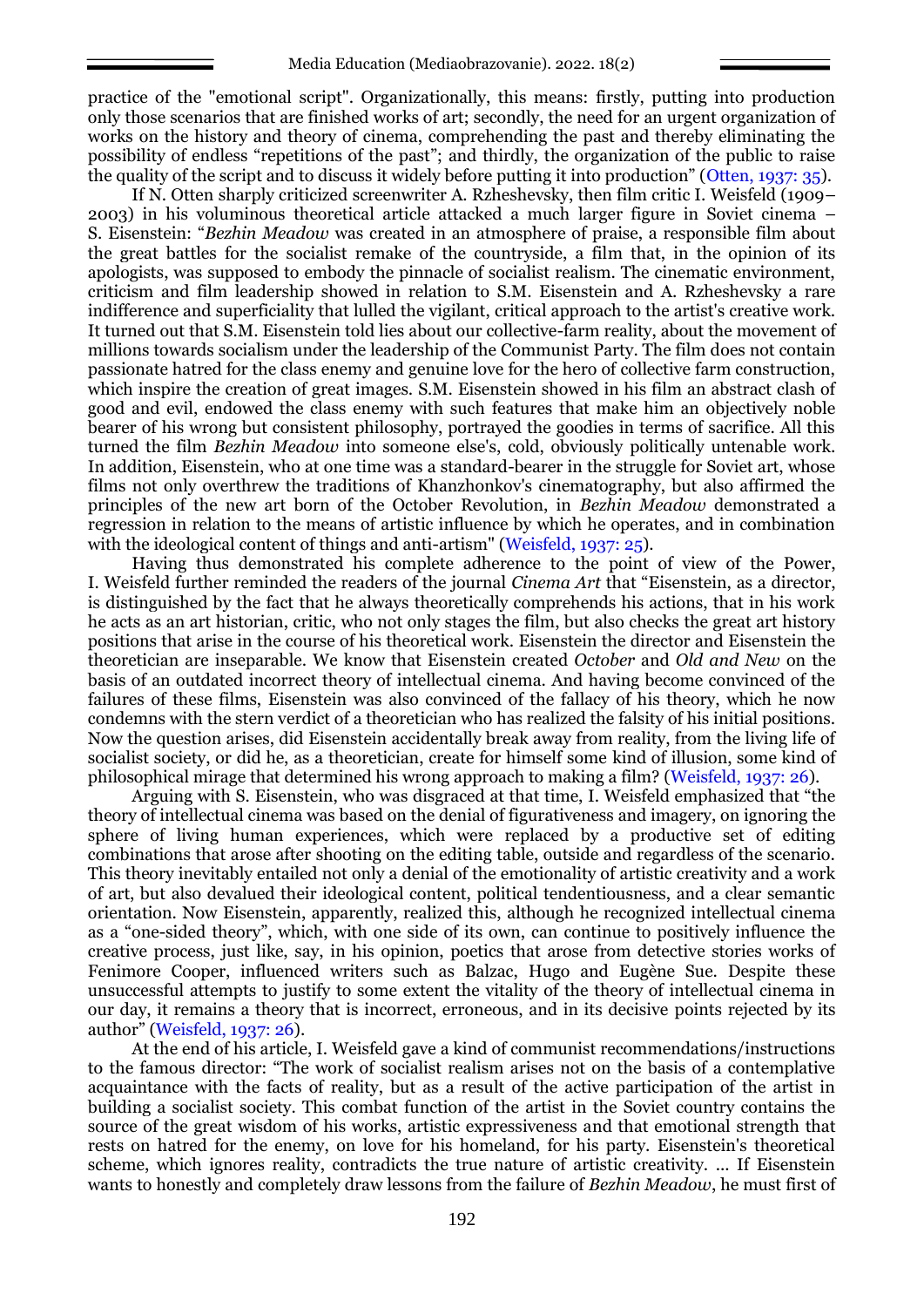practice of the "emotional script". Organizationally, this means: firstly, putting into production only those scenarios that are finished works of art; secondly, the need for an urgent organization of works on the history and theory of cinema, comprehending the past and thereby eliminating the possibility of endless "repetitions of the past"; and thirdly, the organization of the public to raise the quality of the script and to discuss it widely before putting it into production" (Otten, 1937: 35).

If N. Otten sharply criticized screenwriter A. Rzheshevsky, then film critic I. Weisfeld (1909– 2003) in his voluminous theoretical article attacked a much larger figure in Soviet cinema – S. Eisenstein: "*Bezhin Meadow* was created in an atmosphere of praise, a responsible film about the great battles for the socialist remake of the countryside, a film that, in the opinion of its apologists, was supposed to embody the pinnacle of socialist realism. The cinematic environment, criticism and film leadership showed in relation to S.M. Eisenstein and A. Rzheshevsky a rare indifference and superficiality that lulled the vigilant, critical approach to the artist's creative work. It turned out that S.M. Eisenstein told lies about our collective-farm reality, about the movement of millions towards socialism under the leadership of the Communist Party. The film does not contain passionate hatred for the class enemy and genuine love for the hero of collective farm construction, which inspire the creation of great images. S.M. Eisenstein showed in his film an abstract clash of good and evil, endowed the class enemy with such features that make him an objectively noble bearer of his wrong but consistent philosophy, portrayed the goodies in terms of sacrifice. All this turned the film *Bezhin Meadow* into someone else's, cold, obviously politically untenable work. In addition, Eisenstein, who at one time was a standard-bearer in the struggle for Soviet art, whose films not only overthrew the traditions of Khanzhonkov's cinematography, but also affirmed the principles of the new art born of the October Revolution, in *Bezhin Meadow* demonstrated a regression in relation to the means of artistic influence by which he operates, and in combination with the ideological content of things and anti-artism" (Weisfeld, 1937: 25).

Having thus demonstrated his complete adherence to the point of view of the Power, I. Weisfeld further reminded the readers of the journal *Cinema Art* that "Eisenstein, as a director, is distinguished by the fact that he always theoretically comprehends his actions, that in his work he acts as an art historian, critic, who not only stages the film, but also checks the great art history positions that arise in the course of his theoretical work. Eisenstein the director and Eisenstein the theoretician are inseparable. We know that Eisenstein created *October* and *Old and New* on the basis of an outdated incorrect theory of intellectual cinema. And having become convinced of the failures of these films, Eisenstein was also convinced of the fallacy of his theory, which he now condemns with the stern verdict of a theoretician who has realized the falsity of his initial positions. Now the question arises, did Eisenstein accidentally break away from reality, from the living life of socialist society, or did he, as a theoretician, create for himself some kind of illusion, some kind of philosophical mirage that determined his wrong approach to making a film? (Weisfeld, 1937: 26).

Arguing with S. Eisenstein, who was disgraced at that time, I. Weisfeld emphasized that "the theory of intellectual cinema was based on the denial of figurativeness and imagery, on ignoring the sphere of living human experiences, which were replaced by a productive set of editing combinations that arose after shooting on the editing table, outside and regardless of the scenario. This theory inevitably entailed not only a denial of the emotionality of artistic creativity and a work of art, but also devalued their ideological content, political tendentiousness, and a clear semantic orientation. Now Eisenstein, apparently, realized this, although he recognized intellectual cinema as a "one-sided theory", which, with one side of its own, can continue to positively influence the creative process, just like, say, in his opinion, poetics that arose from detective stories works of Fenimore Cooper, influenced writers such as Balzac, Hugo and Eugène Sue. Despite these unsuccessful attempts to justify to some extent the vitality of the theory of intellectual cinema in our day, it remains a theory that is incorrect, erroneous, and in its decisive points rejected by its author" (Weisfeld, 1937: 26).

At the end of his article, I. Weisfeld gave a kind of communist recommendations/instructions to the famous director: "The work of socialist realism arises not on the basis of a contemplative acquaintance with the facts of reality, but as a result of the active participation of the artist in building a socialist society. This combat function of the artist in the Soviet country contains the source of the great wisdom of his works, artistic expressiveness and that emotional strength that rests on hatred for the enemy, on love for his homeland, for his party. Eisenstein's theoretical scheme, which ignores reality, contradicts the true nature of artistic creativity. ... If Eisenstein wants to honestly and completely draw lessons from the failure of *Bezhin Meadow*, he must first of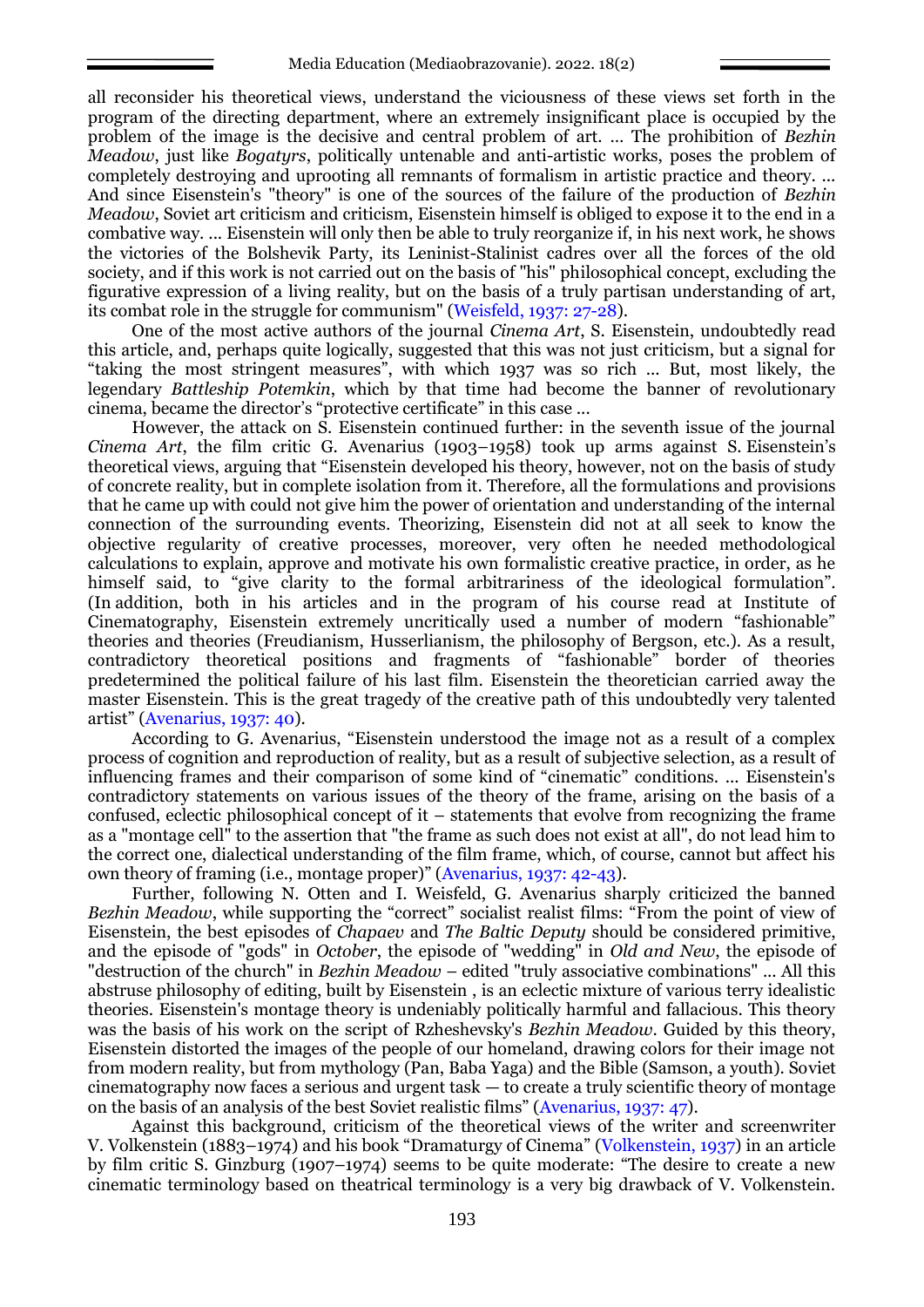all reconsider his theoretical views, understand the viciousness of these views set forth in the program of the directing department, where an extremely insignificant place is occupied by the problem of the image is the decisive and central problem of art. … The prohibition of *Bezhin Meadow*, just like *Bogatyrs*, politically untenable and anti-artistic works, poses the problem of completely destroying and uprooting all remnants of formalism in artistic practice and theory. ... And since Eisenstein's "theory" is one of the sources of the failure of the production of *Bezhin Meadow*, Soviet art criticism and criticism, Eisenstein himself is obliged to expose it to the end in a combative way. ... Eisenstein will only then be able to truly reorganize if, in his next work, he shows the victories of the Bolshevik Party, its Leninist-Stalinist cadres over all the forces of the old society, and if this work is not carried out on the basis of "his" philosophical concept, excluding the figurative expression of a living reality, but on the basis of a truly partisan understanding of art, its combat role in the struggle for communism" (Weisfeld, 1937: 27-28).

One of the most active authors of the journal *Cinema Art*, S. Eisenstein, undoubtedly read this article, and, perhaps quite logically, suggested that this was not just criticism, but a signal for "taking the most stringent measures", with which 1937 was so rich ... But, most likely, the legendary *Battleship Potemkin*, which by that time had become the banner of revolutionary cinema, became the director's "protective certificate" in this case ...

However, the attack on S. Eisenstein continued further: in the seventh issue of the journal *Cinema Art*, the film critic G. Avenarius (1903–1958) took up arms against S. Eisenstein's theoretical views, arguing that "Eisenstein developed his theory, however, not on the basis of study of concrete reality, but in complete isolation from it. Therefore, all the formulations and provisions that he came up with could not give him the power of orientation and understanding of the internal connection of the surrounding events. Theorizing, Eisenstein did not at all seek to know the objective regularity of creative processes, moreover, very often he needed methodological calculations to explain, approve and motivate his own formalistic creative practice, in order, as he himself said, to "give clarity to the formal arbitrariness of the ideological formulation". (In addition, both in his articles and in the program of his course read at Institute of Cinematography, Eisenstein extremely uncritically used a number of modern "fashionable" theories and theories (Freudianism, Husserlianism, the philosophy of Bergson, etc.). As a result, contradictory theoretical positions and fragments of "fashionable" border of theories predetermined the political failure of his last film. Eisenstein the theoretician carried away the master Eisenstein. This is the great tragedy of the creative path of this undoubtedly very talented artist" (Avenarius, 1937: 40).

According to G. Avenarius, "Eisenstein understood the image not as a result of a complex process of cognition and reproduction of reality, but as a result of subjective selection, as a result of influencing frames and their comparison of some kind of "cinematic" conditions. ... Eisenstein's contradictory statements on various issues of the theory of the frame, arising on the basis of a confused, eclectic philosophical concept of it – statements that evolve from recognizing the frame as a "montage cell" to the assertion that "the frame as such does not exist at all", do not lead him to the correct one, dialectical understanding of the film frame, which, of course, cannot but affect his own theory of framing (i.e., montage proper)" (Avenarius, 1937: 42-43).

Further, following N. Otten and I. Weisfeld, G. Avenarius sharply criticized the banned *Bezhin Meadow*, while supporting the "correct" socialist realist films: "From the point of view of Eisenstein, the best episodes of *Chapaev* and *The Baltic Deputy* should be considered primitive, and the episode of "gods" in *October*, the episode of "wedding" in *Old and New*, the episode of "destruction of the church" in *Bezhin Meadow* – edited "truly associative combinations" ... All this abstruse philosophy of editing, built by Eisenstein , is an eclectic mixture of various terry idealistic theories. Eisenstein's montage theory is undeniably politically harmful and fallacious. This theory was the basis of his work on the script of Rzheshevsky's *Bezhin Meadow*. Guided by this theory, Eisenstein distorted the images of the people of our homeland, drawing colors for their image not from modern reality, but from mythology (Pan, Baba Yaga) and the Bible (Samson, a youth). Soviet cinematography now faces a serious and urgent task — to create a truly scientific theory of montage on the basis of an analysis of the best Soviet realistic films" (Avenarius, 1937: 47).

Against this background, criticism of the theoretical views of the writer and screenwriter V. Volkenstein (1883–1974) and his book "Dramaturgy of Cinema" (Volkenstein, 1937) in an article by film critic S. Ginzburg (1907–1974) seems to be quite moderate: "The desire to create a new cinematic terminology based on theatrical terminology is a very big drawback of V. Volkenstein.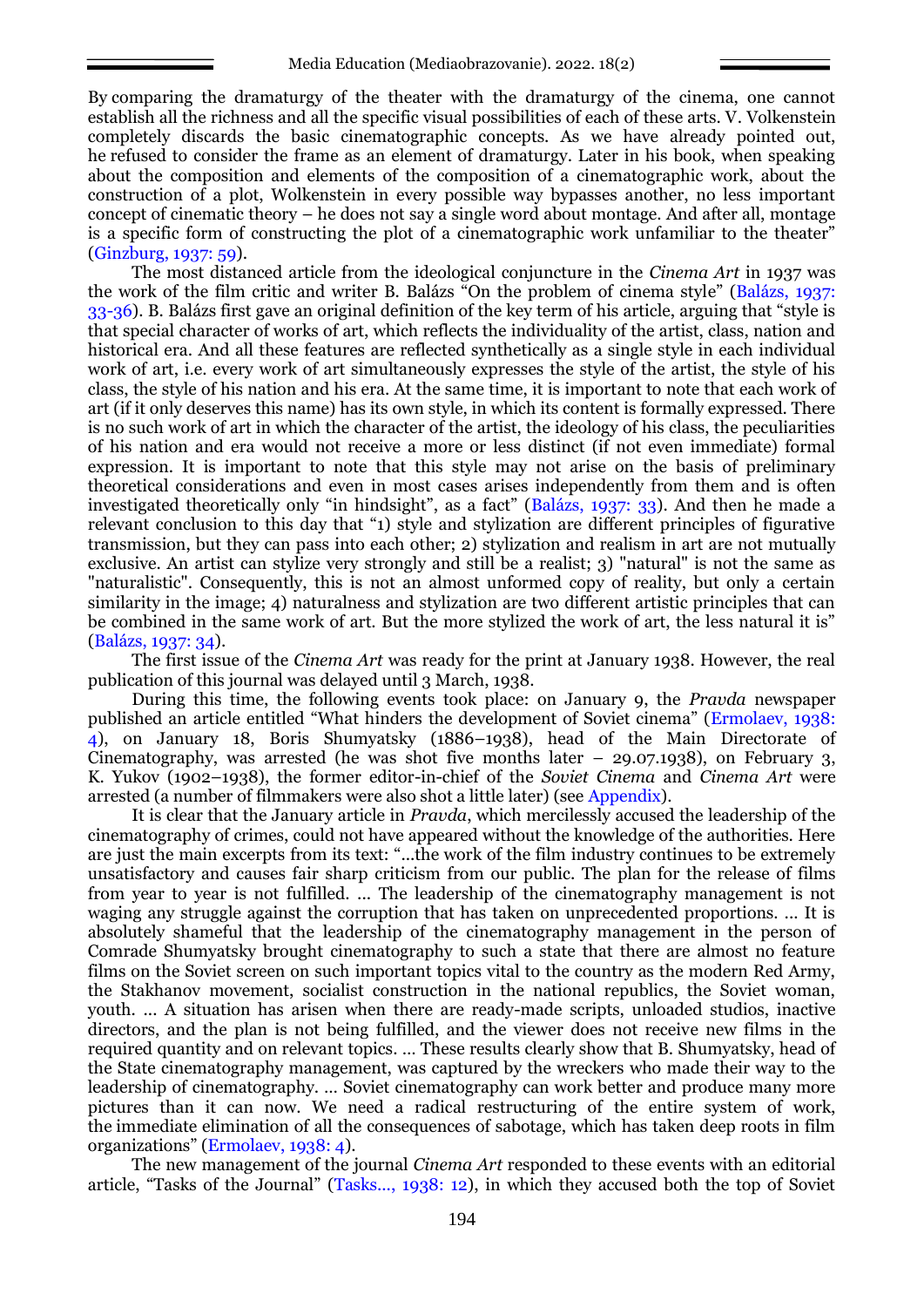By comparing the dramaturgy of the theater with the dramaturgy of the cinema, one cannot establish all the richness and all the specific visual possibilities of each of these arts. V. Volkenstein completely discards the basic cinematographic concepts. As we have already pointed out, he refused to consider the frame as an element of dramaturgy. Later in his book, when speaking about the composition and elements of the composition of a cinematographic work, about the construction of a plot, Wolkenstein in every possible way bypasses another, no less important concept of cinematic theory – he does not say a single word about montage. And after all, montage is a specific form of constructing the plot of a cinematographic work unfamiliar to the theater" (Ginzburg, 1937: 59).

The most distanced article from the ideological conjuncture in the *Cinema Art* in 1937 was the work of the film critic and writer B. Balázs "On the problem of cinema style" (Balázs, 1937: 33-36). B. Balázs first gave an original definition of the key term of his article, arguing that "style is that special character of works of art, which reflects the individuality of the artist, class, nation and historical era. And all these features are reflected synthetically as a single style in each individual work of art, i.e. every work of art simultaneously expresses the style of the artist, the style of his class, the style of his nation and his era. At the same time, it is important to note that each work of art (if it only deserves this name) has its own style, in which its content is formally expressed. There is no such work of art in which the character of the artist, the ideology of his class, the peculiarities of his nation and era would not receive a more or less distinct (if not even immediate) formal expression. It is important to note that this style may not arise on the basis of preliminary theoretical considerations and even in most cases arises independently from them and is often investigated theoretically only "in hindsight", as a fact" (Balázs, 1937: 33). And then he made a relevant conclusion to this day that "1) style and stylization are different principles of figurative transmission, but they can pass into each other; 2) stylization and realism in art are not mutually exclusive. An artist can stylize very strongly and still be a realist; 3) "natural" is not the same as "naturalistic". Consequently, this is not an almost unformed copy of reality, but only a certain similarity in the image; 4) naturalness and stylization are two different artistic principles that can be combined in the same work of art. But the more stylized the work of art, the less natural it is" (Balázs, 1937: 34).

The first issue of the *Cinema Art* was ready for the print at January 1938. However, the real publication of this journal was delayed until 3 March, 1938.

During this time, the following events took place: on January 9, the *Pravda* newspaper published an article entitled "What hinders the development of Soviet cinema" (Ermolaev, 1938: 4), on January 18, Boris Shumyatsky (1886–1938), head of the Main Directorate of Cinematography, was arrested (he was shot five months later – 29.07.1938), on February 3, K. Yukov (1902–1938), the former editor-in-chief of the *Soviet Cinema* and *Cinema Art* were arrested (a number of filmmakers were also shot a little later) (see Appendix).

It is clear that the January article in *Pravda*, which mercilessly accused the leadership of the cinematography of crimes, could not have appeared without the knowledge of the authorities. Here are just the main excerpts from its text: "...the work of the film industry continues to be extremely unsatisfactory and causes fair sharp criticism from our public. The plan for the release of films from year to year is not fulfilled. ... The leadership of the cinematography management is not waging any struggle against the corruption that has taken on unprecedented proportions. ... It is absolutely shameful that the leadership of the cinematography management in the person of Comrade Shumyatsky brought cinematography to such a state that there are almost no feature films on the Soviet screen on such important topics vital to the country as the modern Red Army, the Stakhanov movement, socialist construction in the national republics, the Soviet woman, youth. ... A situation has arisen when there are ready-made scripts, unloaded studios, inactive directors, and the plan is not being fulfilled, and the viewer does not receive new films in the required quantity and on relevant topics. … These results clearly show that B. Shumyatsky, head of the State cinematography management, was captured by the wreckers who made their way to the leadership of cinematography. … Soviet cinematography can work better and produce many more pictures than it can now. We need a radical restructuring of the entire system of work, the immediate elimination of all the consequences of sabotage, which has taken deep roots in film organizations" (Ermolaev, 1938: 4).

The new management of the journal *Cinema Art* responded to these events with an editorial article, "Tasks of the Journal" (Tasks..., 1938: 12), in which they accused both the top of Soviet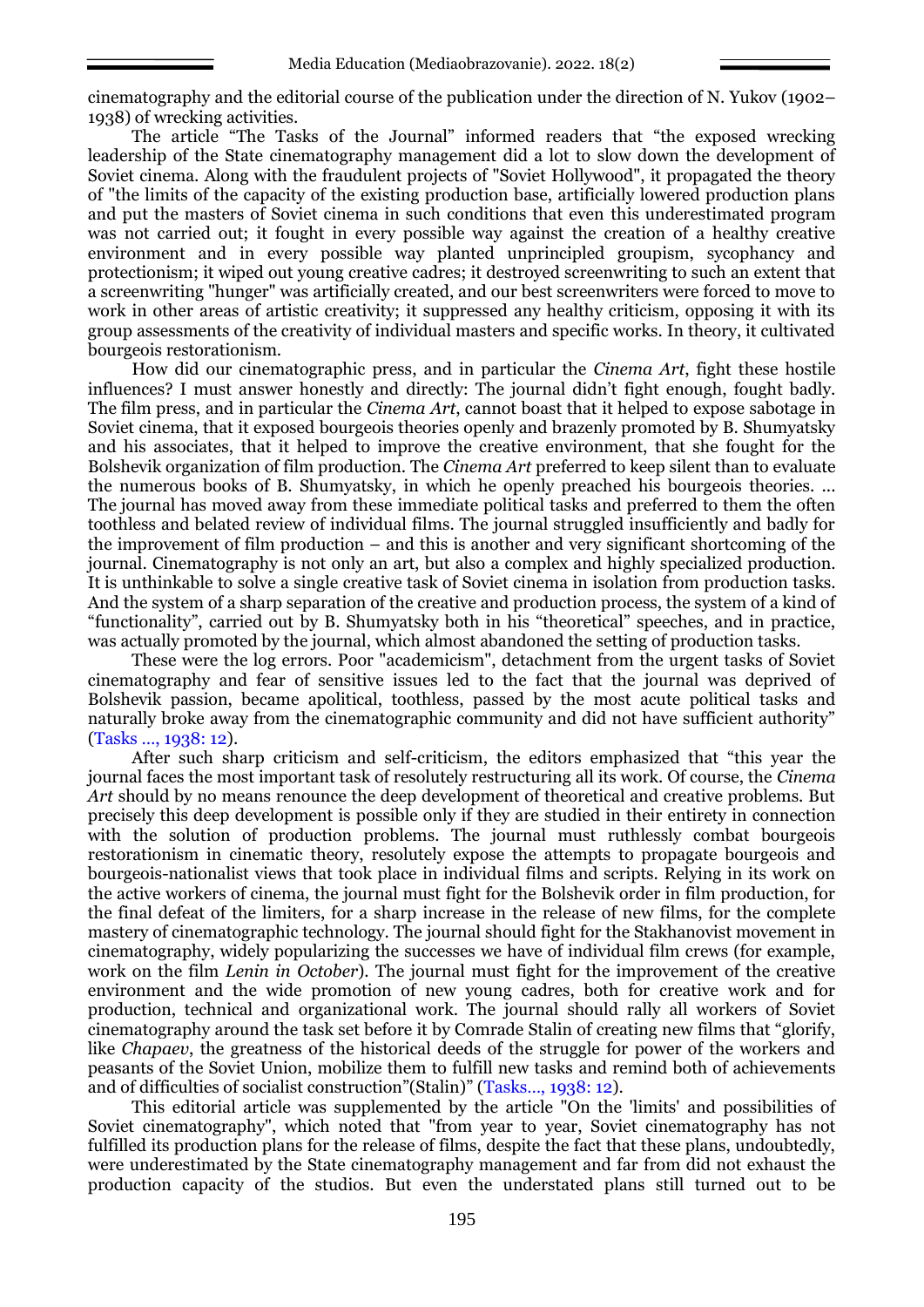cinematography and the editorial course of the publication under the direction of N. Yukov (1902– 1938) of wrecking activities.

The article "The Tasks of the Journal" informed readers that "the exposed wrecking leadership of the State cinematography management did a lot to slow down the development of Soviet cinema. Along with the fraudulent projects of "Soviet Hollywood", it propagated the theory of "the limits of the capacity of the existing production base, artificially lowered production plans and put the masters of Soviet cinema in such conditions that even this underestimated program was not carried out; it fought in every possible way against the creation of a healthy creative environment and in every possible way planted unprincipled groupism, sycophancy and protectionism; it wiped out young creative cadres; it destroyed screenwriting to such an extent that a screenwriting "hunger" was artificially created, and our best screenwriters were forced to move to work in other areas of artistic creativity; it suppressed any healthy criticism, opposing it with its group assessments of the creativity of individual masters and specific works. In theory, it cultivated bourgeois restorationism.

How did our cinematographic press, and in particular the *Cinema Art*, fight these hostile influences? I must answer honestly and directly: The journal didn't fight enough, fought badly. The film press, and in particular the *Cinema Art*, cannot boast that it helped to expose sabotage in Soviet cinema, that it exposed bourgeois theories openly and brazenly promoted by B. Shumyatsky and his associates, that it helped to improve the creative environment, that she fought for the Bolshevik organization of film production. The *Cinema Art* preferred to keep silent than to evaluate the numerous books of B. Shumyatsky, in which he openly preached his bourgeois theories. ... The journal has moved away from these immediate political tasks and preferred to them the often toothless and belated review of individual films. The journal struggled insufficiently and badly for the improvement of film production – and this is another and very significant shortcoming of the journal. Cinematography is not only an art, but also a complex and highly specialized production. It is unthinkable to solve a single creative task of Soviet cinema in isolation from production tasks. And the system of a sharp separation of the creative and production process, the system of a kind of "functionality", carried out by B. Shumyatsky both in his "theoretical" speeches, and in practice, was actually promoted by the journal, which almost abandoned the setting of production tasks.

These were the log errors. Poor "academicism", detachment from the urgent tasks of Soviet cinematography and fear of sensitive issues led to the fact that the journal was deprived of Bolshevik passion, became apolitical, toothless, passed by the most acute political tasks and naturally broke away from the cinematographic community and did not have sufficient authority" (Tasks …, 1938: 12).

After such sharp criticism and self-criticism, the editors emphasized that "this year the journal faces the most important task of resolutely restructuring all its work. Of course, the *Cinema Art* should by no means renounce the deep development of theoretical and creative problems. But precisely this deep development is possible only if they are studied in their entirety in connection with the solution of production problems. The journal must ruthlessly combat bourgeois restorationism in cinematic theory, resolutely expose the attempts to propagate bourgeois and bourgeois-nationalist views that took place in individual films and scripts. Relying in its work on the active workers of cinema, the journal must fight for the Bolshevik order in film production, for the final defeat of the limiters, for a sharp increase in the release of new films, for the complete mastery of cinematographic technology. The journal should fight for the Stakhanovist movement in cinematography, widely popularizing the successes we have of individual film crews (for example, work on the film *Lenin in October*). The journal must fight for the improvement of the creative environment and the wide promotion of new young cadres, both for creative work and for production, technical and organizational work. The journal should rally all workers of Soviet cinematography around the task set before it by Comrade Stalin of creating new films that "glorify, like *Chapaev*, the greatness of the historical deeds of the struggle for power of the workers and peasants of the Soviet Union, mobilize them to fulfill new tasks and remind both of achievements and of difficulties of socialist construction"(Stalin)" (Tasks…, 1938: 12).

This editorial article was supplemented by the article "On the 'limits' and possibilities of Soviet cinematography", which noted that "from year to year, Soviet cinematography has not fulfilled its production plans for the release of films, despite the fact that these plans, undoubtedly, were underestimated by the State cinematography management and far from did not exhaust the production capacity of the studios. But even the understated plans still turned out to be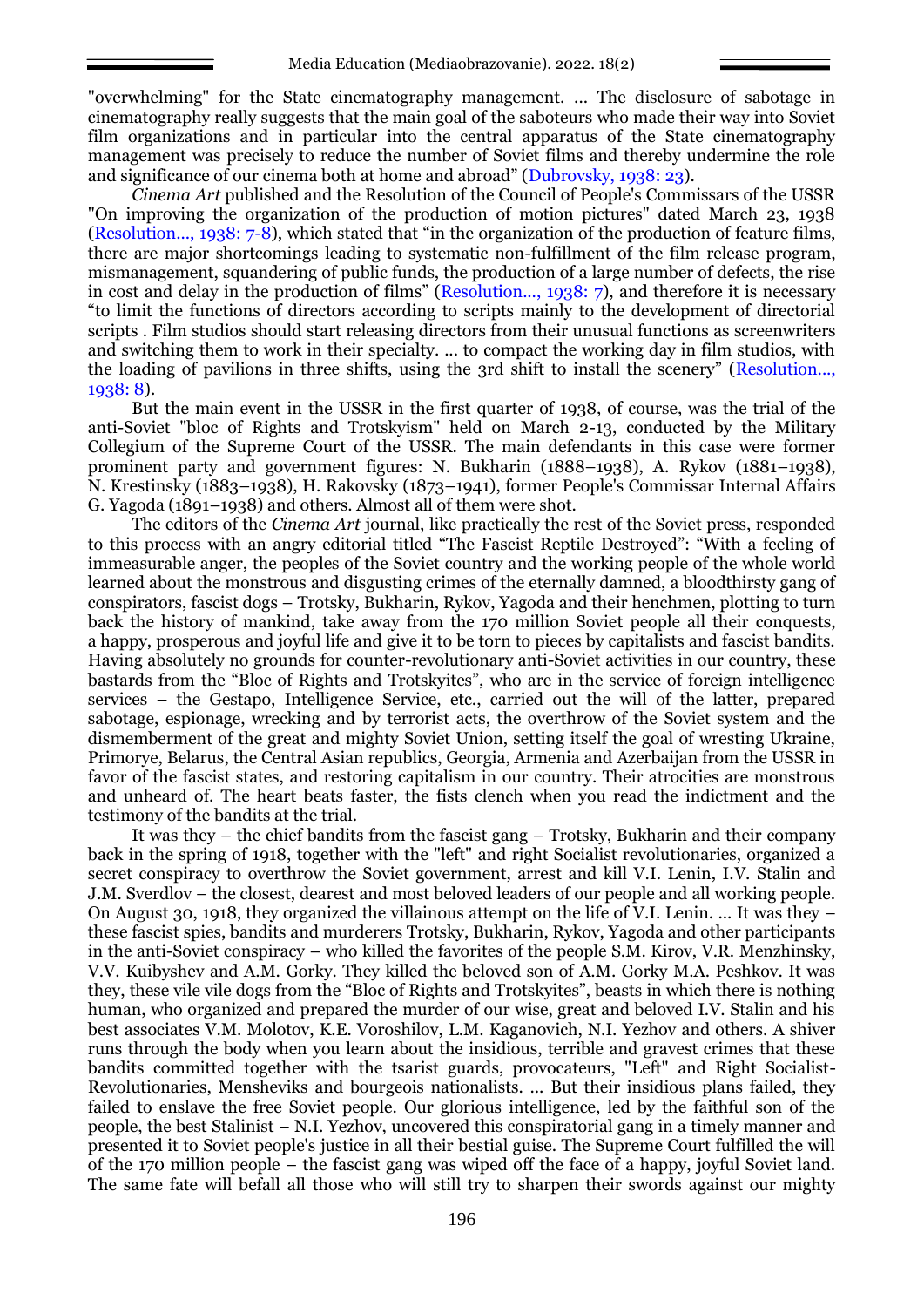"overwhelming" for the State cinematography management. ... The disclosure of sabotage in cinematography really suggests that the main goal of the saboteurs who made their way into Soviet film organizations and in particular into the central apparatus of the State cinematography management was precisely to reduce the number of Soviet films and thereby undermine the role and significance of our cinema both at home and abroad" (Dubrovsky, 1938: 23).

*Cinema Art* published and the Resolution of the Council of People's Commissars of the USSR "On improving the organization of the production of motion pictures" dated March 23, 1938 (Resolution..., 1938: 7-8), which stated that "in the organization of the production of feature films, there are major shortcomings leading to systematic non-fulfillment of the film release program, mismanagement, squandering of public funds, the production of a large number of defects, the rise in cost and delay in the production of films" (Resolution..., 1938: 7), and therefore it is necessary "to limit the functions of directors according to scripts mainly to the development of directorial scripts . Film studios should start releasing directors from their unusual functions as screenwriters and switching them to work in their specialty. ... to compact the working day in film studios, with the loading of pavilions in three shifts, using the 3rd shift to install the scenery" (Resolution..., 1938: 8).

But the main event in the USSR in the first quarter of 1938, of course, was the trial of the anti-Soviet "bloc of Rights and Trotskyism" held on March 2-13, conducted by the Military Collegium of the Supreme Court of the USSR. The main defendants in this case were former prominent party and government figures: N. Bukharin (1888–1938), A. Rykov (1881–1938), N. Krestinsky (1883–1938), H. Rakovsky (1873–1941), former People's Commissar Internal Affairs G. Yagoda (1891–1938) and others. Almost all of them were shot.

The editors of the *Cinema Art* journal, like practically the rest of the Soviet press, responded to this process with an angry editorial titled "The Fascist Reptile Destroyed": "With a feeling of immeasurable anger, the peoples of the Soviet country and the working people of the whole world learned about the monstrous and disgusting crimes of the eternally damned, a bloodthirsty gang of conspirators, fascist dogs – Trotsky, Bukharin, Rykov, Yagoda and their henchmen, plotting to turn back the history of mankind, take away from the 170 million Soviet people all their conquests, a happy, prosperous and joyful life and give it to be torn to pieces by capitalists and fascist bandits. Having absolutely no grounds for counter-revolutionary anti-Soviet activities in our country, these bastards from the "Bloc of Rights and Trotskyites", who are in the service of foreign intelligence services – the Gestapo, Intelligence Service, etc., carried out the will of the latter, prepared sabotage, espionage, wrecking and by terrorist acts, the overthrow of the Soviet system and the dismemberment of the great and mighty Soviet Union, setting itself the goal of wresting Ukraine, Primorye, Belarus, the Central Asian republics, Georgia, Armenia and Azerbaijan from the USSR in favor of the fascist states, and restoring capitalism in our country. Their atrocities are monstrous and unheard of. The heart beats faster, the fists clench when you read the indictment and the testimony of the bandits at the trial.

It was they – the chief bandits from the fascist gang – Trotsky, Bukharin and their company back in the spring of 1918, together with the "left" and right Socialist revolutionaries, organized a secret conspiracy to overthrow the Soviet government, arrest and kill V.I. Lenin, I.V. Stalin and J.M. Sverdlov – the closest, dearest and most beloved leaders of our people and all working people. On August 30, 1918, they organized the villainous attempt on the life of V.I. Lenin. ... It was they – these fascist spies, bandits and murderers Trotsky, Bukharin, Rykov, Yagoda and other participants in the anti-Soviet conspiracy – who killed the favorites of the people S.M. Kirov, V.R. Menzhinsky, V.V. Kuibyshev and A.M. Gorky. They killed the beloved son of A.M. Gorky M.A. Peshkov. It was they, these vile vile dogs from the "Bloc of Rights and Trotskyites", beasts in which there is nothing human, who organized and prepared the murder of our wise, great and beloved I.V. Stalin and his best associates V.M. Molotov, K.E. Voroshilov, L.M. Kaganovich, N.I. Yezhov and others. A shiver runs through the body when you learn about the insidious, terrible and gravest crimes that these bandits committed together with the tsarist guards, provocateurs, "Left" and Right Socialist-Revolutionaries, Mensheviks and bourgeois nationalists. ... But their insidious plans failed, they failed to enslave the free Soviet people. Our glorious intelligence, led by the faithful son of the people, the best Stalinist – N.I. Yezhov, uncovered this conspiratorial gang in a timely manner and presented it to Soviet people's justice in all their bestial guise. The Supreme Court fulfilled the will of the 170 million people – the fascist gang was wiped off the face of a happy, joyful Soviet land. The same fate will befall all those who will still try to sharpen their swords against our mighty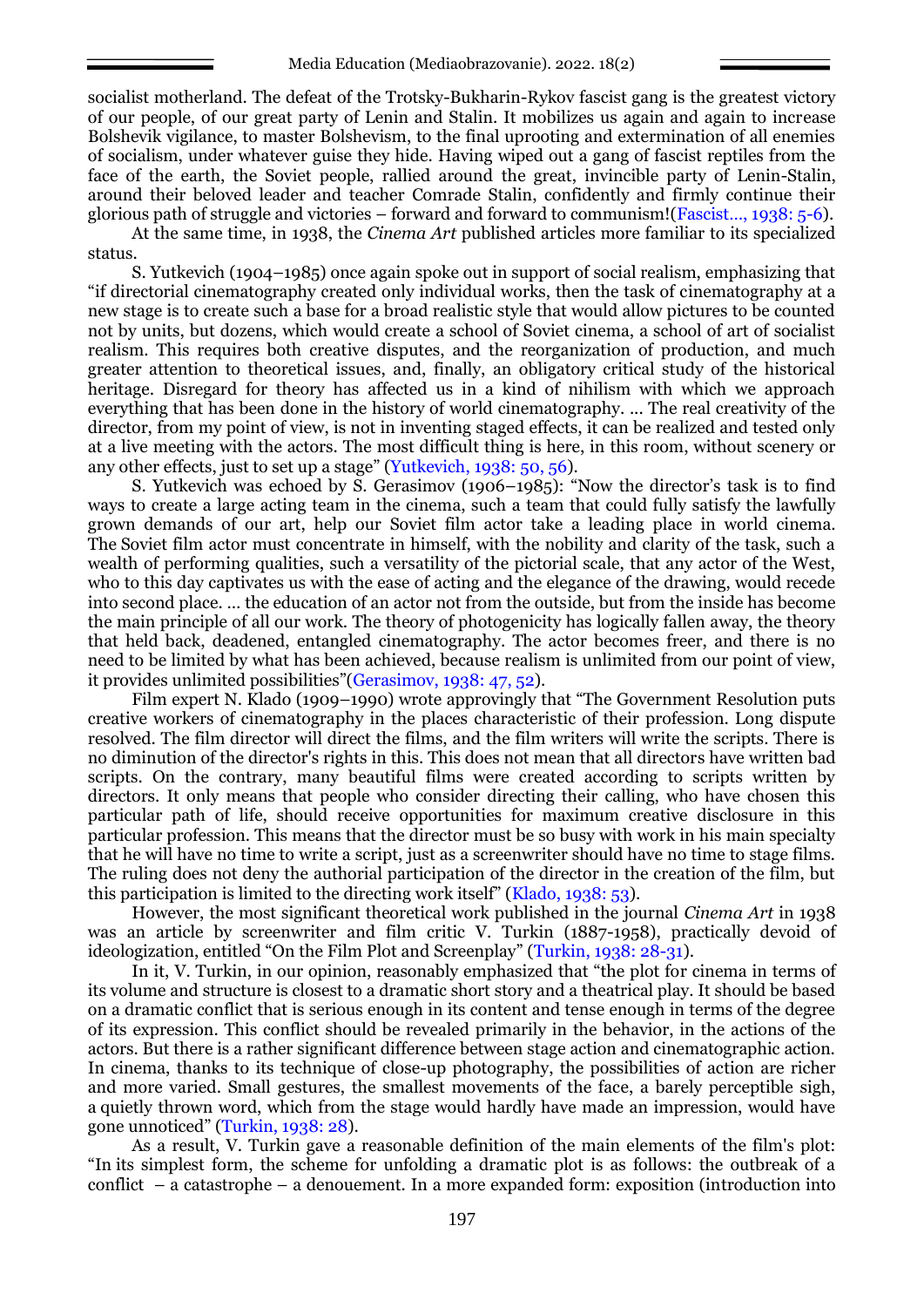socialist motherland. The defeat of the Trotsky-Bukharin-Rykov fascist gang is the greatest victory of our people, of our great party of Lenin and Stalin. It mobilizes us again and again to increase Bolshevik vigilance, to master Bolshevism, to the final uprooting and extermination of all enemies of socialism, under whatever guise they hide. Having wiped out a gang of fascist reptiles from the face of the earth, the Soviet people, rallied around the great, invincible party of Lenin-Stalin, around their beloved leader and teacher Comrade Stalin, confidently and firmly continue their glorious path of struggle and victories – forward and forward to communism!(Fascist…, 1938: 5-6).

At the same time, in 1938, the *Cinema Art* published articles more familiar to its specialized status.

S. Yutkevich (1904–1985) once again spoke out in support of social realism, emphasizing that "if directorial cinematography created only individual works, then the task of cinematography at a new stage is to create such a base for a broad realistic style that would allow pictures to be counted not by units, but dozens, which would create a school of Soviet cinema, a school of art of socialist realism. This requires both creative disputes, and the reorganization of production, and much greater attention to theoretical issues, and, finally, an obligatory critical study of the historical heritage. Disregard for theory has affected us in a kind of nihilism with which we approach everything that has been done in the history of world cinematography. ... The real creativity of the director, from my point of view, is not in inventing staged effects, it can be realized and tested only at a live meeting with the actors. The most difficult thing is here, in this room, without scenery or any other effects, just to set up a stage" (Yutkevich, 1938: 50, 56).

S. Yutkevich was echoed by S. Gerasimov (1906–1985): "Now the director's task is to find ways to create a large acting team in the cinema, such a team that could fully satisfy the lawfully grown demands of our art, help our Soviet film actor take a leading place in world cinema. The Soviet film actor must concentrate in himself, with the nobility and clarity of the task, such a wealth of performing qualities, such a versatility of the pictorial scale, that any actor of the West, who to this day captivates us with the ease of acting and the elegance of the drawing, would recede into second place. … the education of an actor not from the outside, but from the inside has become the main principle of all our work. The theory of photogenicity has logically fallen away, the theory that held back, deadened, entangled cinematography. The actor becomes freer, and there is no need to be limited by what has been achieved, because realism is unlimited from our point of view, it provides unlimited possibilities"(Gerasimov, 1938: 47, 52).

Film expert N. Klado (1909–1990) wrote approvingly that "The Government Resolution puts creative workers of cinematography in the places characteristic of their profession. Long dispute resolved. The film director will direct the films, and the film writers will write the scripts. There is no diminution of the director's rights in this. This does not mean that all directors have written bad scripts. On the contrary, many beautiful films were created according to scripts written by directors. It only means that people who consider directing their calling, who have chosen this particular path of life, should receive opportunities for maximum creative disclosure in this particular profession. This means that the director must be so busy with work in his main specialty that he will have no time to write a script, just as a screenwriter should have no time to stage films. The ruling does not deny the authorial participation of the director in the creation of the film, but this participation is limited to the directing work itself" (Klado, 1938: 53).

However, the most significant theoretical work published in the journal *Cinema Art* in 1938 was an article by screenwriter and film critic V. Turkin (1887-1958), practically devoid of ideologization, entitled "On the Film Plot and Screenplay" (Turkin, 1938: 28-31).

In it, V. Turkin, in our opinion, reasonably emphasized that "the plot for cinema in terms of its volume and structure is closest to a dramatic short story and a theatrical play. It should be based on a dramatic conflict that is serious enough in its content and tense enough in terms of the degree of its expression. This conflict should be revealed primarily in the behavior, in the actions of the actors. But there is a rather significant difference between stage action and cinematographic action. In cinema, thanks to its technique of close-up photography, the possibilities of action are richer and more varied. Small gestures, the smallest movements of the face, a barely perceptible sigh, a quietly thrown word, which from the stage would hardly have made an impression, would have gone unnoticed" (Turkin, 1938: 28).

As a result, V. Turkin gave a reasonable definition of the main elements of the film's plot: "In its simplest form, the scheme for unfolding a dramatic plot is as follows: the outbreak of a conflict – a catastrophe – a denouement. In a more expanded form: exposition (introduction into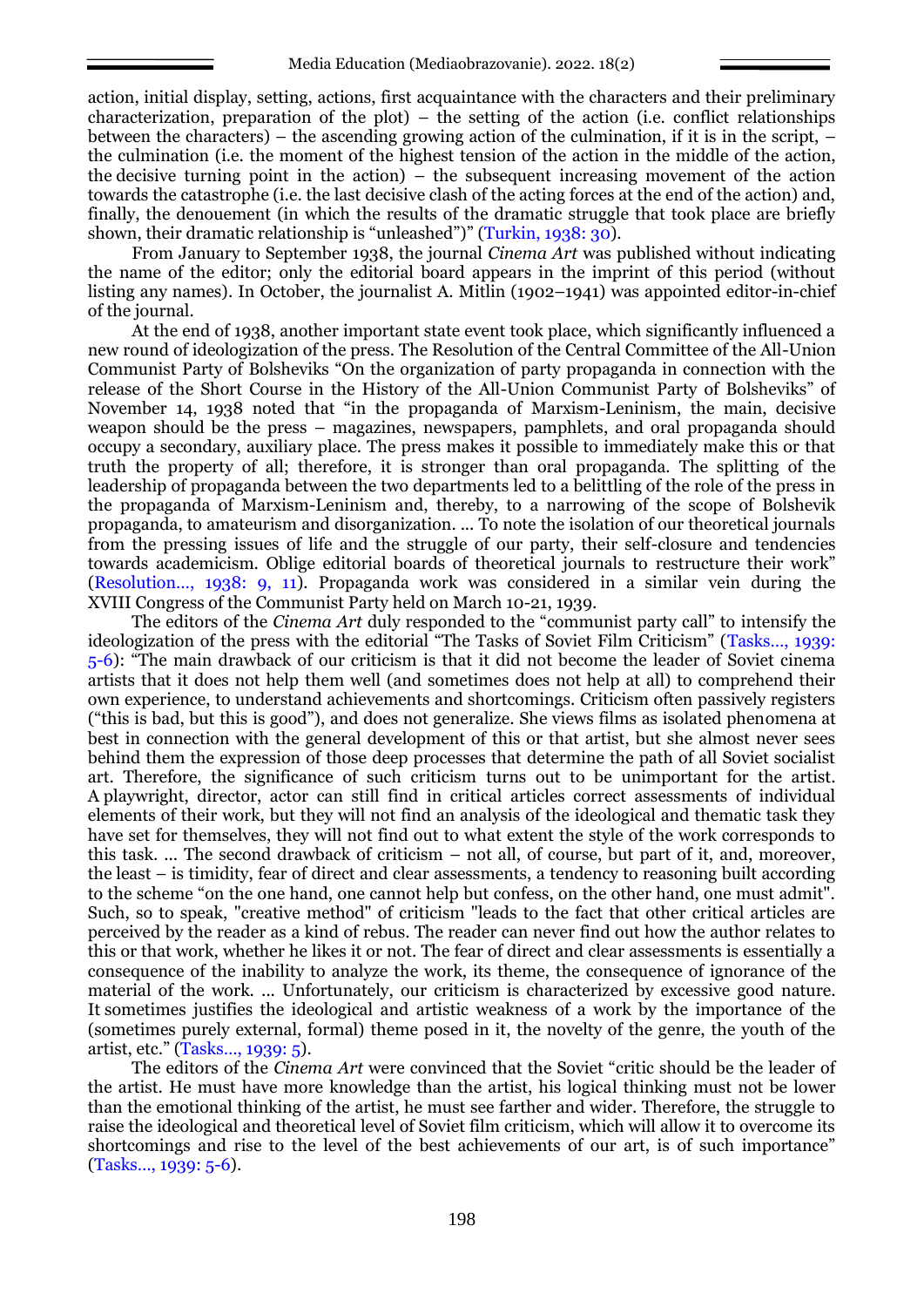action, initial display, setting, actions, first acquaintance with the characters and their preliminary characterization, preparation of the plot) – the setting of the action (i.e. conflict relationships between the characters) – the ascending growing action of the culmination, if it is in the script,  $$ the culmination (i.e. the moment of the highest tension of the action in the middle of the action, the decisive turning point in the action) – the subsequent increasing movement of the action towards the catastrophe (i.e. the last decisive clash of the acting forces at the end of the action) and, finally, the denouement (in which the results of the dramatic struggle that took place are briefly shown, their dramatic relationship is "unleashed")" (Turkin, 1938: 30).

From January to September 1938, the journal *Cinema Art* was published without indicating the name of the editor; only the editorial board appears in the imprint of this period (without listing any names). In October, the journalist A. Mitlin (1902–1941) was appointed editor-in-chief of the journal.

At the end of 1938, another important state event took place, which significantly influenced a new round of ideologization of the press. The Resolution of the Central Committee of the All-Union Communist Party of Bolsheviks "On the organization of party propaganda in connection with the release of the Short Course in the History of the All-Union Communist Party of Bolsheviks" of November 14, 1938 noted that "in the propaganda of Marxism-Leninism, the main, decisive weapon should be the press – magazines, newspapers, pamphlets, and oral propaganda should occupy a secondary, auxiliary place. The press makes it possible to immediately make this or that truth the property of all; therefore, it is stronger than oral propaganda. The splitting of the leadership of propaganda between the two departments led to a belittling of the role of the press in the propaganda of Marxism-Leninism and, thereby, to a narrowing of the scope of Bolshevik propaganda, to amateurism and disorganization. ... To note the isolation of our theoretical journals from the pressing issues of life and the struggle of our party, their self-closure and tendencies towards academicism. Oblige editorial boards of theoretical journals to restructure their work" (Resolution…, 1938: 9, 11). Propaganda work was considered in a similar vein during the XVIII Congress of the Communist Party held on March 10-21, 1939.

The editors of the *Cinema Art* duly responded to the "communist party call" to intensify the ideologization of the press with the editorial "The Tasks of Soviet Film Criticism" (Tasks…, 1939: 5-6): "The main drawback of our criticism is that it did not become the leader of Soviet cinema artists that it does not help them well (and sometimes does not help at all) to comprehend their own experience, to understand achievements and shortcomings. Criticism often passively registers ("this is bad, but this is good"), and does not generalize. She views films as isolated phenomena at best in connection with the general development of this or that artist, but she almost never sees behind them the expression of those deep processes that determine the path of all Soviet socialist art. Therefore, the significance of such criticism turns out to be unimportant for the artist. A playwright, director, actor can still find in critical articles correct assessments of individual elements of their work, but they will not find an analysis of the ideological and thematic task they have set for themselves, they will not find out to what extent the style of the work corresponds to this task. ... The second drawback of criticism – not all, of course, but part of it, and, moreover, the least – is timidity, fear of direct and clear assessments, a tendency to reasoning built according to the scheme "on the one hand, one cannot help but confess, on the other hand, one must admit". Such, so to speak, "creative method" of criticism "leads to the fact that other critical articles are perceived by the reader as a kind of rebus. The reader can never find out how the author relates to this or that work, whether he likes it or not. The fear of direct and clear assessments is essentially a consequence of the inability to analyze the work, its theme, the consequence of ignorance of the material of the work. ... Unfortunately, our criticism is characterized by excessive good nature. It sometimes justifies the ideological and artistic weakness of a work by the importance of the (sometimes purely external, formal) theme posed in it, the novelty of the genre, the youth of the artist, etc." (Tasks…, 1939: 5).

The editors of the *Cinema Art* were convinced that the Soviet "critic should be the leader of the artist. He must have more knowledge than the artist, his logical thinking must not be lower than the emotional thinking of the artist, he must see farther and wider. Therefore, the struggle to raise the ideological and theoretical level of Soviet film criticism, which will allow it to overcome its shortcomings and rise to the level of the best achievements of our art, is of such importance" (Tasks…, 1939: 5-6).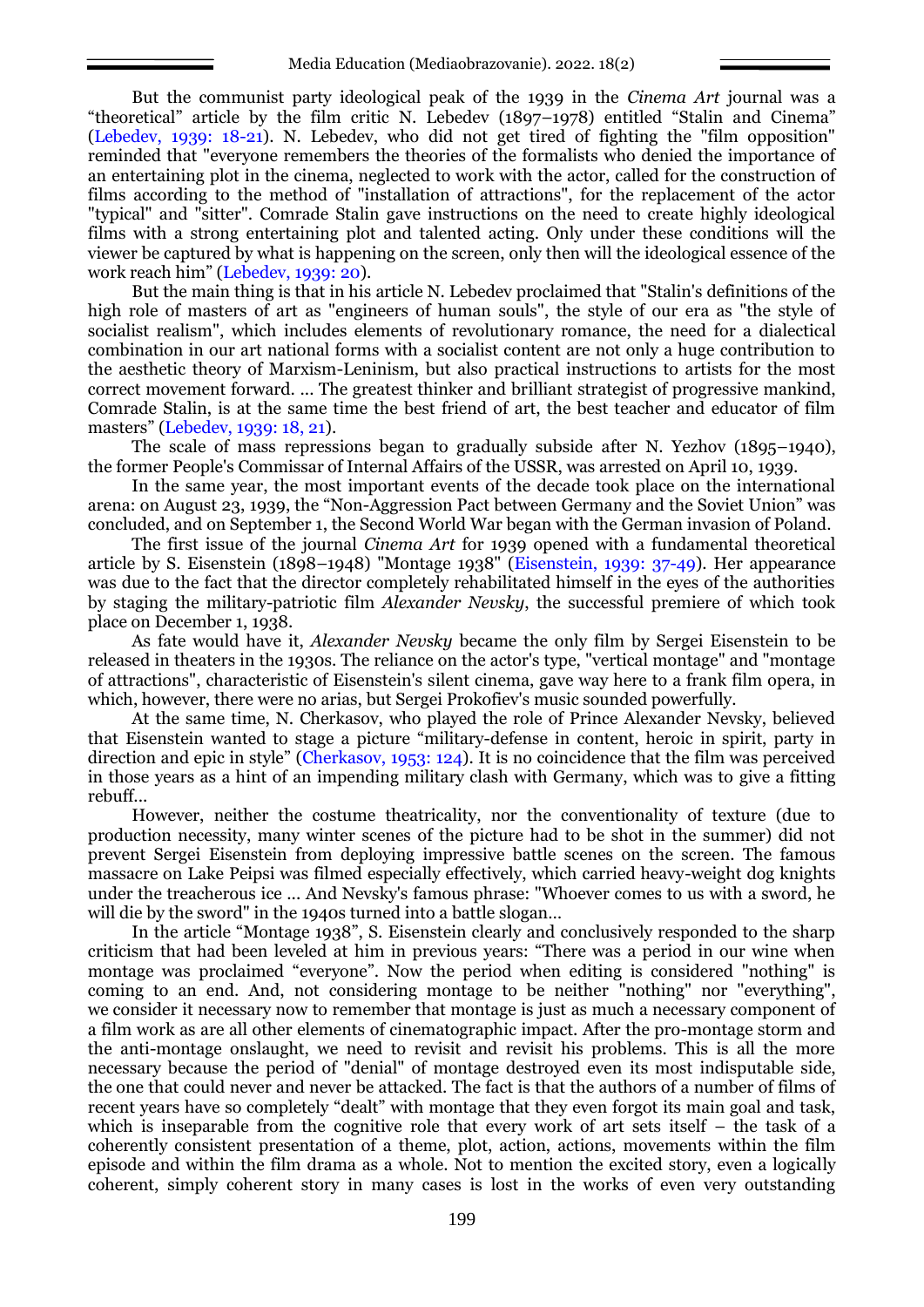But the communist party ideological peak of the 1939 in the *Cinema Art* journal was a "theoretical" article by the film critic N. Lebedev (1897–1978) entitled "Stalin and Cinema" (Lebedev, 1939: 18-21). N. Lebedev, who did not get tired of fighting the "film opposition" reminded that "everyone remembers the theories of the formalists who denied the importance of an entertaining plot in the cinema, neglected to work with the actor, called for the construction of films according to the method of "installation of attractions", for the replacement of the actor "typical" and "sitter". Comrade Stalin gave instructions on the need to create highly ideological films with a strong entertaining plot and talented acting. Only under these conditions will the viewer be captured by what is happening on the screen, only then will the ideological essence of the work reach him" (Lebedev, 1939: 20).

But the main thing is that in his article N. Lebedev proclaimed that "Stalin's definitions of the high role of masters of art as "engineers of human souls", the style of our era as "the style of socialist realism", which includes elements of revolutionary romance, the need for a dialectical combination in our art national forms with a socialist content are not only a huge contribution to the aesthetic theory of Marxism-Leninism, but also practical instructions to artists for the most correct movement forward. ... The greatest thinker and brilliant strategist of progressive mankind, Comrade Stalin, is at the same time the best friend of art, the best teacher and educator of film masters" (Lebedev, 1939: 18, 21).

The scale of mass repressions began to gradually subside after N. Yezhov (1895–1940), the former People's Commissar of Internal Affairs of the USSR, was arrested on April 10, 1939.

In the same year, the most important events of the decade took place on the international arena: on August 23, 1939, the "Non-Aggression Pact between Germany and the Soviet Union" was concluded, and on September 1, the Second World War began with the German invasion of Poland.

The first issue of the journal *Cinema Art* for 1939 opened with a fundamental theoretical article by S. Eisenstein (1898–1948) "Montage 1938" (Eisenstein, 1939: 37-49). Her appearance was due to the fact that the director completely rehabilitated himself in the eyes of the authorities by staging the military-patriotic film *Alexander Nevsky*, the successful premiere of which took place on December 1, 1938.

As fate would have it, *Alexander Nevsky* became the only film by Sergei Eisenstein to be released in theaters in the 1930s. The reliance on the actor's type, "vertical montage" and "montage of attractions", characteristic of Eisenstein's silent cinema, gave way here to a frank film opera, in which, however, there were no arias, but Sergei Prokofiev's music sounded powerfully.

At the same time, N. Cherkasov, who played the role of Prince Alexander Nevsky, believed that Eisenstein wanted to stage a picture "military-defense in content, heroic in spirit, party in direction and epic in style" (Cherkasov, 1953: 124). It is no coincidence that the film was perceived in those years as a hint of an impending military clash with Germany, which was to give a fitting rebuff...

However, neither the costume theatricality, nor the conventionality of texture (due to production necessity, many winter scenes of the picture had to be shot in the summer) did not prevent Sergei Eisenstein from deploying impressive battle scenes on the screen. The famous massacre on Lake Peipsi was filmed especially effectively, which carried heavy-weight dog knights under the treacherous ice ... And Nevsky's famous phrase: "Whoever comes to us with a sword, he will die by the sword" in the 1940s turned into a battle slogan...

In the article "Montage 1938", S. Eisenstein clearly and conclusively responded to the sharp criticism that had been leveled at him in previous years: "There was a period in our wine when montage was proclaimed "everyone". Now the period when editing is considered "nothing" is coming to an end. And, not considering montage to be neither "nothing" nor "everything", we consider it necessary now to remember that montage is just as much a necessary component of a film work as are all other elements of cinematographic impact. After the pro-montage storm and the anti-montage onslaught, we need to revisit and revisit his problems. This is all the more necessary because the period of "denial" of montage destroyed even its most indisputable side, the one that could never and never be attacked. The fact is that the authors of a number of films of recent years have so completely "dealt" with montage that they even forgot its main goal and task, which is inseparable from the cognitive role that every work of art sets itself – the task of a coherently consistent presentation of a theme, plot, action, actions, movements within the film episode and within the film drama as a whole. Not to mention the excited story, even a logically coherent, simply coherent story in many cases is lost in the works of even very outstanding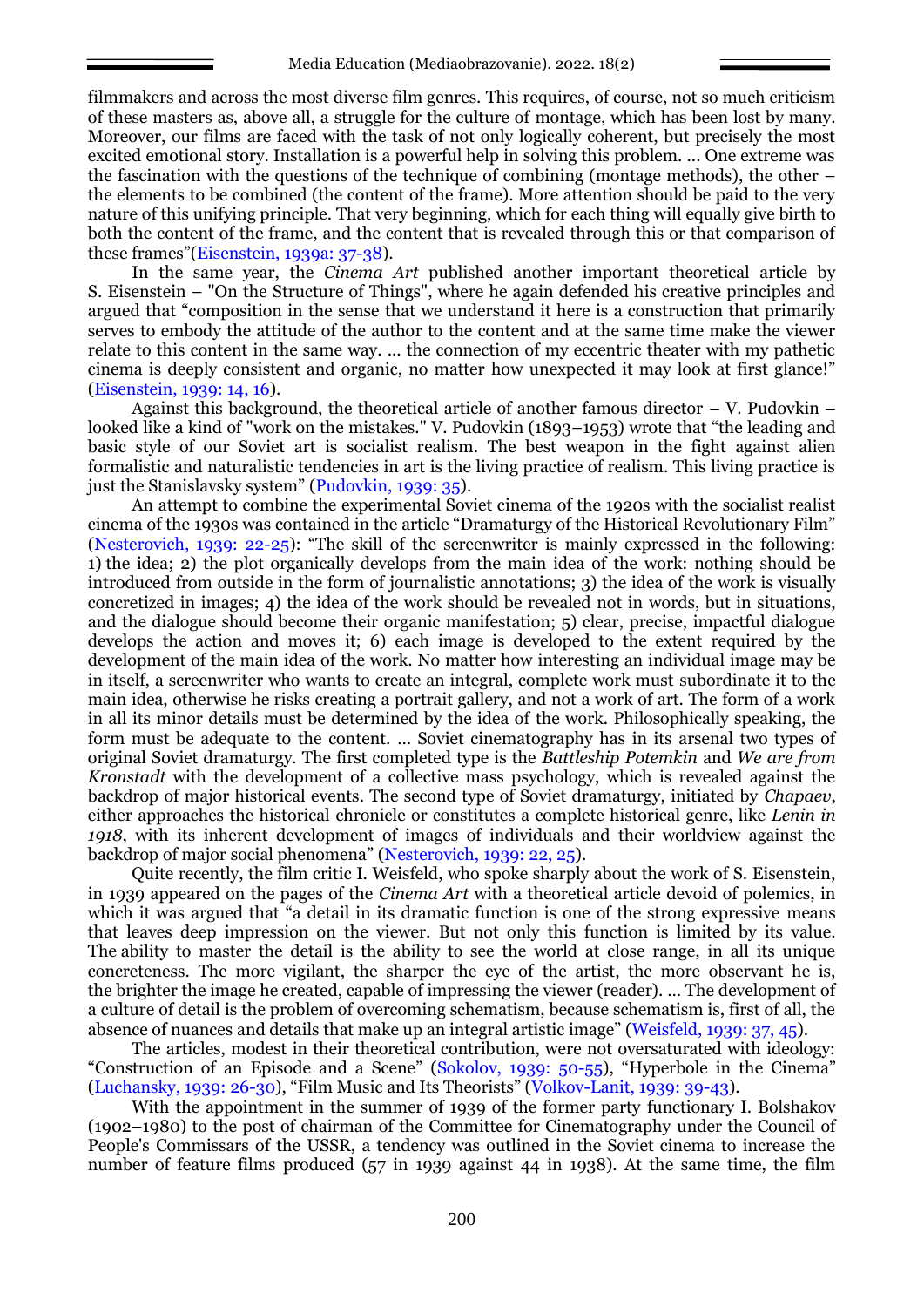filmmakers and across the most diverse film genres. This requires, of course, not so much criticism of these masters as, above all, a struggle for the culture of montage, which has been lost by many. Moreover, our films are faced with the task of not only logically coherent, but precisely the most excited emotional story. Installation is a powerful help in solving this problem. ... One extreme was the fascination with the questions of the technique of combining (montage methods), the other – the elements to be combined (the content of the frame). More attention should be paid to the very nature of this unifying principle. That very beginning, which for each thing will equally give birth to both the content of the frame, and the content that is revealed through this or that comparison of these frames"(Eisenstein, 1939a: 37-38).

In the same year, the *Cinema Art* published another important theoretical article by S. Eisenstein – "On the Structure of Things", where he again defended his creative principles and argued that "composition in the sense that we understand it here is a construction that primarily serves to embody the attitude of the author to the content and at the same time make the viewer relate to this content in the same way. ... the connection of my eccentric theater with my pathetic cinema is deeply consistent and organic, no matter how unexpected it may look at first glance!" (Eisenstein, 1939: 14, 16).

Against this background, the theoretical article of another famous director  $-$  V. Pudovkin  $$ looked like a kind of "work on the mistakes." V. Pudovkin (1893–1953) wrote that "the leading and basic style of our Soviet art is socialist realism. The best weapon in the fight against alien formalistic and naturalistic tendencies in art is the living practice of realism. This living practice is just the Stanislavsky system" (Pudovkin, 1939: 35).

An attempt to combine the experimental Soviet cinema of the 1920s with the socialist realist cinema of the 1930s was contained in the article "Dramaturgy of the Historical Revolutionary Film" (Nesterovich, 1939: 22-25): "The skill of the screenwriter is mainly expressed in the following: 1) the idea; 2) the plot organically develops from the main idea of the work: nothing should be introduced from outside in the form of journalistic annotations; 3) the idea of the work is visually concretized in images; 4) the idea of the work should be revealed not in words, but in situations, and the dialogue should become their organic manifestation; 5) clear, precise, impactful dialogue develops the action and moves it; 6) each image is developed to the extent required by the development of the main idea of the work. No matter how interesting an individual image may be in itself, a screenwriter who wants to create an integral, complete work must subordinate it to the main idea, otherwise he risks creating a portrait gallery, and not a work of art. The form of a work in all its minor details must be determined by the idea of the work. Philosophically speaking, the form must be adequate to the content. … Soviet cinematography has in its arsenal two types of original Soviet dramaturgy. The first completed type is the *Battleship Potemkin* and *We are from Kronstadt* with the development of a collective mass psychology, which is revealed against the backdrop of major historical events. The second type of Soviet dramaturgy, initiated by *Chapaev*, either approaches the historical chronicle or constitutes a complete historical genre, like *Lenin in 1918*, with its inherent development of images of individuals and their worldview against the backdrop of major social phenomena" (Nesterovich, 1939: 22, 25).

Quite recently, the film critic I. Weisfeld, who spoke sharply about the work of S. Eisenstein, in 1939 appeared on the pages of the *Cinema Art* with a theoretical article devoid of polemics, in which it was argued that "a detail in its dramatic function is one of the strong expressive means that leaves deep impression on the viewer. But not only this function is limited by its value. The ability to master the detail is the ability to see the world at close range, in all its unique concreteness. The more vigilant, the sharper the eye of the artist, the more observant he is, the brighter the image he created, capable of impressing the viewer (reader). … The development of a culture of detail is the problem of overcoming schematism, because schematism is, first of all, the absence of nuances and details that make up an integral artistic image" (Weisfeld, 1939: 37, 45).

The articles, modest in their theoretical contribution, were not oversaturated with ideology: "Construction of an Episode and a Scene" (Sokolov, 1939: 50-55), "Hyperbole in the Cinema" (Luchansky, 1939: 26-30), "Film Music and Its Theorists" (Volkov-Lanit, 1939: 39-43).

With the appointment in the summer of 1939 of the former party functionary I. Bolshakov (1902–1980) to the post of chairman of the Committee for Cinematography under the Council of People's Commissars of the USSR, a tendency was outlined in the Soviet cinema to increase the number of feature films produced (57 in 1939 against 44 in 1938). At the same time, the film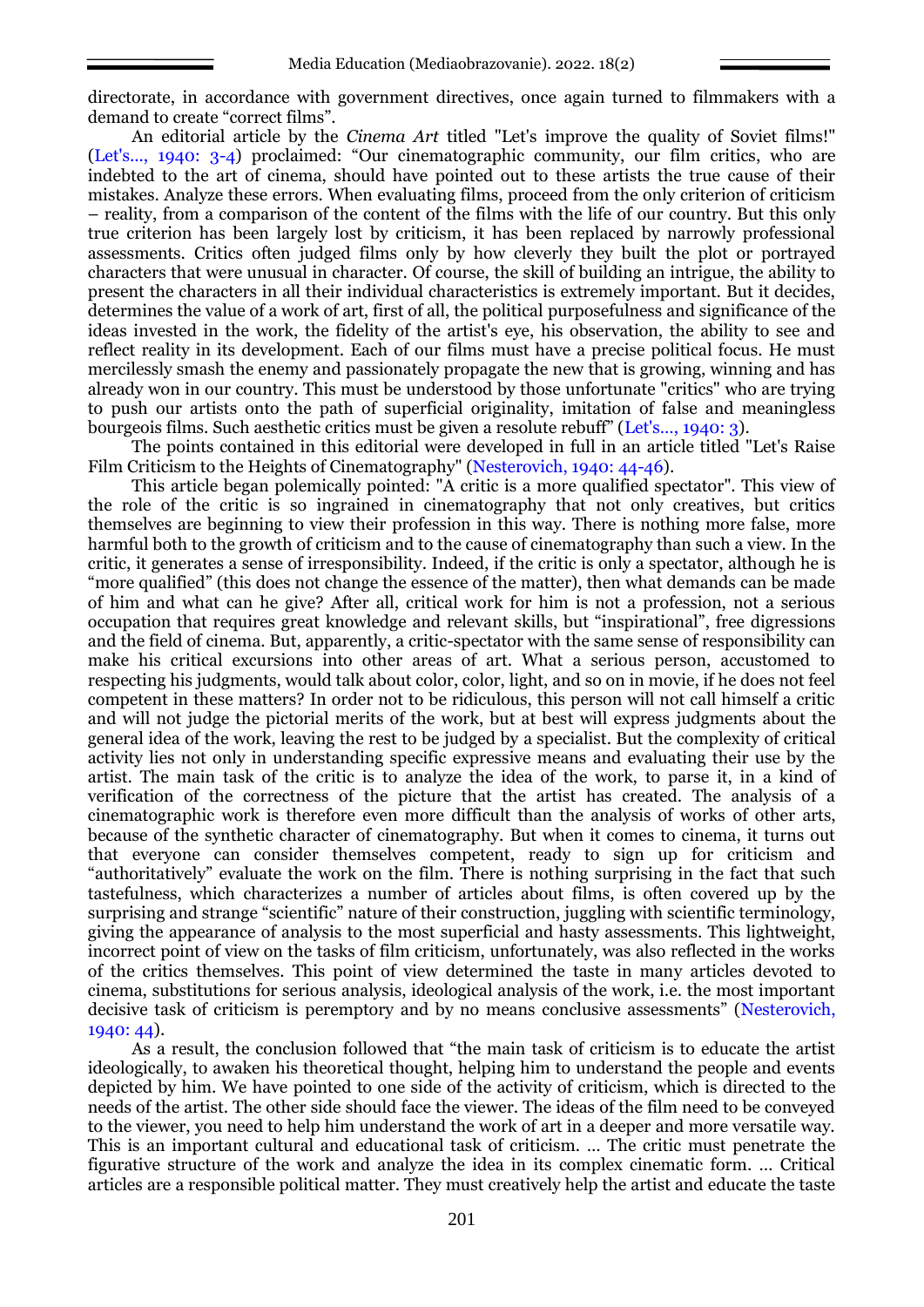directorate, in accordance with government directives, once again turned to filmmakers with a demand to create "correct films".

An editorial article by the *Cinema Art* titled "Let's improve the quality of Soviet films!" (Let's..., 1940: 3-4) proclaimed: "Our cinematographic community, our film critics, who are indebted to the art of cinema, should have pointed out to these artists the true cause of their mistakes. Analyze these errors. When evaluating films, proceed from the only criterion of criticism – reality, from a comparison of the content of the films with the life of our country. But this only true criterion has been largely lost by criticism, it has been replaced by narrowly professional assessments. Critics often judged films only by how cleverly they built the plot or portrayed characters that were unusual in character. Of course, the skill of building an intrigue, the ability to present the characters in all their individual characteristics is extremely important. But it decides, determines the value of a work of art, first of all, the political purposefulness and significance of the ideas invested in the work, the fidelity of the artist's eye, his observation, the ability to see and reflect reality in its development. Each of our films must have a precise political focus. He must mercilessly smash the enemy and passionately propagate the new that is growing, winning and has already won in our country. This must be understood by those unfortunate "critics" who are trying to push our artists onto the path of superficial originality, imitation of false and meaningless bourgeois films. Such aesthetic critics must be given a resolute rebuff" (Let's..., 1940: 3).

The points contained in this editorial were developed in full in an article titled "Let's Raise Film Criticism to the Heights of Cinematography" (Nesterovich, 1940: 44-46).

This article began polemically pointed: "A critic is a more qualified spectator". This view of the role of the critic is so ingrained in cinematography that not only creatives, but critics themselves are beginning to view their profession in this way. There is nothing more false, more harmful both to the growth of criticism and to the cause of cinematography than such a view. In the critic, it generates a sense of irresponsibility. Indeed, if the critic is only a spectator, although he is "more qualified" (this does not change the essence of the matter), then what demands can be made of him and what can he give? After all, critical work for him is not a profession, not a serious occupation that requires great knowledge and relevant skills, but "inspirational", free digressions and the field of cinema. But, apparently, a critic-spectator with the same sense of responsibility can make his critical excursions into other areas of art. What a serious person, accustomed to respecting his judgments, would talk about color, color, light, and so on in movie, if he does not feel competent in these matters? In order not to be ridiculous, this person will not call himself a critic and will not judge the pictorial merits of the work, but at best will express judgments about the general idea of the work, leaving the rest to be judged by a specialist. But the complexity of critical activity lies not only in understanding specific expressive means and evaluating their use by the artist. The main task of the critic is to analyze the idea of the work, to parse it, in a kind of verification of the correctness of the picture that the artist has created. The analysis of a cinematographic work is therefore even more difficult than the analysis of works of other arts, because of the synthetic character of cinematography. But when it comes to cinema, it turns out that everyone can consider themselves competent, ready to sign up for criticism and "authoritatively" evaluate the work on the film. There is nothing surprising in the fact that such tastefulness, which characterizes a number of articles about films, is often covered up by the surprising and strange "scientific" nature of their construction, juggling with scientific terminology, giving the appearance of analysis to the most superficial and hasty assessments. This lightweight, incorrect point of view on the tasks of film criticism, unfortunately, was also reflected in the works of the critics themselves. This point of view determined the taste in many articles devoted to cinema, substitutions for serious analysis, ideological analysis of the work, i.e. the most important decisive task of criticism is peremptory and by no means conclusive assessments" (Nesterovich, 1940: 44).

As a result, the conclusion followed that "the main task of criticism is to educate the artist ideologically, to awaken his theoretical thought, helping him to understand the people and events depicted by him. We have pointed to one side of the activity of criticism, which is directed to the needs of the artist. The other side should face the viewer. The ideas of the film need to be conveyed to the viewer, you need to help him understand the work of art in a deeper and more versatile way. This is an important cultural and educational task of criticism. … The critic must penetrate the figurative structure of the work and analyze the idea in its complex cinematic form. … Critical articles are a responsible political matter. They must creatively help the artist and educate the taste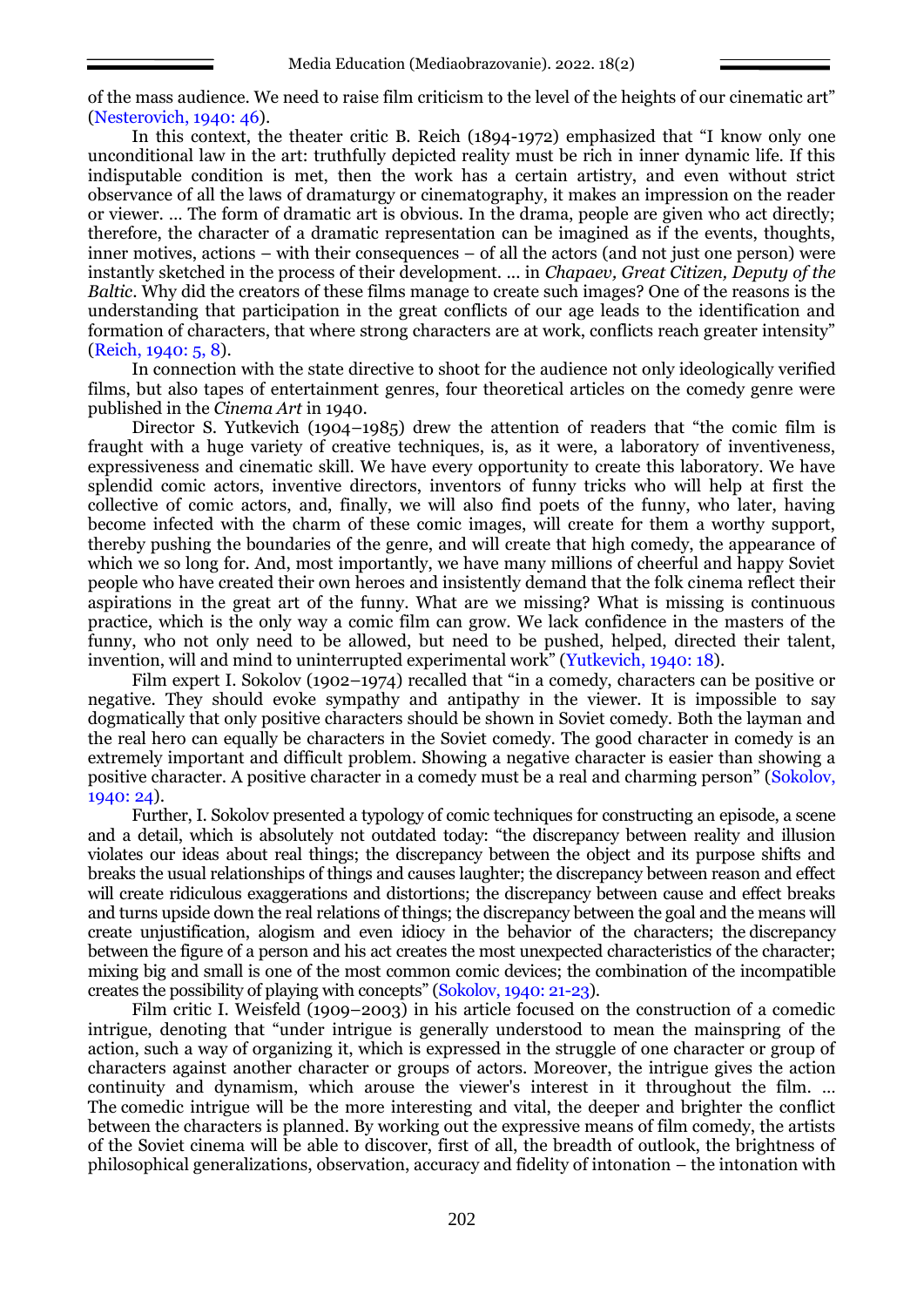of the mass audience. We need to raise film criticism to the level of the heights of our cinematic art" (Nesterovich, 1940: 46).

In this context, the theater critic B. Reich (1894-1972) emphasized that "I know only one unconditional law in the art: truthfully depicted reality must be rich in inner dynamic life. If this indisputable condition is met, then the work has a certain artistry, and even without strict observance of all the laws of dramaturgy or cinematography, it makes an impression on the reader or viewer. … The form of dramatic art is obvious. In the drama, people are given who act directly; therefore, the character of a dramatic representation can be imagined as if the events, thoughts, inner motives, actions – with their consequences – of all the actors (and not just one person) were instantly sketched in the process of their development. ... in *Chapaev, Great Citizen, Deputy of the Baltic*. Why did the creators of these films manage to create such images? One of the reasons is the understanding that participation in the great conflicts of our age leads to the identification and formation of characters, that where strong characters are at work, conflicts reach greater intensity" (Reich, 1940: 5, 8).

In connection with the state directive to shoot for the audience not only ideologically verified films, but also tapes of entertainment genres, four theoretical articles on the comedy genre were published in the *Cinema Art* in 1940.

Director S. Yutkevich (1904–1985) drew the attention of readers that "the comic film is fraught with a huge variety of creative techniques, is, as it were, a laboratory of inventiveness, expressiveness and cinematic skill. We have every opportunity to create this laboratory. We have splendid comic actors, inventive directors, inventors of funny tricks who will help at first the collective of comic actors, and, finally, we will also find poets of the funny, who later, having become infected with the charm of these comic images, will create for them a worthy support, thereby pushing the boundaries of the genre, and will create that high comedy, the appearance of which we so long for. And, most importantly, we have many millions of cheerful and happy Soviet people who have created their own heroes and insistently demand that the folk cinema reflect their aspirations in the great art of the funny. What are we missing? What is missing is continuous practice, which is the only way a comic film can grow. We lack confidence in the masters of the funny, who not only need to be allowed, but need to be pushed, helped, directed their talent, invention, will and mind to uninterrupted experimental work" (Yutkevich, 1940: 18).

Film expert I. Sokolov (1902–1974) recalled that "in a comedy, characters can be positive or negative. They should evoke sympathy and antipathy in the viewer. It is impossible to say dogmatically that only positive characters should be shown in Soviet comedy. Both the layman and the real hero can equally be characters in the Soviet comedy. The good character in comedy is an extremely important and difficult problem. Showing a negative character is easier than showing a positive character. A positive character in a comedy must be a real and charming person" (Sokolov, 1940: 24).

Further, I. Sokolov presented a typology of comic techniques for constructing an episode, a scene and a detail, which is absolutely not outdated today: "the discrepancy between reality and illusion violates our ideas about real things; the discrepancy between the object and its purpose shifts and breaks the usual relationships of things and causes laughter; the discrepancy between reason and effect will create ridiculous exaggerations and distortions; the discrepancy between cause and effect breaks and turns upside down the real relations of things; the discrepancy between the goal and the means will create unjustification, alogism and even idiocy in the behavior of the characters; the discrepancy between the figure of a person and his act creates the most unexpected characteristics of the character; mixing big and small is one of the most common comic devices; the combination of the incompatible creates the possibility of playing with concepts" (Sokolov, 1940: 21-23).

Film critic I. Weisfeld (1909–2003) in his article focused on the construction of a comedic intrigue, denoting that "under intrigue is generally understood to mean the mainspring of the action, such a way of organizing it, which is expressed in the struggle of one character or group of characters against another character or groups of actors. Moreover, the intrigue gives the action continuity and dynamism, which arouse the viewer's interest in it throughout the film. … The comedic intrigue will be the more interesting and vital, the deeper and brighter the conflict between the characters is planned. By working out the expressive means of film comedy, the artists of the Soviet cinema will be able to discover, first of all, the breadth of outlook, the brightness of philosophical generalizations, observation, accuracy and fidelity of intonation – the intonation with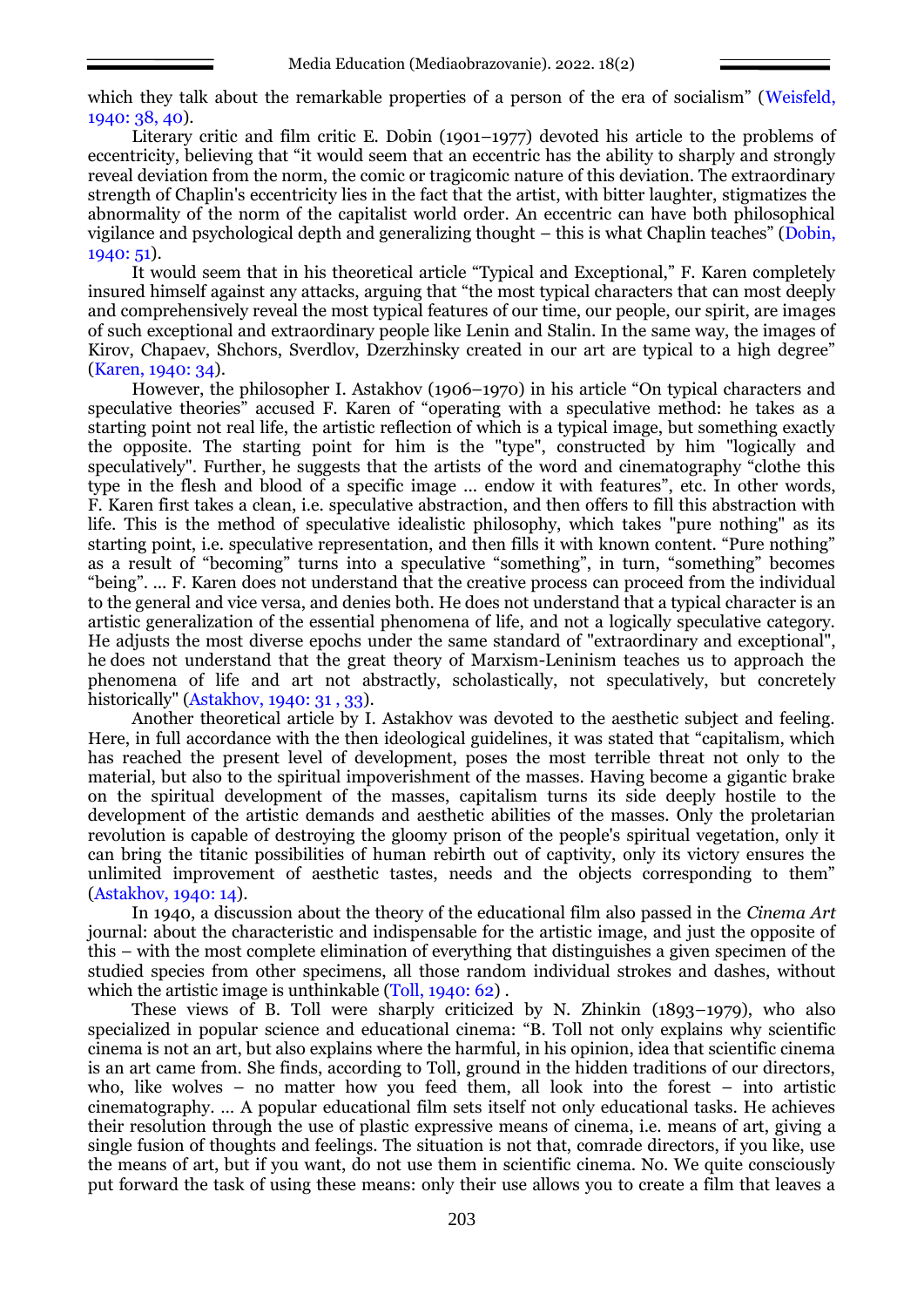which they talk about the remarkable properties of a person of the era of socialism" (Weisfeld, 1940: 38, 40).

Literary critic and film critic E. Dobin (1901–1977) devoted his article to the problems of eccentricity, believing that "it would seem that an eccentric has the ability to sharply and strongly reveal deviation from the norm, the comic or tragicomic nature of this deviation. The extraordinary strength of Chaplin's eccentricity lies in the fact that the artist, with bitter laughter, stigmatizes the abnormality of the norm of the capitalist world order. An eccentric can have both philosophical vigilance and psychological depth and generalizing thought – this is what Chaplin teaches" (Dobin, 1940: 51).

It would seem that in his theoretical article "Typical and Exceptional," F. Karen completely insured himself against any attacks, arguing that "the most typical characters that can most deeply and comprehensively reveal the most typical features of our time, our people, our spirit, are images of such exceptional and extraordinary people like Lenin and Stalin. In the same way, the images of Kirov, Chapaev, Shchors, Sverdlov, Dzerzhinsky created in our art are typical to a high degree" (Karen, 1940: 34).

However, the philosopher I. Astakhov (1906–1970) in his article "On typical characters and speculative theories" accused F. Karen of "operating with a speculative method: he takes as a starting point not real life, the artistic reflection of which is a typical image, but something exactly the opposite. The starting point for him is the "type", constructed by him "logically and speculatively". Further, he suggests that the artists of the word and cinematography "clothe this type in the flesh and blood of a specific image ... endow it with features", etc. In other words, F. Karen first takes a clean, i.e. speculative abstraction, and then offers to fill this abstraction with life. This is the method of speculative idealistic philosophy, which takes "pure nothing" as its starting point, i.e. speculative representation, and then fills it with known content. "Pure nothing" as a result of "becoming" turns into a speculative "something", in turn, "something" becomes "being". ... F. Karen does not understand that the creative process can proceed from the individual to the general and vice versa, and denies both. He does not understand that a typical character is an artistic generalization of the essential phenomena of life, and not a logically speculative category. He adjusts the most diverse epochs under the same standard of "extraordinary and exceptional", he does not understand that the great theory of Marxism-Leninism teaches us to approach the phenomena of life and art not abstractly, scholastically, not speculatively, but concretely historically" (Astakhov, 1940: 31, 33).

Another theoretical article by I. Astakhov was devoted to the aesthetic subject and feeling. Here, in full accordance with the then ideological guidelines, it was stated that "capitalism, which has reached the present level of development, poses the most terrible threat not only to the material, but also to the spiritual impoverishment of the masses. Having become a gigantic brake on the spiritual development of the masses, capitalism turns its side deeply hostile to the development of the artistic demands and aesthetic abilities of the masses. Only the proletarian revolution is capable of destroying the gloomy prison of the people's spiritual vegetation, only it can bring the titanic possibilities of human rebirth out of captivity, only its victory ensures the unlimited improvement of aesthetic tastes, needs and the objects corresponding to them" (Astakhov, 1940: 14).

In 1940, a discussion about the theory of the educational film also passed in the *Cinema Art*  journal: about the characteristic and indispensable for the artistic image, and just the opposite of this – with the most complete elimination of everything that distinguishes a given specimen of the studied species from other specimens, all those random individual strokes and dashes, without which the artistic image is unthinkable (Toll, 1940: 62).

These views of B. Toll were sharply criticized by N. Zhinkin (1893–1979), who also specialized in popular science and educational cinema: "B. Toll not only explains why scientific cinema is not an art, but also explains where the harmful, in his opinion, idea that scientific cinema is an art came from. She finds, according to Toll, ground in the hidden traditions of our directors, who, like wolves – no matter how you feed them, all look into the forest – into artistic cinematography. … A popular educational film sets itself not only educational tasks. He achieves their resolution through the use of plastic expressive means of cinema, i.e. means of art, giving a single fusion of thoughts and feelings. The situation is not that, comrade directors, if you like, use the means of art, but if you want, do not use them in scientific cinema. No. We quite consciously put forward the task of using these means: only their use allows you to create a film that leaves a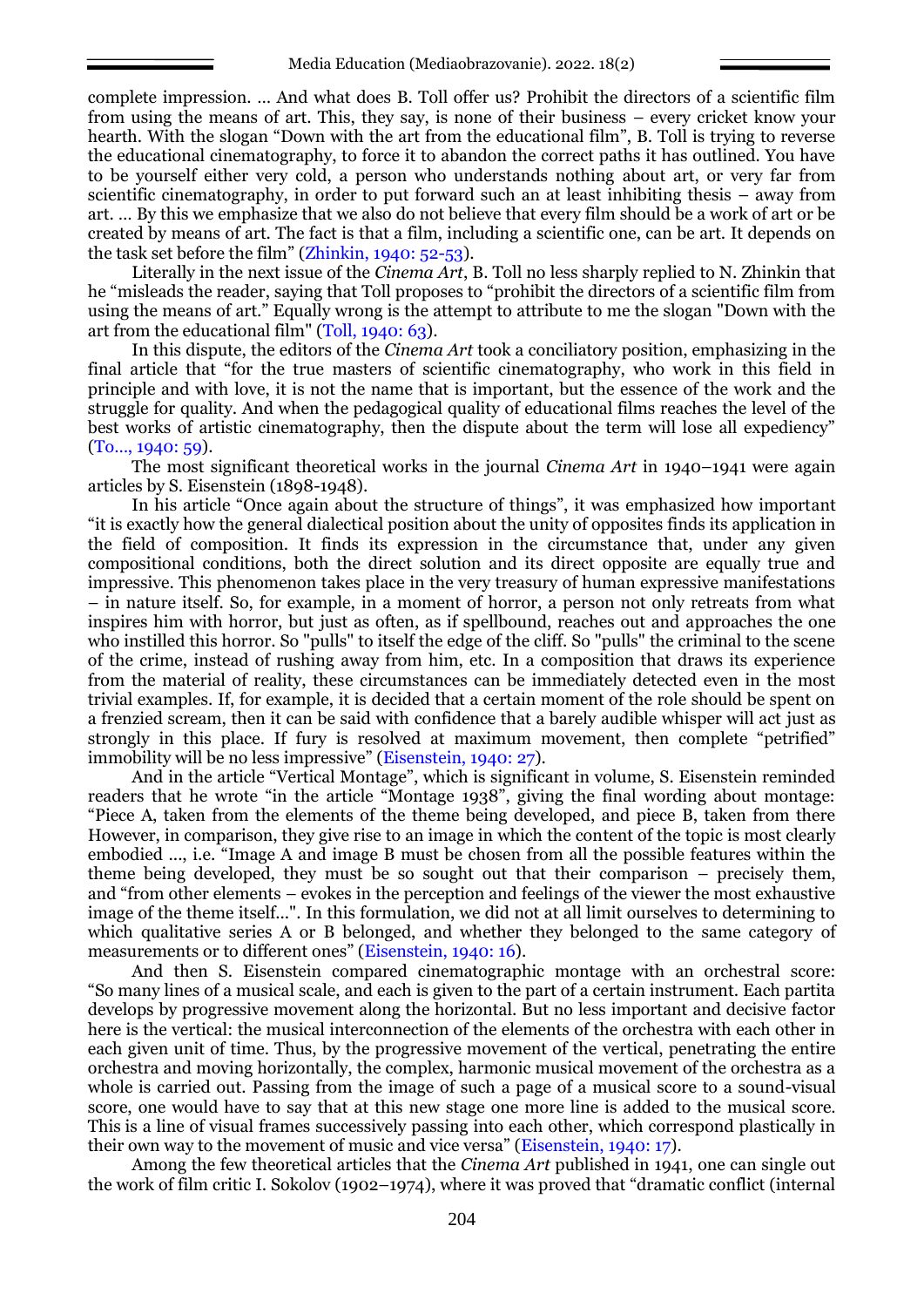complete impression. … And what does B. Toll offer us? Prohibit the directors of a scientific film from using the means of art. This, they say, is none of their business – every cricket know your hearth. With the slogan "Down with the art from the educational film", B. Toll is trying to reverse the educational cinematography, to force it to abandon the correct paths it has outlined. You have to be yourself either very cold, a person who understands nothing about art, or very far from scientific cinematography, in order to put forward such an at least inhibiting thesis – away from art. … By this we emphasize that we also do not believe that every film should be a work of art or be created by means of art. The fact is that a film, including a scientific one, can be art. It depends on the task set before the film" (Zhinkin, 1940: 52-53).

Literally in the next issue of the *Cinema Art*, B. Toll no less sharply replied to N. Zhinkin that he "misleads the reader, saying that Toll proposes to "prohibit the directors of a scientific film from using the means of art." Equally wrong is the attempt to attribute to me the slogan "Down with the art from the educational film" (Toll, 1940: 63).

In this dispute, the editors of the *Cinema Art* took a conciliatory position, emphasizing in the final article that "for the true masters of scientific cinematography, who work in this field in principle and with love, it is not the name that is important, but the essence of the work and the struggle for quality. And when the pedagogical quality of educational films reaches the level of the best works of artistic cinematography, then the dispute about the term will lose all expediency" (To…, 1940: 59).

The most significant theoretical works in the journal *Cinema Art* in 1940–1941 were again articles by S. Eisenstein (1898-1948).

In his article "Once again about the structure of things", it was emphasized how important "it is exactly how the general dialectical position about the unity of opposites finds its application in the field of composition. It finds its expression in the circumstance that, under any given compositional conditions, both the direct solution and its direct opposite are equally true and impressive. This phenomenon takes place in the very treasury of human expressive manifestations – in nature itself. So, for example, in a moment of horror, a person not only retreats from what inspires him with horror, but just as often, as if spellbound, reaches out and approaches the one who instilled this horror. So "pulls" to itself the edge of the cliff. So "pulls" the criminal to the scene of the crime, instead of rushing away from him, etc. In a composition that draws its experience from the material of reality, these circumstances can be immediately detected even in the most trivial examples. If, for example, it is decided that a certain moment of the role should be spent on a frenzied scream, then it can be said with confidence that a barely audible whisper will act just as strongly in this place. If fury is resolved at maximum movement, then complete "petrified" immobility will be no less impressive" (Eisenstein, 1940: 27).

And in the article "Vertical Montage", which is significant in volume, S. Eisenstein reminded readers that he wrote "in the article "Montage 1938", giving the final wording about montage: "Piece A, taken from the elements of the theme being developed, and piece B, taken from there However, in comparison, they give rise to an image in which the content of the topic is most clearly embodied ..., i.e. "Image A and image B must be chosen from all the possible features within the theme being developed, they must be so sought out that their comparison – precisely them, and "from other elements – evokes in the perception and feelings of the viewer the most exhaustive image of the theme itself...". In this formulation, we did not at all limit ourselves to determining to which qualitative series A or B belonged, and whether they belonged to the same category of measurements or to different ones" (Eisenstein, 1940: 16).

And then S. Eisenstein compared cinematographic montage with an orchestral score: "So many lines of a musical scale, and each is given to the part of a certain instrument. Each partita develops by progressive movement along the horizontal. But no less important and decisive factor here is the vertical: the musical interconnection of the elements of the orchestra with each other in each given unit of time. Thus, by the progressive movement of the vertical, penetrating the entire orchestra and moving horizontally, the complex, harmonic musical movement of the orchestra as a whole is carried out. Passing from the image of such a page of a musical score to a sound-visual score, one would have to say that at this new stage one more line is added to the musical score. This is a line of visual frames successively passing into each other, which correspond plastically in their own way to the movement of music and vice versa" (Eisenstein, 1940: 17).

Among the few theoretical articles that the *Cinema Art* published in 1941, one can single out the work of film critic I. Sokolov (1902–1974), where it was proved that "dramatic conflict (internal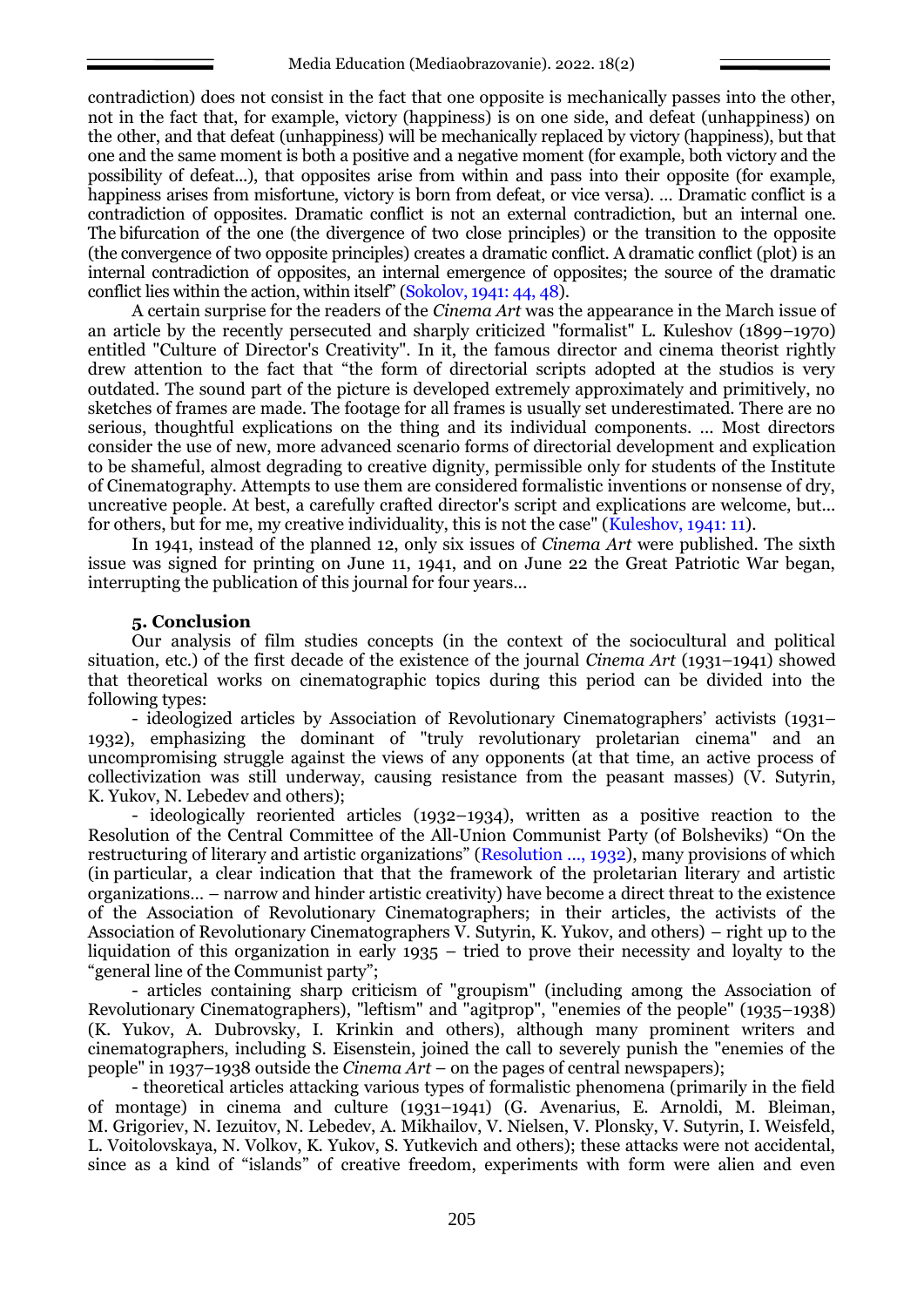contradiction) does not consist in the fact that one opposite is mechanically passes into the other, not in the fact that, for example, victory (happiness) is on one side, and defeat (unhappiness) on the other, and that defeat (unhappiness) will be mechanically replaced by victory (happiness), but that one and the same moment is both a positive and a negative moment (for example, both victory and the possibility of defeat...), that opposites arise from within and pass into their opposite (for example, happiness arises from misfortune, victory is born from defeat, or vice versa). ... Dramatic conflict is a contradiction of opposites. Dramatic conflict is not an external contradiction, but an internal one. The bifurcation of the one (the divergence of two close principles) or the transition to the opposite (the convergence of two opposite principles) creates a dramatic conflict. A dramatic conflict (plot) is an internal contradiction of opposites, an internal emergence of opposites; the source of the dramatic conflict lies within the action, within itself" (Sokolov, 1941: 44, 48).

A certain surprise for the readers of the *Cinema Art* was the appearance in the March issue of an article by the recently persecuted and sharply criticized "formalist" L. Kuleshov (1899–1970) entitled "Culture of Director's Creativity". In it, the famous director and cinema theorist rightly drew attention to the fact that "the form of directorial scripts adopted at the studios is very outdated. The sound part of the picture is developed extremely approximately and primitively, no sketches of frames are made. The footage for all frames is usually set underestimated. There are no serious, thoughtful explications on the thing and its individual components. ... Most directors consider the use of new, more advanced scenario forms of directorial development and explication to be shameful, almost degrading to creative dignity, permissible only for students of the Institute of Cinematography. Attempts to use them are considered formalistic inventions or nonsense of dry, uncreative people. At best, a carefully crafted director's script and explications are welcome, but... for others, but for me, my creative individuality, this is not the case" (Kuleshov, 1941: 11).

In 1941, instead of the planned 12, only six issues of *Cinema Art* were published. The sixth issue was signed for printing on June 11, 1941, and on June 22 the Great Patriotic War began, interrupting the publication of this journal for four years...

## **5. Conclusion**

Our analysis of film studies concepts (in the context of the sociocultural and political situation, etc.) of the first decade of the existence of the journal *Cinema Art* (1931–1941) showed that theoretical works on cinematographic topics during this period can be divided into the following types:

- ideologized articles by Association of Revolutionary Cinematographers' activists (1931– 1932), emphasizing the dominant of "truly revolutionary proletarian cinema" and an uncompromising struggle against the views of any opponents (at that time, an active process of collectivization was still underway, causing resistance from the peasant masses) (V. Sutyrin, K. Yukov, N. Lebedev and others);

- ideologically reoriented articles (1932–1934), written as a positive reaction to the Resolution of the Central Committee of the All-Union Communist Party (of Bolsheviks) "On the restructuring of literary and artistic organizations" (Resolution ..., 1932), many provisions of which (in particular, a clear indication that that the framework of the proletarian literary and artistic organizations… – narrow and hinder artistic creativity) have become a direct threat to the existence of the Association of Revolutionary Cinematographers; in their articles, the activists of the Association of Revolutionary Cinematographers  $\overline{V}$ . Sutyrin, K. Yukov, and others) – right up to the liquidation of this organization in early 1935 – tried to prove their necessity and loyalty to the "general line of the Communist party";

- articles containing sharp criticism of "groupism" (including among the Association of Revolutionary Cinematographers), "leftism" and "agitprop", "enemies of the people" (1935–1938) (K. Yukov, A. Dubrovsky, I. Krinkin and others), although many prominent writers and cinematographers, including S. Eisenstein, joined the call to severely punish the "enemies of the people" in 1937–1938 outside the *Cinema Art* – on the pages of central newspapers);

- theoretical articles attacking various types of formalistic phenomena (primarily in the field of montage) in cinema and culture (1931–1941) (G. Avenarius, E. Arnoldi, M. Bleiman, M. Grigoriev, N. Iezuitov, N. Lebedev, A. Mikhailov, V. Nielsen, V. Plonsky, V. Sutyrin, I. Weisfeld, L. Voitolovskaya, N. Volkov, K. Yukov, S. Yutkevich and others); these attacks were not accidental, since as a kind of "islands" of creative freedom, experiments with form were alien and even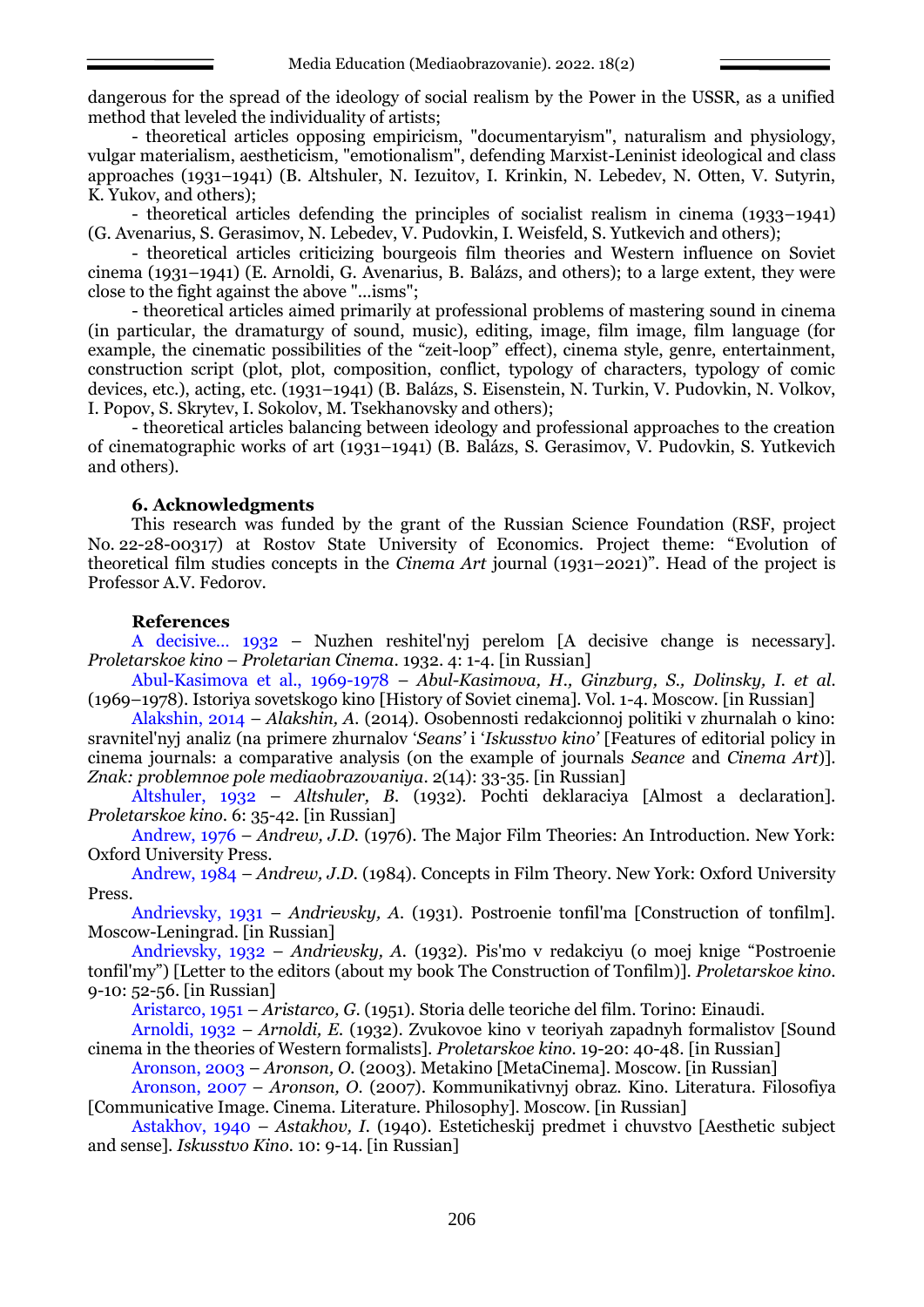dangerous for the spread of the ideology of social realism by the Power in the USSR, as a unified method that leveled the individuality of artists;

- theoretical articles opposing empiricism, "documentaryism", naturalism and physiology, vulgar materialism, aestheticism, "emotionalism", defending Marxist-Leninist ideological and class approaches (1931–1941) (B. Altshuler, N. Iezuitov, I. Krinkin, N. Lebedev, N. Otten, V. Sutyrin, K. Yukov, and others);

- theoretical articles defending the principles of socialist realism in cinema (1933–1941) (G. Avenarius, S. Gerasimov, N. Lebedev, V. Pudovkin, I. Weisfeld, S. Yutkevich and others);

- theoretical articles criticizing bourgeois film theories and Western influence on Soviet cinema (1931–1941) (E. Arnoldi, G. Avenarius, B. Balázs, and others); to a large extent, they were close to the fight against the above "...isms";

- theoretical articles aimed primarily at professional problems of mastering sound in cinema (in particular, the dramaturgy of sound, music), editing, image, film image, film language (for example, the cinematic possibilities of the "zeit-loop" effect), cinema style, genre, entertainment, construction script (plot, plot, composition, conflict, typology of characters, typology of comic devices, etc.), acting, etc. (1931–1941) (B. Balázs, S. Eisenstein, N. Turkin, V. Pudovkin, N. Volkov, I. Popov, S. Skrytev, I. Sokolov, M. Tsekhanovsky and others);

- theoretical articles balancing between ideology and professional approaches to the creation of cinematographic works of art (1931–1941) (B. Balázs, S. Gerasimov, V. Pudovkin, S. Yutkevich and others).

# **6. Acknowledgments**

This research was funded by the grant of the Russian Science Foundation (RSF, project No. 22-28-00317) at Rostov State University of Economics. Project theme: "Evolution of theoretical film studies concepts in the *Cinema Art* journal (1931–2021)". Head of the project is Professor A.V. Fedorov.

## **References**

A decisive… 1932 – Nuzhen reshitel'nyj perelom [A decisive change is necessary]. *Proletarskoe kino* – *Proletarian Cinema*. 1932. 4: 1-4. [in Russian]

Abul-Kasimova et al., 1969-1978 – *Abul-Kasimova, H., Ginzburg, S., Dolinsky, I. et al.* (1969–1978). Istoriya sovetskogo kino [History of Soviet cinema]. Vol. 1-4. Moscow. [in Russian]

Alakshin, 2014 – *Alakshin, A.* (2014). Osobennosti redakcionnoj politiki v zhurnalah o kino: sravnitel nyj analiz (na primere zhurnalov '*Seans'* i '*Iskusstvo kino'* [Features of editorial policy in cinema journals: a comparative analysis (on the example of journals *Seance* and *Cinema Art*)]. *Znak: problemnoe pole mediaobrazovaniya*. 2(14): 33-35. [in Russian]

Altshuler, 1932 – *Altshuler, B.* (1932). Pochti deklaraciya [Almost a declaration]. *Proletarskoe kino*. 6: 35-42. [in Russian]

Andrew, 1976 – *Andrew, J.D.* (1976). The Major Film Theories: An Introduction. New York: Oxford University Press.

Andrew, 1984 – *Andrew, J.D.* (1984). Concepts in Film Theory. New York: Oxford University Press.

Andrievsky, 1931 – *Andrievsky, A.* (1931). Postroenie tonfil'ma [Construction of tonfilm]. Moscow-Leningrad. [in Russian]

Andrievsky, 1932 – *Andrievsky, A.* (1932). Pis mo v redakciyu (o moej knige "Postroenie tonfil my") [Letter to the editors (about my book The Construction of Tonfilm)]. *Proletarskoe kino*. 9-10: 52-56. [in Russian]

Aristarco, 1951 – *Aristarco, G*. (1951). Storia delle teoriche del film. Torino: Einaudi.

Arnoldi, 1932 – *Arnoldi, E.* (1932). Zvukovoe kino v teoriyah zapadnyh formalistov [Sound cinema in the theories of Western formalists]. *Proletarskoe kino.* 19-20: 40-48. [in Russian]

Aronson, 2003 – *Aronson, O.* (2003). Metakino [MetaCinema]. Moscow. [in Russian]

Aronson, 2007 – *Aronson, O.* (2007). Kommunikativnyj obraz. Kino. Literatura. Filosofiya [Communicative Image. Cinema. Literature. Philosophy]. Moscow. [in Russian]

Astakhov, 1940 – *Astakhov, I.* (1940). Esteticheskij predmet i chuvstvo [Aesthetic subject and sense]. *Iskusstvo Kino.* 10: 9-14. [in Russian]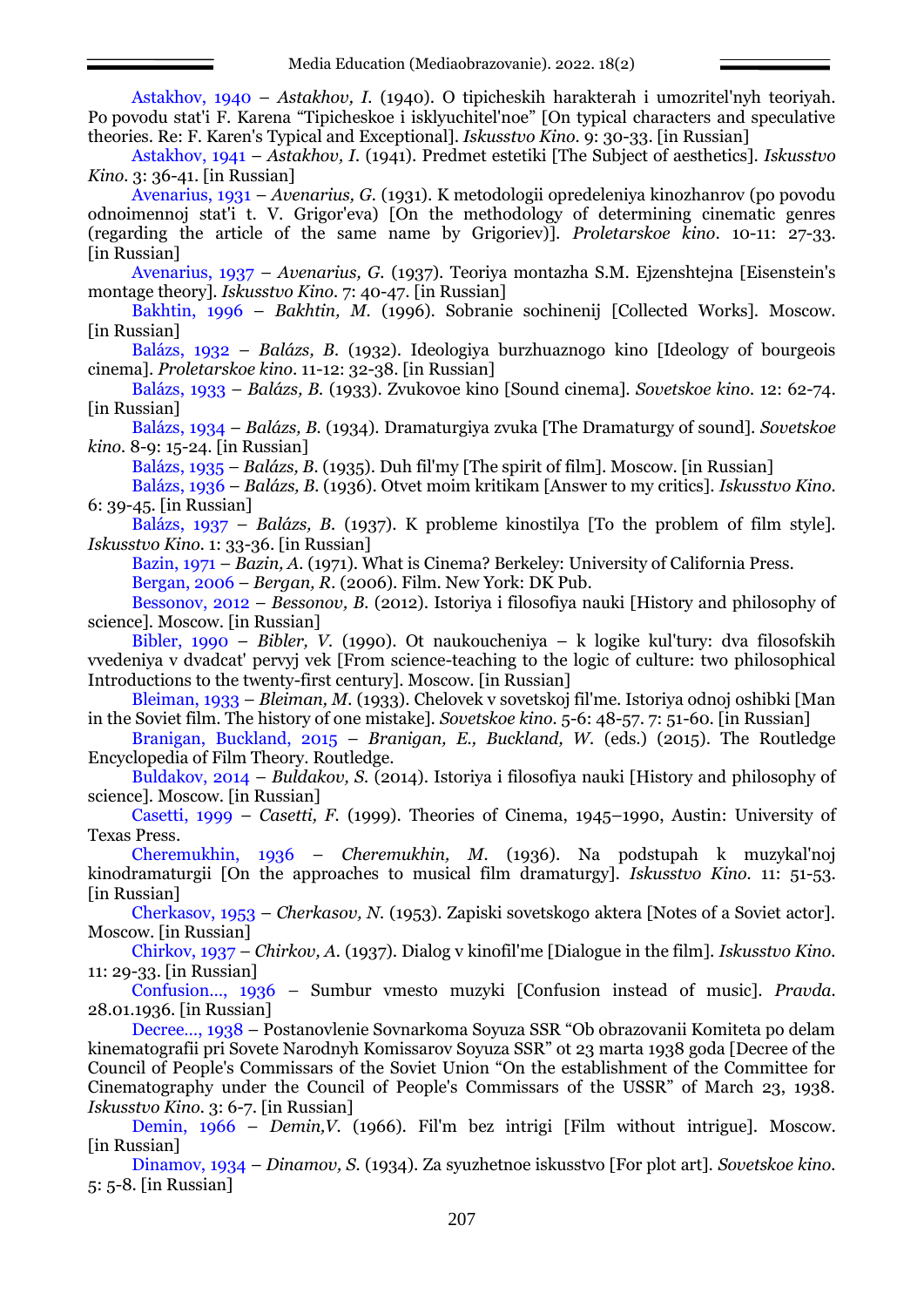Astakhov, 1940 – *Astakhov, I.* (1940). O tipicheskih harakterah i umozritel'nyh teoriyah. Po povodu stat i F. Karena "Tipicheskoe i isklyuchitel noe" [On typical characters and speculative theories. Re: F. Karen's Typical and Exceptional]. *Iskusstvo Kino.* 9: 30-33. [in Russian]

Astakhov, 1941 – *Astakhov, I.* (1941). Predmet estetiki [The Subject of aesthetics]. *Iskusstvo Kino.* 3: 36-41. [in Russian]

Avenarius, 1931 – *Avenarius, G.* (1931). K metodologii opredeleniya kinozhanrov (po povodu odnoimennoj stat'i t. V. Grigor'eva) [On the methodology of determining cinematic genres (regarding the article of the same name by Grigoriev)]. *Proletarskoe kino*. 10-11: 27-33. [in Russian]

Avenarius, 1937 – *Avenarius, G.* (1937). Teoriya montazha S.M. Ejzenshtejna [Eisenstein's montage theory]. *Iskusstvo Kino.* 7: 40-47. [in Russian]

Bakhtin, 1996 – *Bakhtin, M.* (1996). Sobranie sochinenij [Collected Works]. Moscow. [in Russian]

Balázs, 1932 – *Balázs, B.* (1932). Ideologiya burzhuaznogo kino [Ideology of bourgeois cinema]. *Proletarskoe kino*. 11-12: 32-38. [in Russian]

Balázs, 1933 – *Balázs, B.* (1933). Zvukovoe kino [Sound cinema]. *Sovetskoe kino.* 12: 62-74. [in Russian]

Balázs, 1934 – *Balázs, B.* (1934). Dramaturgiya zvuka [The Dramaturgy of sound]. *Sovetskoe kino.* 8-9: 15-24. [in Russian]

Balázs, 1935 – *Balázs, B.* (1935). Duh fil'my [The spirit of film]. Moscow. [in Russian]

Balázs, 1936 – *Balázs, B.* (1936). Otvet moim kritikam [Answer to my critics]. *Iskusstvo Kino.*  6: 39-45. [in Russian]

Balázs, 1937 – *Balázs, B.* (1937). K probleme kinostilya [To the problem of film style]. *Iskusstvo Kino.* 1: 33-36. [in Russian]

Bazin, 1971 – *Bazin, A.* (1971). What is Cinema? Berkeley: University of California Press. Bergan, 2006 – *Bergan, R.* (2006). Film. New York: DK Pub.

Bessonov, 2012 – *Bessonov, B.* (2012). Istoriya i filosofiya nauki [History and philosophy of science]. Moscow. [in Russian]

Bibler, 1990 – *Bibler, V.* (1990). Ot naukoucheniya – k logike kul'tury: dva filosofskih vvedeniya v dvadcat' pervyj vek [From science-teaching to the logic of culture: two philosophical Introductions to the twenty-first century]. Moscow. [in Russian]

Bleiman, 1933 – *Bleiman, M.* (1933). Chelovek v sovetskoj fil'me. Istoriya odnoj oshibki [Man in the Soviet film. The history of one mistake]. *Sovetskoe kino.* 5-6: 48-57. 7: 51-60. [in Russian]

Branigan, Buckland, 2015 – *Branigan, E., Buckland, W.* (eds.) (2015). The Routledge Encyclopedia of Film Theory. Routledge.

Buldakov, 2014 – *Buldakov, S.* (2014). Istoriya i filosofiya nauki [History and philosophy of science]. Moscow. [in Russian]

Casetti, 1999 – *Casetti, F.* (1999). Theories of Cinema, 1945–1990, Austin: University of Texas Press.

Cheremukhin, 1936 – *Cheremukhin, M.* (1936). Na podstupah k muzykal'noj kinodramaturgii [On the approaches to musical film dramaturgy]. *Iskusstvo Kino.* 11: 51-53. [in Russian]

Cherkasov, 1953 – *Cherkasov, N.* (1953). Zapiski sovetskogo aktera [Notes of a Soviet actor]. Мoscow. [in Russian]

Chirkov, 1937 – *Chirkov, A.* (1937). Dialog v kinofil'me [Dialogue in the film]. *Iskusstvo Kino.*  11: 29-33. [in Russian]

Confusion…, 1936 *–* Sumbur vmesto muzyki [Confusion instead of music]. *Pravda.* 28.01.1936. [in Russian]

Decree…, 1938 – Postanovlenie Sovnarkoma Soyuza SSR "Ob obrazovanii Komiteta po delam kinematografii pri Sovete Narodnyh Komissarov Soyuza SSR" ot 23 marta 1938 goda [Decree of the Council of People's Commissars of the Soviet Union "On the establishment of the Committee for Cinematography under the Council of People's Commissars of the USSR" of March 23, 1938. *Iskusstvo Kino.* 3: 6-7. [in Russian]

Demin, 1966 – *Demin,V.* (1966). Fil'm bez intrigi [Film without intrigue]. Мoscow. [in Russian]

Dinamov, 1934 – *Dinamov, S.* (1934). Za syuzhetnoe iskusstvo [For plot art]. *Sovetskoe kino.*  5: 5-8. [in Russian]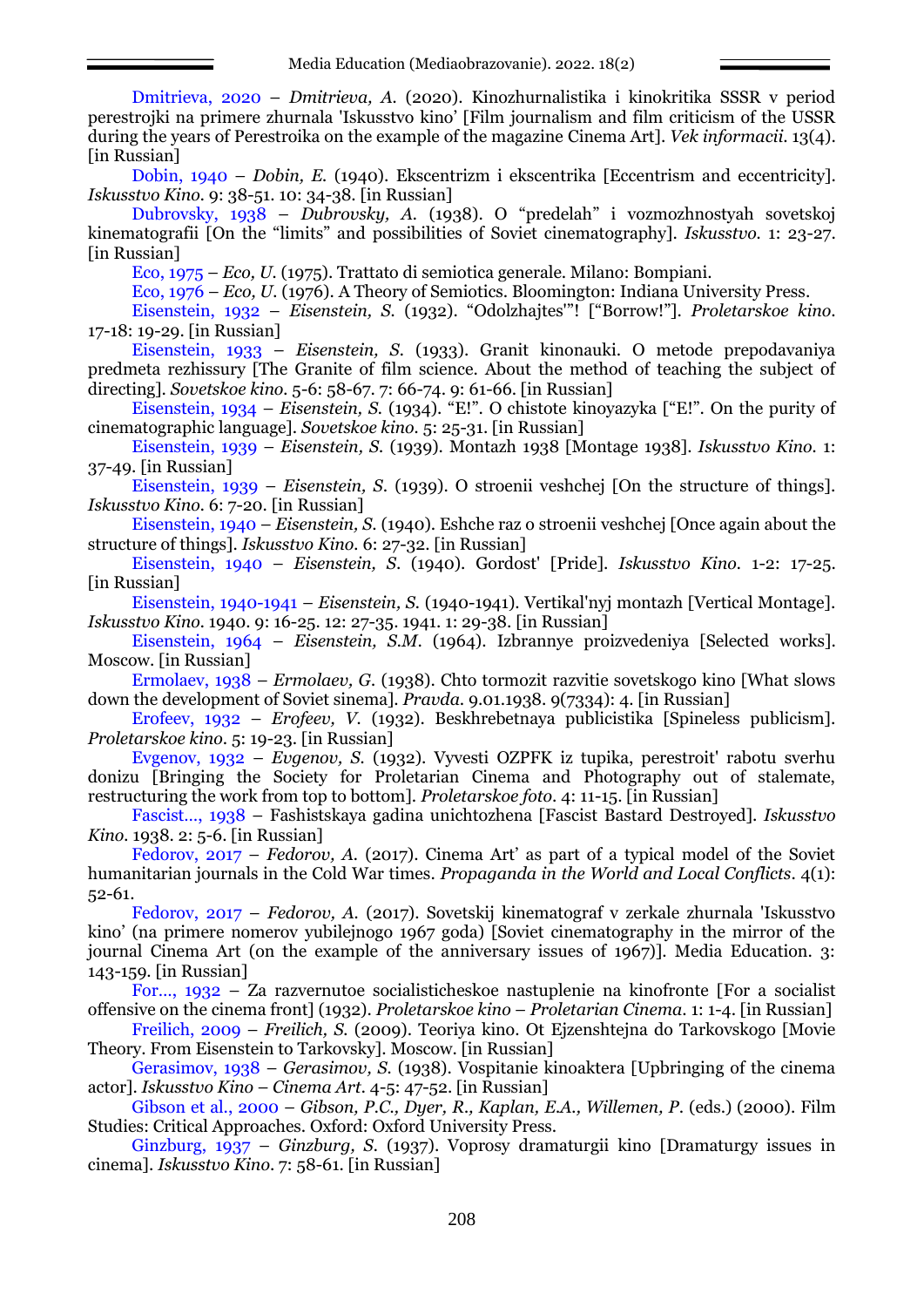Dmitrieva, 2020 – *Dmitrieva, A.* (2020). Kinozhurnalistika i kinokritika SSSR v period perestrojki na primere zhurnala Iskusstvo kino' [Film journalism and film criticism of the USSR during the years of Perestroika on the example of the magazine Cinema Art]. *Vek informacii*. 13(4). [in Russian]

Dobin, 1940 – *Dobin, E.* (1940). Ekscentrizm i ekscentrika [Eccentrism and eccentricity]. *Iskusstvo Kino.* 9: 38-51. 10: 34-38. [in Russian]

Dubrovsky, 1938 – *Dubrovsky, A.* (1938). O "predelah" i vozmozhnostyah sovetskoj kinematografii [On the "limits" and possibilities of Soviet cinematography]. *Iskusstvo.* 1: 23-27. [in Russian]

Eco, 1975 – *Eco, U.* (1975). Trattato di semiotica generale. Milano: Bompiani.

Eco, 1976 – *Eco, U.* (1976). A Theory of Semiotics. Bloomington: Indiana University Press.

Eisenstein, 1932 – *Eisenstein, S.* (1932). "Odolzhajtes "! ["Borrow!"]. *Proletarskoe kino*. 17-18: 19-29. [in Russian]

Eisenstein, 1933 – *Eisenstein, S.* (1933). Granit kinonauki. O metode prepodavaniya predmeta rezhissury [The Granite of film science. About the method of teaching the subject of directing]. *Sovetskoe kino.* 5-6: 58-67. 7: 66-74. 9: 61-66. [in Russian]

Eisenstein, 1934 – *Eisenstein, S.* (1934). "E!". O chistote kinoyazyka ["E!". On the purity of cinematographic language]. *Sovetskoe kino.* 5: 25-31. [in Russian]

Eisenstein, 1939 – *Eisenstein, S.* (1939). Montazh 1938 [Montage 1938]. *Iskusstvo Kino.* 1: 37-49. [in Russian]

Eisenstein, 1939 – *Eisenstein, S*. (1939). O stroenii veshchej [On the structure of things]. *Iskusstvo Kino.* 6: 7-20. [in Russian]

Eisenstein, 1940 – *Eisenstein, S*. (1940). Eshche raz o stroenii veshchej [Once again about the structure of things]. *Iskusstvo Kino.* 6: 27-32. [in Russian]

Eisenstein, 1940 – *Eisenstein, S*. (1940). Gordost' [Pride]. *Iskusstvo Kino.* 1-2: 17-25. [in Russian]

Eisenstein, 1940-1941 – *Eisenstein, S.* (1940-1941). Vertikal'nyj montazh [Vertical Montage]. *Iskusstvo Kino.* 1940. 9: 16-25. 12: 27-35. 1941. 1: 29-38. [in Russian]

Eisenstein, 1964 – *Eisenstein, S.M*. (1964). Izbrannye proizvedeniya [Selected works]. Moscow. [in Russian]

Ermolaev, 1938 – *Ermolaev, G.* (1938). Chto tormozit razvitie sovetskogo kino [What slows down the development of Soviet sinema]. *Pravda*. 9.01.1938. 9(7334): 4. [in Russian]

Erofeev, 1932 – *Erofeev, V.* (1932). Beskhrebetnaya publicistika [Spineless publicism]. *Proletarskoe kino*. 5: 19-23. [in Russian]

Evgenov, 1932 – *Evgenov, S.* (1932). Vyvesti OZPFK iz tupika, perestroit' rabotu sverhu donizu [Bringing the Society for Proletarian Cinema and Photography out of stalemate, restructuring the work from top to bottom]. *Proletarskoe foto*. 4: 11-15. [in Russian]

Fascist…, 1938 – Fashistskaya gadina unichtozhena [Fascist Bastard Destroyed]. *Iskusstvo Kino.* **1938. 2: 5-6.** [in Russian]

Fedorov, 2017 – *Fedorov, A.* (2017). Cinema Art' as part of a typical model of the Soviet humanitarian journals in the Cold War times. *Propaganda in the World and Local Conflicts*. 4(1): 52-61.

Fedorov, 2017 – *Fedorov, A.* (2017). Sovetskij kinematograf v zerkale zhurnala 'Iskusstvo kino' (na primere nomerov yubilejnogo 1967 goda) [Soviet cinematography in the mirror of the journal Cinema Art (on the example of the anniversary issues of 1967)]. Media Education. 3: 143-159. [in Russian]

For…, 1932 – Za razvernutoe socialisticheskoe nastuplenie na kinofronte [For a socialist offensive on the cinema front] (1932). *Proletarskoe kino* – *Proletarian Cinema*. 1: 1-4. [in Russian]

Freilich, 2009 – *Freilich, S.* (2009). Teoriya kino. Ot Ejzenshtejna do Tarkovskogo [Movie Theory. From Eisenstein to Tarkovsky]. Мoscow. [in Russian]

Gerasimov, 1938 – *Gerasimov, S.* (1938). Vospitanie kinoaktera [Upbringing of the cinema actor]. *Iskusstvo Kino* – *Cinema Art.* 4-5: 47-52. [in Russian]

Gibson et al., 2000 – *Gibson, P.C., Dyer, R., Kaplan, E.A., Willemen, P*. (eds.) (2000). Film Studies: Critical Approaches. Oxford: Oxford University Press.

Ginzburg, 1937 – *Ginzburg, S.* (1937). Voprosy dramaturgii kino [Dramaturgy issues in cinema]. *Iskusstvo Kino*. 7: 58-61. [in Russian]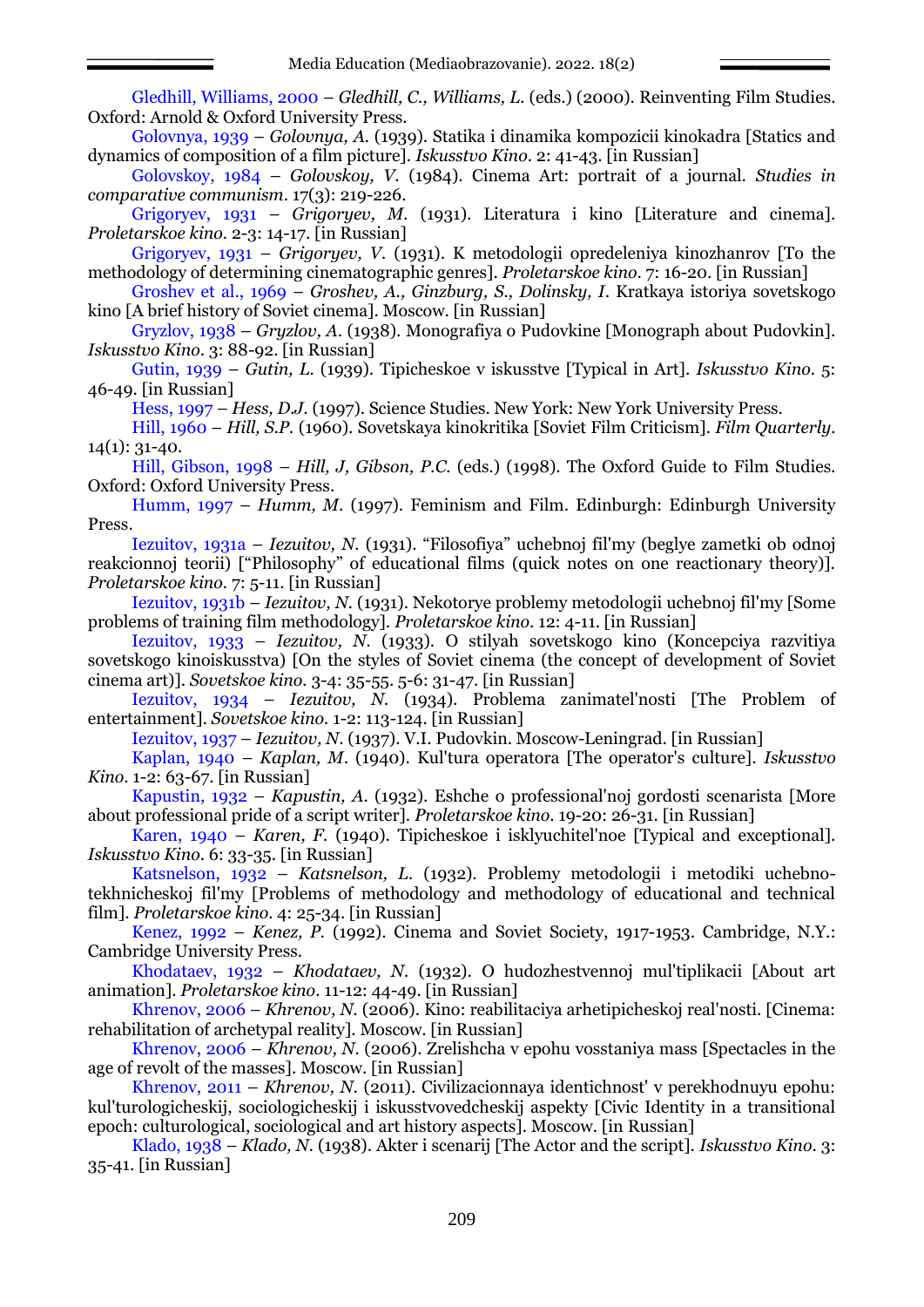Gledhill, Williams, 2000 – *Gledhill, C., Williams, L.* (eds.) (2000). Reinventing Film Studies. Oxford: Arnold & Oxford University Press.

Golovnya, 1939 – *Golovnya, A.* (1939). Statika i dinamika kompozicii kinokadra [Statics and dynamics of composition of a film picture]. *Iskusstvo Kino*. 2: 41-43. [in Russian]

Golovskoy, 1984 – *Golovskoy, V.* (1984). Cinema Art: portrait of a journal. *Studies in comparative communism*. 17(3): 219-226.

Grigoryev, 1931 – *Grigoryev, M.* (1931). Literatura i kino [Literature and cinema]. *Proletarskoe kino*. 2-3: 14-17. [in Russian]

Grigoryev, 1931 – *Grigoryev, V.* (1931). K metodologii opredeleniya kinozhanrov [To the methodology of determining cinematographic genres]. *Proletarskoe kino*. 7: 16-20. [in Russian]

Groshev et al., 1969 – *Groshev, A., Ginzburg, S., Dolinsky, I*. Kratkaya istoriya sovetskogo kino [A brief history of Soviet cinema]. Moscow. [in Russian]

Gryzlov, 1938 – *Gryzlov, A*. (1938). Monografiya o Pudovkine [Monograph about Pudovkin]. *Iskusstvo Kino*. 3: 88-92. [in Russian]

Gutin, 1939 – *Gutin, L.* (1939). Tipicheskoe v iskusstve [Typical in Art]. *Iskusstvo Kino*. 5: 46-49. [in Russian]

Hess, 1997 – *Hess, D.J.* (1997). Science Studies. New York: New York University Press.

Hill, 1960 – *Hill, S.P.* (1960). Sovetskaya kinokritika [Soviet Film Criticism]. *Film Quarterly.* 14(1): 31-40.

Hill, Gibson, 1998 – *Hill, J, Gibson, P.C.* (eds.) (1998). The Oxford Guide to Film Studies. Oxford: Oxford University Press.

Humm, 1997 – *Humm, M*. (1997). Feminism and Film. Edinburgh: Edinburgh University Press.

Iezuitov, 1931a – *Iezuitov, N.* (1931). "Filosofiya" uchebnoj fil my (beglye zametki ob odnoj reakcionnoj teorii) ["Philosophy" of educational films (quick notes on one reactionary theory)]. *Proletarskoe kino*. 7: 5-11. [in Russian]

Iezuitov, 1931b – *Iezuitov, N.* (1931). Nekotorye problemy metodologii uchebnoj fil'my [Some problems of training film methodology]. *Proletarskoe kino*. 12: 4-11. [in Russian]

Iezuitov, 1933 – *Iezuitov, N.* (1933). O stilyah sovetskogo kino (Koncepciya razvitiya sovetskogo kinoiskusstva) [On the styles of Soviet cinema (the concept of development of Soviet cinema art)]. *Sovetskoe kino.* 3-4: 35-55. 5-6: 31-47. [in Russian]

Iezuitov, 1934 – *Iezuitov, N.* (1934). Problema zanimatel'nosti [The Problem of entertainment]. *Sovetskoe kino.* 1-2: 113-124. [in Russian]

Iezuitov, 1937 – *Iezuitov, N*. (1937). V.I. Pudovkin. Moscow-Leningrad. [in Russian]

Kaplan, 1940 – *Kaplan, M*. (1940). Kul'tura operatora [The operator's culture]. *Iskusstvo Kino*. 1-2: 63-67. [in Russian]

Kapustin, 1932 – *Kapustin, A*. (1932). Eshche o professional'noj gordosti scenarista [More about professional pride of a script writer]. *Proletarskoe kino*. 19-20: 26-31. [in Russian]

Karen, 1940 – *Karen, F.* (1940). Tipicheskoe i isklyuchitel'noe [Typical and exceptional]. *Iskusstvo Kino*. 6: 33-35. [in Russian]

Katsnelson, 1932 – *Katsnelson, L.* (1932). Problemy metodologii i metodiki uchebnotekhnicheskoj fil'my [Problems of methodology and methodology of educational and technical film]. *Proletarskoe kino*. 4: 25-34. [in Russian]

Kenez, 1992 – *Kenez, P.* (1992). Cinema and Soviet Society, 1917-1953. Cambridge, N.Y.: Cambridge University Press.

Khodataev, 1932 – *Khodataev, N.* (1932). O hudozhestvennoj mul'tiplikacii [About art animation]. *Proletarskoe kino*. 11-12: 44-49. [in Russian]

Khrenov, 2006 – *Khrenov, N.* (2006). Kino: reabilitaciya arhetipicheskoj real'nosti. [Cinema: rehabilitation of archetypal reality]. Мoscow. [in Russian]

Khrenov, 2006 – *Khrenov, N.* (2006). Zrelishcha v epohu vosstaniya mass [Spectacles in the age of revolt of the masses]. Мoscow. [in Russian]

Khrenov, 2011 – *Khrenov, N.* (2011). Civilizacionnaya identichnost' v perekhodnuyu epohu: kul'turologicheskij, sociologicheskij i iskusstvovedcheskij aspekty [Civic Identity in a transitional epoch: culturological, sociological and art history aspects]. Мoscow. [in Russian]

Klado, 1938 – *Klado, N.* (1938). Akter i scenarij [The Actor and the script]. *Iskusstvo Kino*. 3: 35-41. [in Russian]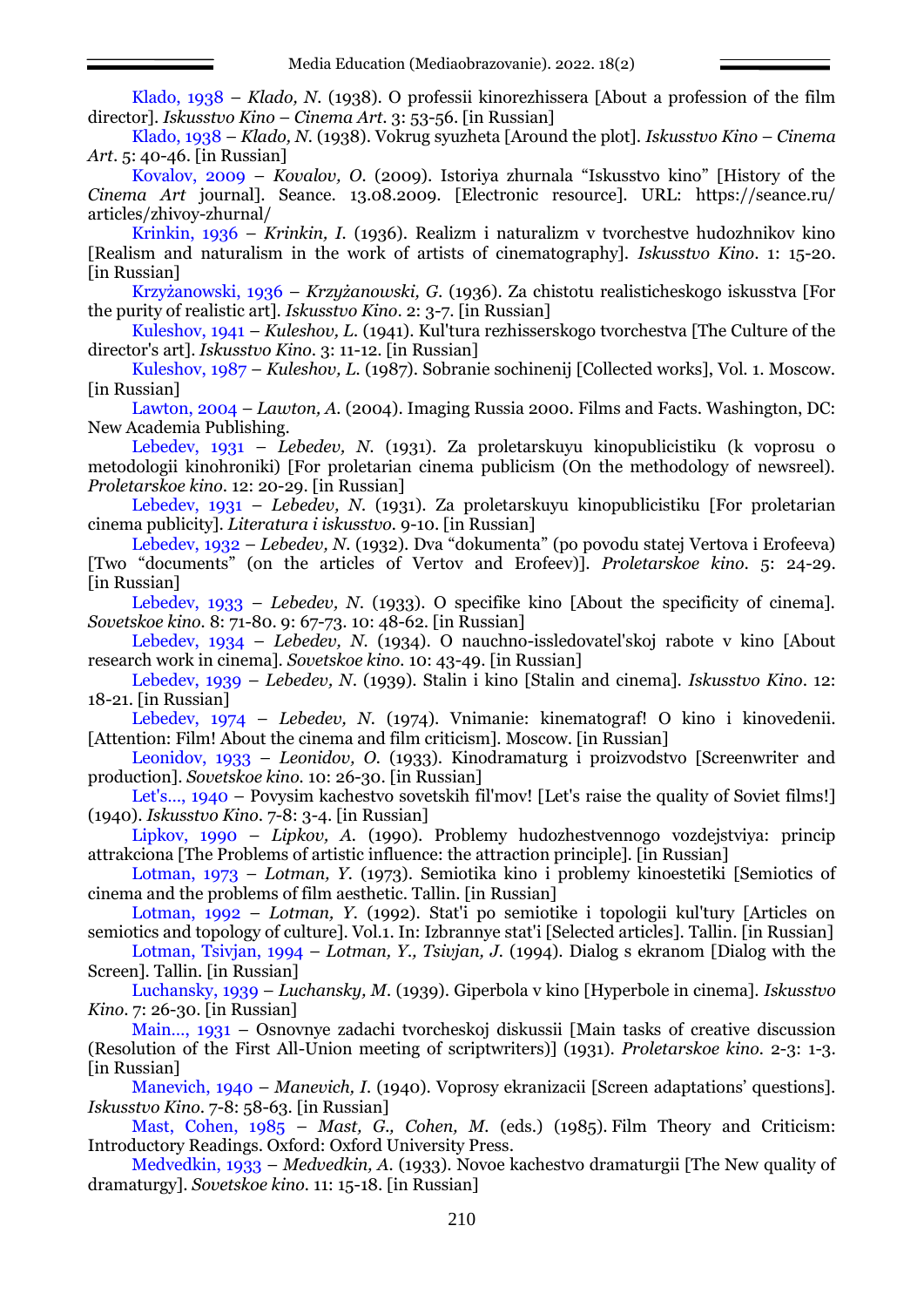Klado, 1938 – *Klado, N.* (1938). O professii kinorezhissera [About a profession of the film director]. *Iskusstvo Kino* – *Cinema Art*. 3: 53-56. [in Russian]

Klado, 1938 – *Klado, N.* (1938). Vokrug syuzheta [Around the plot]. *Iskusstvo Kino* – *Cinema Art*. 5: 40-46. [in Russian]

Kovalov, 2009 – *Kovalov, O.* (2009). Istoriya zhurnala "Iskusstvo kino" [History of the *Cinema Art* journal]. Seance. 13.08.2009. [Electronic resource]. URL: https://seance.ru/ articles/zhivoy-zhurnal/

Krinkin, 1936 – *Krinkin, I.* (1936). Realizm i naturalizm v tvorchestve hudozhnikov kino [Realism and naturalism in the work of artists of cinematography]. *Iskusstvo Kino*. 1: 15-20. [in Russian]

Krzyżanowski, 1936 – *Krzyżanowski, G*. (1936). Za chistotu realisticheskogo iskusstva [For the purity of realistic art]. *Iskusstvo Kino*. 2: 3-7. [in Russian]

Kuleshov, 1941 – *Kuleshov, L.* (1941). Kul'tura rezhisserskogo tvorchestva [The Culture of the director's art]. *Iskusstvo Kino*. 3: 11-12. [in Russian]

Kuleshov, 1987 – *Kuleshov, L.* (1987). Sobranie sochinenij [Collected works], Vol. 1. Moscow. [in Russian]

Lawton, 2004 – *Lawton, A.* (2004). Imaging Russia 2000. Films and Facts. Washington, DC: New Academia Publishing.

Lebedev, 1931 – *Lebedev, N*. (1931). Za proletarskuyu kinopublicistiku (k voprosu o metodologii kinohroniki) [For proletarian cinema publicism (On the methodology of newsreel). *Proletarskoe kino*. 12: 20-29. [in Russian]

Lebedev, 1931 – *Lebedev, N.* (1931). Za proletarskuyu kinopublicistiku [For proletarian cinema publicity]. *Literatura i iskusstvo.* 9-10. [in Russian]

Lebedev, 1932 – *Lebedev, N.* (1932). Dva "dokumenta" (po povodu statej Vertova i Erofeeva) [Two "documents" (on the articles of Vertov and Erofeev)]. *Proletarskoe kino*. 5: 24-29. [in Russian]

Lebedev, 1933 – *Lebedev, N*. (1933). O specifike kino [About the specificity of cinema]. *Sovetskoe kino.* 8: 71-80. 9: 67-73. 10: 48-62. [in Russian]

Lebedev, 1934 – *Lebedev, N.* (1934). O nauchno-issledovatel'skoj rabote v kino [About research work in cinema]. *Sovetskoe kino.* 10: 43-49. [in Russian]

Lebedev, 1939 – *Lebedev, N*. (1939). Stalin i kino [Stalin and cinema]. *Iskusstvo Kino*. 12: 18-21. [in Russian]

Lebedev, 1974 – *Lebedev, N.* (1974). Vnimanie: kinematograf! O kino i kinovedenii. [Attention: Film! About the cinema and film criticism]. Мoscow. [in Russian]

Leonidov, 1933 – *Leonidov, O.* (1933). Kinodramaturg i proizvodstvo [Screenwriter and production]. *Sovetskoe kino.* 10: 26-30. [in Russian]

Let's..., 1940 – Povysim kachestvo sovetskih fil'mov! [Let's raise the quality of Soviet films!] (1940). *Iskusstvo Kino*. 7-8: 3-4. [in Russian]

Lipkov, 1990 – *Lipkov, A.* (1990). Problemy hudozhestvennogo vozdejstviya: princip attrakciona [The Problems of artistic influence: the attraction principle]. [in Russian]

Lotman, 1973 – *Lotman, Y.* (1973). Semiotika kino i problemy kinoestetiki [Semiotics of cinema and the problems of film aesthetic. Tallin. [in Russian]

Lotman, 1992 – *Lotman, Y.* (1992). Stat'i po semiotike i topologii kul'tury [Articles on semiotics and topology of culture]. Vol.1. In: Izbrannye stat'i [Selected articles]. Tallin. [in Russian]

Lotman, Tsivjan, 1994 – *Lotman, Y., Tsivjan, J.* (1994). Dialog s ekranom [Dialog with the Screen]. Tallin. [in Russian]

Luchansky, 1939 – *Luchansky, M.* (1939). Giperbola v kino [Hyperbole in cinema]. *Iskusstvo Kino*. 7: 26-30. [in Russian]

Main…, 1931 – Osnovnye zadachi tvorcheskoj diskussii [Main tasks of creative discussion (Resolution of the First All-Union meeting of scriptwriters)] (1931). *Proletarskoe kino.* 2-3: 1-3. [in Russian]

Manevich, 1940 – *Manevich, I.* (1940). Voprosy ekranizacii [Screen adaptations' questions]. *Iskusstvo Kino*. 7-8: 58-63. [in Russian]

Mast, Cohen, 1985 – *Mast, G., Cohen, M.* (eds.) (1985). Film Theory and Criticism: Introductory Readings. Oxford: Oxford University Press.

Medvedkin, 1933 – *Medvedkin, A.* (1933). Novoe kachestvo dramaturgii [The New quality of dramaturgy]. *Sovetskoe kino.* 11: 15-18. [in Russian]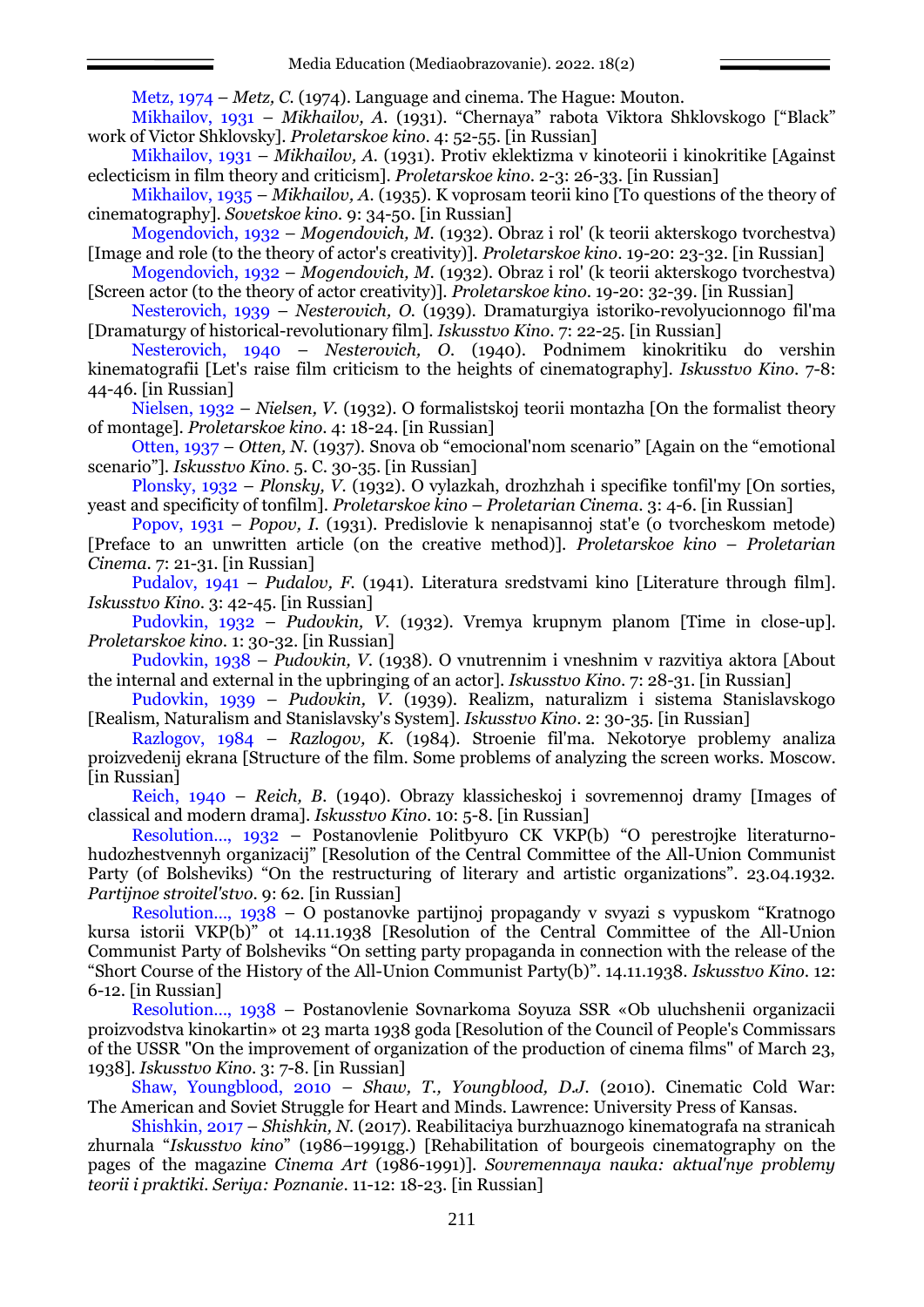Metz, 1974 – *Metz, C.* (1974). Language and cinema. The Hague: Mouton.

Mikhailov, 1931 – *Mikhailov, A.* (1931). "Chernaya" rabota Viktora Shklovskogo ["Black" work of Victor Shklovsky]. *Proletarskoe kino*. 4: 52-55. [in Russian]

Mikhailov, 1931 – *Mikhailov, A.* (1931). Protiv eklektizma v kinoteorii i kinokritike [Against eclecticism in film theory and criticism]. *Proletarskoe kino*. 2-3: 26-33. [in Russian]

Mikhailov, 1935 – *Mikhailov, A.* (1935). K voprosam teorii kino [To questions of the theory of cinematography]. *Sovetskoe kino.* 9: 34-50. [in Russian]

Mogendovich, 1932 – *Mogendovich, M.* (1932). Obraz i rol' (k teorii akterskogo tvorchestva) [Image and role (to the theory of actor's creativity)]. *Proletarskoe kino*. 19-20: 23-32. [in Russian]

Mogendovich, 1932 – *Mogendovich, M*. (1932). Obraz i rol' (k teorii akterskogo tvorchestva) [Screen actor (to the theory of actor creativity)]. *Proletarskoe kino*. 19-20: 32-39. [in Russian]

Nesterovich, 1939 – *Nesterovich, O.* (1939). Dramaturgiya istoriko-revolyucionnogo fil'ma [Dramaturgy of historical-revolutionary film]. *Iskusstvo Kino*. 7: 22-25. [in Russian]

Nesterovich, 1940 – *Nesterovich, O.* (1940). Podnimem kinokritiku do vershin kinematografii [Let's raise film criticism to the heights of cinematography]. *Iskusstvo Kino*. 7-8: 44-46. [in Russian]

Nielsen, 1932 – *Nielsen, V.* (1932). O formalistskoj teorii montazha [On the formalist theory of montage]. *Proletarskoe kino*. 4: 18-24. [in Russian]

Otten, 1937 – *Otten, N.* (1937). Snova ob "emocional nom scenario" [Again on the "emotional" scenario"]. *Iskusstvo Kino*. 5. С. 30-35. [in Russian]

Plonsky, 1932 – *Plonsky, V.* (1932). O vylazkah, drozhzhah i specifike tonfil'my [On sorties, yeast and specificity of tonfilm]. *Proletarskoe kino* – *Proletarian Cinema*. 3: 4-6. [in Russian]

Popov, 1931 – *Popov, I.* (1931). Predislovie k nenapisannoj stat'e (o tvorcheskom metode) [Preface to an unwritten article (on the creative method)]. *Proletarskoe kino* – *Proletarian Cinema*. 7: 21-31. [in Russian]

Pudalov, 1941 – *Pudalov, F.* (1941). Literatura sredstvami kino [Literature through film]. *Iskusstvo Kino*. 3: 42-45. [in Russian]

Pudovkin, 1932 – *Pudovkin, V.* (1932). Vremya krupnym planom [Time in close-up]. *Proletarskoe kino*. 1: 30-32. [in Russian]

Pudovkin, 1938 – *Pudovkin, V*. (1938). O vnutrennim i vneshnim v razvitiya aktora [About the internal and external in the upbringing of an actor]. *Iskusstvo Kino*. 7: 28-31. [in Russian]

Pudovkin, 1939 – *Pudovkin, V*. (1939). Realizm, naturalizm i sistema Stanislavskogo [Realism, Naturalism and Stanislavsky's System]. *Iskusstvo Kino*. 2: 30-35. [in Russian]

Razlogov, 1984 – *Razlogov, K.* (1984). Stroenie fil'ma. Nekotorye problemy analiza proizvedenij ekrana [Structure of the film. Some problems of analyzing the screen works. Мoscow. [in Russian]

Reich, 1940 – *Reich, B.* (1940). Obrazy klassicheskoj i sovremennoj dramy [Images of classical and modern drama]. *Iskusstvo Kino*. 10: 5-8. [in Russian]

Resolution…, 1932 – Postanovlenie Politbyuro CK VKP(b) "O perestrojke literaturnohudozhestvennyh organizacij" [Resolution of the Central Committee of the All-Union Communist Party (of Bolsheviks) "On the restructuring of literary and artistic organizations". 23.04.1932. *Partijnoe stroitel'stvo*. 9: 62. [in Russian]

Resolution…, 1938 – O postanovke partijnoj propagandy v svyazi s vypuskom "Kratnogo kursa istorii VKP(b)" ot 14.11.1938 [Resolution of the Central Committee of the All-Union Communist Party of Bolsheviks "On setting party propaganda in connection with the release of the "Short Course of the History of the All-Union Communist Party(b)". 14.11.1938. *Iskusstvo Kino*. 12: 6-12. [in Russian]

Resolution…, 1938 – Postanovlenie Sovnarkoma Soyuza SSR «Ob uluchshenii organizacii proizvodstva kinokartin» ot 23 marta 1938 goda [Resolution of the Council of People's Commissars of the USSR "On the improvement of organization of the production of cinema films" of March 23, 1938]. *Iskusstvo Kino*. 3: 7-8. [in Russian]

Shaw, Youngblood, 2010 – *Shaw, T., Youngblood, D.J.* (2010). Cinematic Cold War: The American and Soviet Struggle for Heart and Minds. Lawrence: University Press of Kansas.

Shishkin, 2017 – *Shishkin, N.* (2017). Reabilitaciya burzhuaznogo kinematografa na stranicah zhurnala "*Iskusstvo kino*" (1986–1991gg.) [Rehabilitation of bourgeois cinematography on the pages of the magazine *Cinema Art* (1986-1991)]. *Sovremennaya nauka: aktual'nye problemy teorii i praktiki. Seriya: Poznanie*. 11-12: 18-23. [in Russian]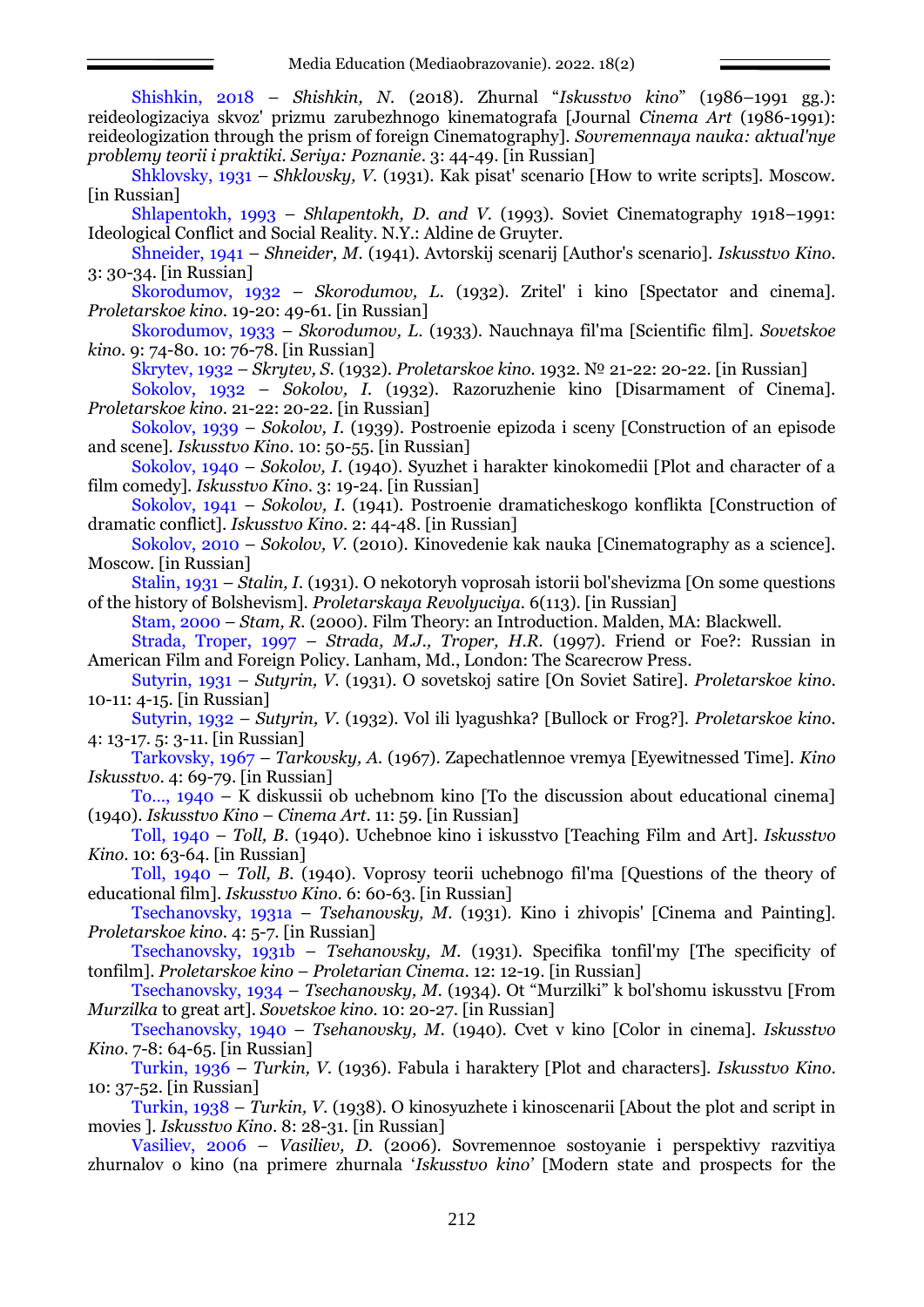Shishkin, 2018 – *Shishkin, N.* (2018). Zhurnal "*Iskusstvo kino*" (1986–1991 gg.): reideologizaciya skvoz' prizmu zarubezhnogo kinematografa [Journal *Cinema Art* (1986-1991): reideologization through the prism of foreign Cinematography]. *Sovremennaya nauka: aktual'nye problemy teorii i praktiki. Seriya: Poznanie*. 3: 44-49. [in Russian]

Shklovsky, 1931 – *Shklovsky, V.* (1931). Kak pisat' scenario [How to write scripts]. Moscow. [in Russian]

Shlapentokh, 1993 – *Shlapentokh, D. and V.* (1993). Soviet Cinematography 1918–1991: Ideological Conflict and Social Reality. N.Y.: Aldine de Gruyter.

Shneider, 1941 – *Shneider, M.* (1941). Avtorskij scenarij [Author's scenario]. *Iskusstvo Kino*. 3: 30-34. [in Russian]

Skorodumov, 1932 – *Skorodumov, L.* (1932). Zritel' i kino [Spectator and cinema]. *Proletarskoe kino*. 19-20: 49-61. [in Russian]

Skorodumov, 1933 – *Skorodumov, L*. (1933). Nauchnaya fil'ma [Scientific film]. *Sovetskoe kino.* 9: 74-80. 10: 76-78. [in Russian]

Skrytev, 1932 – *Skrytev, S.* (1932). *Proletarskoe kino.* 1932. № 21-22: 20-22. [in Russian]

Sokolov, 1932 – *Sokolov, I.* (1932). Razoruzhenie kino [Disarmament of Cinema]. *Proletarskoe kino*. 21-22: 20-22. [in Russian]

Sokolov, 1939 – *Sokolov, I.* (1939). Postroenie epizoda i sceny [Construction of an episode and scene]. *Iskusstvo Kino*. 10: 50-55. [in Russian]

Sokolov, 1940 – *Sokolov, I*. (1940). Syuzhet i harakter kinokomedii [Plot and character of a film comedy]. *Iskusstvo Kino*. 3: 19-24. [in Russian]

Sokolov, 1941 – *Sokolov, I*. (1941). Postroenie dramaticheskogo konflikta [Construction of dramatic conflict]. *Iskusstvo Kino*. 2: 44-48. [in Russian]

Sokolov, 2010 – *Sokolov, V.* (2010). Kinovedenie kak nauka [Cinematography as a science]. Мoscow. [in Russian]

Stalin, 1931 – *Stalin, I.* (1931). O nekotoryh voprosah istorii bol'shevizma [On some questions of the history of Bolshevism]. *Proletarskaya Revolyuciya.* 6(113). [in Russian]

Stam, 2000 – *Stam, R.* (2000). Film Theory: an Introduction. Malden, MA: Blackwell.

Strada, Troper, 1997 – *Strada, M.J., Troper, H.R.* (1997). Friend or Foe?: Russian in American Film and Foreign Policy. Lanham, Md., London: The Scarecrow Press.

Sutyrin, 1931 – *Sutyrin, V*. (1931). O sovetskoj satire [On Soviet Satire]. *Proletarskoe kino*. 10-11: 4-15. [in Russian]

Sutyrin, 1932 – *Sutyrin, V*. (1932). Vol ili lyagushka? [Bullock or Frog?]. *Proletarskoe kino*. 4: 13-17. 5: 3-11. [in Russian]

Tarkovsky, 1967 – *Tarkovsky, A.* (1967). Zapechatlennoe vremya [Eyewitnessed Time]. *Kino Iskusstvo*. 4: 69-79. [in Russian]

To…, 1940 – K diskussii ob uchebnom kino [To the discussion about educational cinema] (1940). *Iskusstvo Kino* – *Cinema Art*. 11: 59. [in Russian]

Toll, 1940 – *Toll, B*. (1940). Uchebnoe kino i iskusstvo [Teaching Film and Art]. *Iskusstvo Kino*. 10: 63-64. [in Russian]

Toll, 1940 – *Toll, B.* (1940). Voprosy teorii uchebnogo fil'ma [Questions of the theory of educational film]. *Iskusstvo Kino*. 6: 60-63. [in Russian]

Tsechanovsky, 1931a – *Tsehanovsky, M*. (1931). Kino i zhivopis' [Cinema and Painting]. *Proletarskoe kino*. 4: 5-7. [in Russian]

Tsechanovsky, 1931b – *Tsehanovsky, M.* (1931). Specifika tonfil'my [The specificity of tonfilm]. *Proletarskoe kino* – *Proletarian Cinema*. 12: 12-19. [in Russian]

Tsechanovsky, 1934 – *Tsechanovsky, M.* (1934). Ot "Murzilki" k bol'shomu iskusstvu [From *Murzilka* to great art]. *Sovetskoe kino.* 10: 20-27. [in Russian]

Tsechanovsky, 1940 – *Tsehanovsky, M*. (1940). Cvet v kino [Color in cinema]. *Iskusstvo Kino*. 7-8: 64-65. [in Russian]

Turkin, 1936 – *Turkin, V*. (1936). Fabula i haraktery [Plot and characters]. *Iskusstvo Kino*. 10: 37-52. [in Russian]

Turkin, 1938 – *Turkin, V*. (1938). O kinosyuzhete i kinoscenarii [About the plot and script in movies ]. *Iskusstvo Kino*. 8: 28-31. [in Russian]

Vasiliev, 2006 – *Vasiliev, D.* (2006). Sovremennoe sostoyanie i perspektivy razvitiya zhurnalov o kino (na primere zhurnala '*Iskusstvo kino'* [Modern state and prospects for the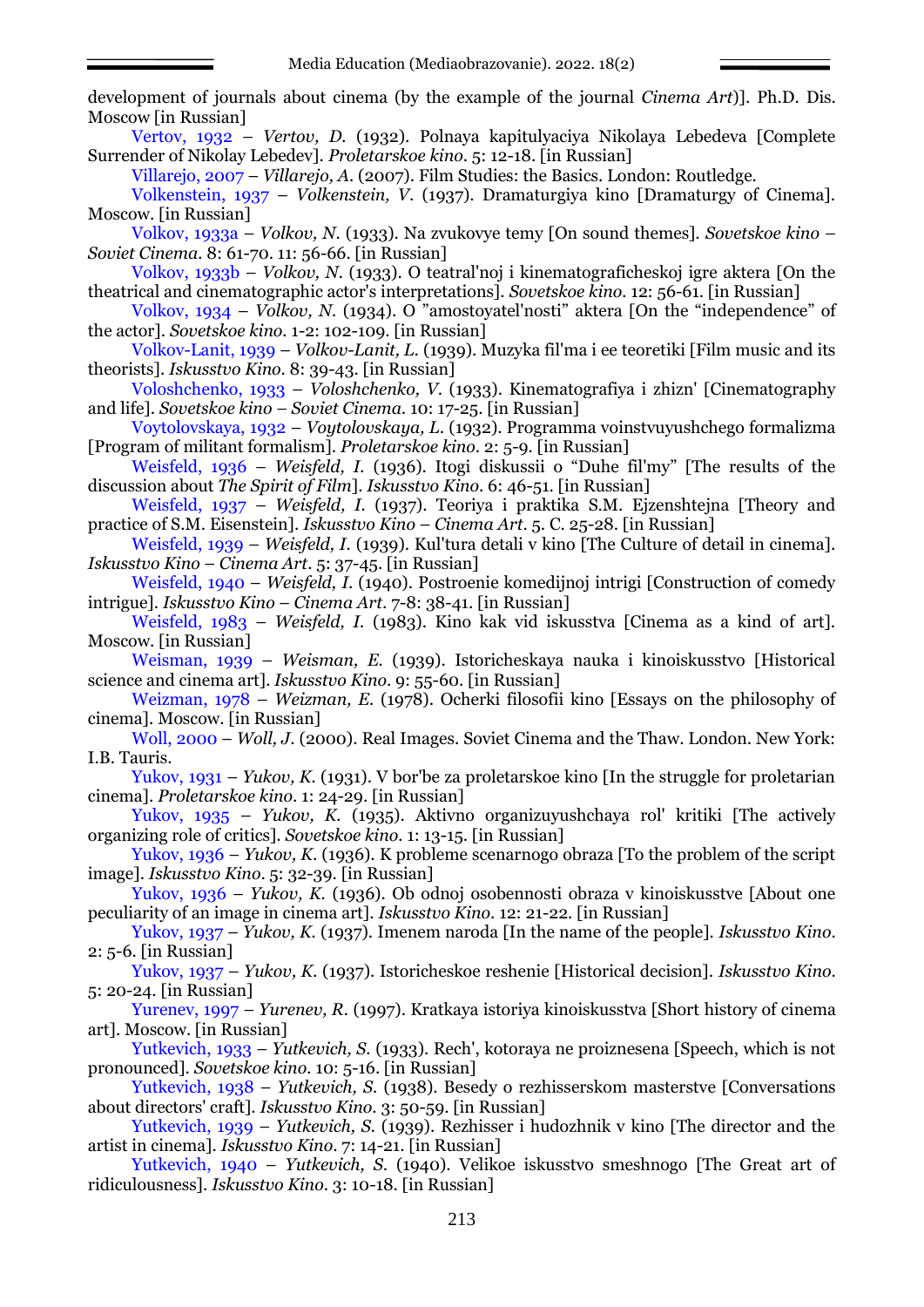development of journals about cinema (by the example of the journal *Cinema Art*)]. Ph.D. Dis. Moscow [in Russian]

Vertov, 1932 – *Vertov, D.* (1932). Polnaya kapitulyaciya Nikolaya Lebedeva [Complete Surrender of Nikolay Lebedev]. *Proletarskoe kino*. 5: 12-18. [in Russian]

Villarejo, 2007 – *Villarejo, A.* (2007). Film Studies: the Basics. London: Routledge.

Volkenstein, 1937 – *Volkenstein, V*. (1937). Dramaturgiya kino [Dramaturgy of Cinema]. Moscow. [in Russian]

Volkov, 1933a – *Volkov, N*. (1933). Na zvukovye temy [On sound themes]. *Sovetskoe kino – Soviet Cinema.* 8: 61-70. 11: 56-66. [in Russian]

Volkov, 1933b – *Volkov, N.* (1933). O teatral'noj i kinematograficheskoj igre aktera [On the theatrical and cinematographic actor's interpretations]. *Sovetskoe kino.* 12: 56-61. [in Russian]

Volkov, 1934 – *Volkov, N.* (1934). O "amostoyatel nosti" aktera [On the "independence" of the actor]. *Sovetskoe kino.* 1-2: 102-109. [in Russian]

Volkov-Lanit, 1939 – *Volkov-Lanit, L.* (1939). Muzyka fil'ma i ee teoretiki [Film music and its theorists]. *Iskusstvo Kino*. 8: 39-43. [in Russian]

Voloshchenko, 1933 – *Voloshchenko, V*. (1933). Kinematografiya i zhizn' [Cinematography and life]. *Sovetskoe kino – Soviet Cinema.* 10: 17-25. [in Russian]

Voytolovskaya, 1932 – *Voytolovskaya, L*. (1932). Programma voinstvuyushchego formalizma [Program of militant formalism]. *Proletarskoe kino*. 2: 5-9. [in Russian]

Weisfeld, 1936 – *Weisfeld, I.* (1936). Itogi diskussii o "Duhe fil'my" [The results of the discussion about *The Spirit of Film*]. *Iskusstvo Kino*. 6: 46-51. [in Russian]

Weisfeld, 1937 – *Weisfeld, I.* (1937). Teoriya i praktika S.M. Ejzenshtejna [Theory and practice of S.M. Eisenstein]. *Iskusstvo Kino* – *Cinema Art*. 5. С. 25-28. [in Russian]

Weisfeld, 1939 – *Weisfeld, I.* (1939). Kul'tura detali v kino [The Culture of detail in cinema]. *Iskusstvo Kino* – *Cinema Art*. 5: 37-45. [in Russian]

Weisfeld, 1940 – *Weisfeld, I*. (1940). Postroenie komedijnoj intrigi [Construction of comedy intrigue]. *Iskusstvo Kino* – *Cinema Art*. 7-8: 38-41. [in Russian]

Weisfeld, 1983 – *Weisfeld, I.* (1983). Kino kak vid iskusstva [Cinema as a kind of art]. Мoscow. [in Russian]

Weisman, 1939 – *Weisman, E.* (1939). Istoricheskaya nauka i kinoiskusstvo [Historical science and cinema art]. *Iskusstvo Kino*. 9: 55-60. [in Russian]

Weizman, 1978 – *Weizman, E.* (1978). Ocherki filosofii kino [Essays on the philosophy of cinema]. Мoscow. [in Russian]

Woll, 2000 – *Woll, J*. (2000). Real Images. Soviet Cinema and the Thaw. London. New York: I.B. Tauris.

Yukov, 1931 – *Yukov, K.* (1931). V bor'be za proletarskoe kino [In the struggle for proletarian cinema]. *Proletarskoe kino*. 1: 24-29. [in Russian]

Yukov, 1935 – *Yukov, K.* (1935). Aktivno organizuyushchaya rol' kritiki [The actively organizing role of critics]. *Sovetskoe kino.* 1: 13-15. [in Russian]

Yukov, 1936 – *Yukov, K*. (1936). K probleme scenarnogo obraza [To the problem of the script image]. *Iskusstvo Kino*. 5: 32-39. [in Russian]

Yukov, 1936 – *Yukov, K.* (1936). Ob odnoj osobennosti obraza v kinoiskusstve [About one peculiarity of an image in cinema art]. *Iskusstvo Kino*. 12: 21-22. [in Russian]

Yukov, 1937 – *Yukov, K.* (1937). Imenem naroda [In the name of the people]. *Iskusstvo Kino*. 2: 5-6. [in Russian]

Yukov, 1937 – *Yukov, K.* (1937). Istoricheskoe reshenie [Historical decision]. *Iskusstvo Kino*. 5: 20-24. [in Russian]

Yurenev, 1997 – *Yurenev, R.* (1997). Kratkaya istoriya kinoiskusstva [Short history of cinema art]. Moscow. [in Russian]

Yutkevich, 1933 – *Yutkevich, S.* (1933). Rech', kotoraya ne proiznesena [Speech, which is not pronounced]. *Sovetskoe kino.* 10: 5-16. [in Russian]

Yutkevich, 1938 – *Yutkevich, S.* (1938). Besedy o rezhisserskom masterstve [Conversations about directors' craft]. *Iskusstvo Kino*. 3: 50-59. [in Russian]

Yutkevich, 1939 – *Yutkevich, S.* (1939). Rezhisser i hudozhnik v kino [The director and the artist in cinema]. *Iskusstvo Kino*. 7: 14-21. [in Russian]

Yutkevich, 1940 – *Yutkevich, S*. (1940). Velikoe iskusstvo smeshnogo [The Great art of ridiculousness]. *Iskusstvo Kino*. 3: 10-18. [in Russian]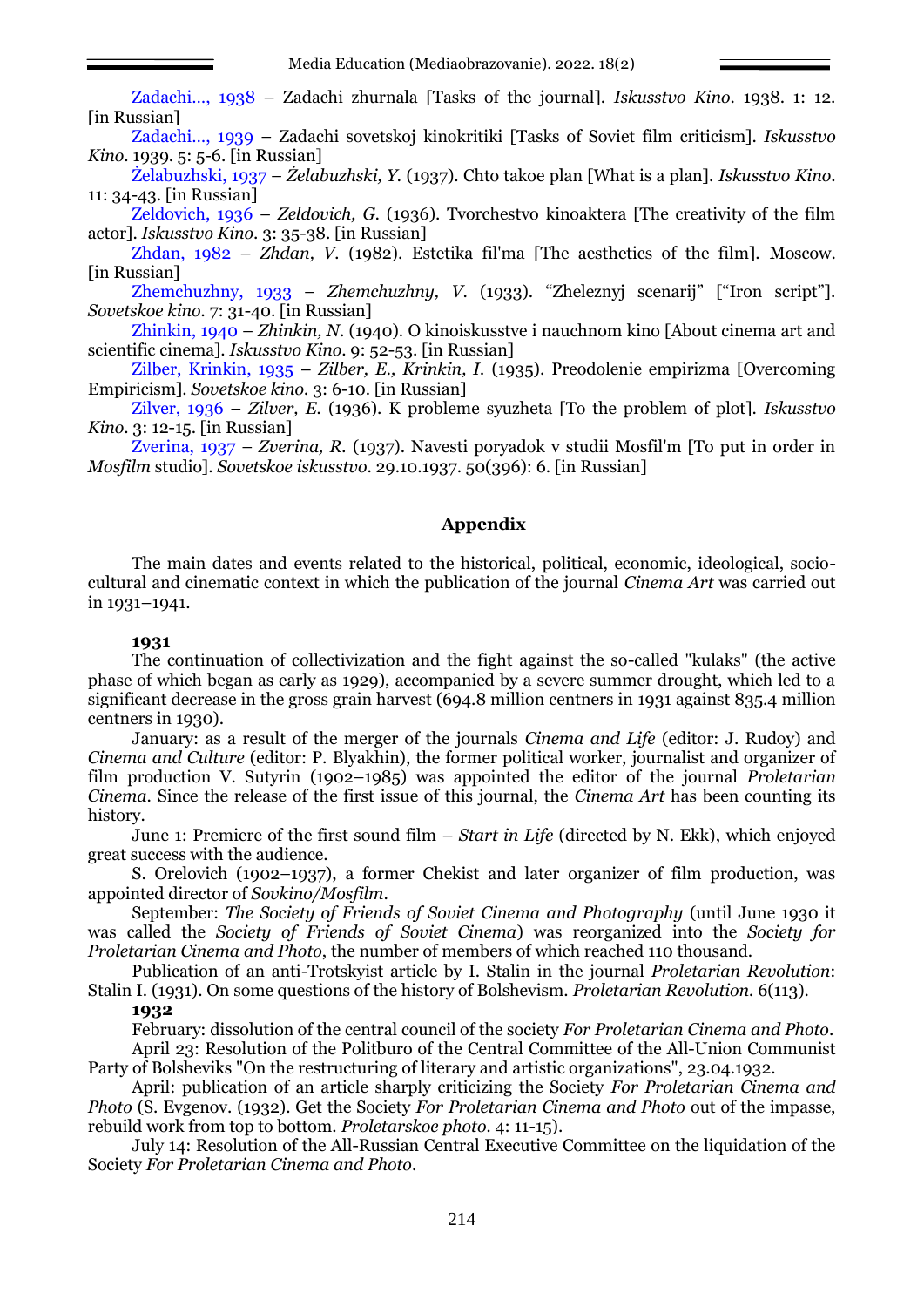Zadachi…, 1938 – Zadachi zhurnala [Tasks of the journal]. *Iskusstvo Kino*. 1938. 1: 12. [in Russian]

Zadachi…, 1939 – Zadachi sovetskoj kinokritiki [Tasks of Soviet film criticism]. *Iskusstvo Kino*. 1939. 5: 5-6. [in Russian]

Żelabuzhski, 1937 – *Żelabuzhski, Y.* (1937). Chto takoe plan [What is a plan]. *Iskusstvo Kino*. 11: 34-43. [in Russian]

Zeldovich, 1936 – *Zeldovich, G.* (1936). Tvorchestvo kinoaktera [The creativity of the film actor]. *Iskusstvo Kino*. 3: 35-38. [in Russian]

Zhdan, 1982 – *Zhdan, V.* (1982). Estetika fil'ma [The aesthetics of the film]. Мoscow. [in Russian]

Zhemchuzhny, 1933 – *Zhemchuzhny, V*. (1933). "Zheleznyj scenarij" ["Iron script"]. *Sovetskoe kino.* 7: 31-40. [in Russian]

Zhinkin, 1940 – *Zhinkin, N*. (1940). O kinoiskusstve i nauchnom kino [About cinema art and scientific cinema]. *Iskusstvo Kino*. 9: 52-53. [in Russian]

Zilber, Krinkin, 1935 – *Zilber, E., Krinkin, I.* (1935). Preodolenie empirizma [Overcoming Empiricism]. *Sovetskoe kino.* 3: 6-10. [in Russian]

Zilver, 1936 – *Zilver, E.* (1936). K probleme syuzheta [To the problem of plot]. *Iskusstvo Kino*. 3: 12-15. [in Russian]

Zverina, 1937 – *Zverina, R.* (1937). Navesti poryadok v studii Mosfil'm [To put in order in *Mosfilm* studio]. *Sovetskoe iskusstvo*. 29.10.1937. 50(396): 6. [in Russian]

# **Appendix**

The main dates and events related to the historical, political, economic, ideological, sociocultural and cinematic context in which the publication of the journal *Cinema Art* was carried out in 1931–1941.

### **1931**

The continuation of collectivization and the fight against the so-called "kulaks" (the active phase of which began as early as 1929), accompanied by a severe summer drought, which led to a significant decrease in the gross grain harvest (694.8 million centners in 1931 against 835.4 million centners in 1930).

January: as a result of the merger of the journals *Cinema and Life* (editor: J. Rudoy) and *Cinema and Culture* (editor: P. Blyakhin), the former political worker, journalist and organizer of film production V. Sutyrin (1902–1985) was appointed the editor of the journal *Proletarian Cinema*. Since the release of the first issue of this journal, the *Cinema Art* has been counting its history.

June 1: Premiere of the first sound film – *Start in Life* (directed by N. Ekk), which enjoyed great success with the audience.

S. Orelovich (1902–1937), a former Chekist and later organizer of film production, was appointed director of *Sovkino/Mosfilm*.

September: *The Society of Friends of Soviet Cinema and Photography* (until June 1930 it was called the *Society of Friends of Soviet Cinema*) was reorganized into the *Society for Proletarian Cinema and Photo*, the number of members of which reached 110 thousand.

Publication of an anti-Trotskyist article by I. Stalin in the journal *Proletarian Revolution*: Stalin I. (1931). On some questions of the history of Bolshevism. *Proletarian Revolution.* 6(113).

# **1932**

February: dissolution of the central council of the society *For Proletarian Cinema and Photo*. April 23: Resolution of the Politburo of the Central Committee of the All-Union Communist Party of Bolsheviks "On the restructuring of literary and artistic organizations", 23.04.1932.

April: publication of an article sharply criticizing the Society *For Proletarian Cinema and Photo* (S. Evgenov. (1932). Get the Society *For Proletarian Cinema and Photo* out of the impasse, rebuild work from top to bottom. *Proletarskoe photo.* 4: 11-15).

July 14: Resolution of the All-Russian Central Executive Committee on the liquidation of the Society *For Proletarian Cinema and Photo*.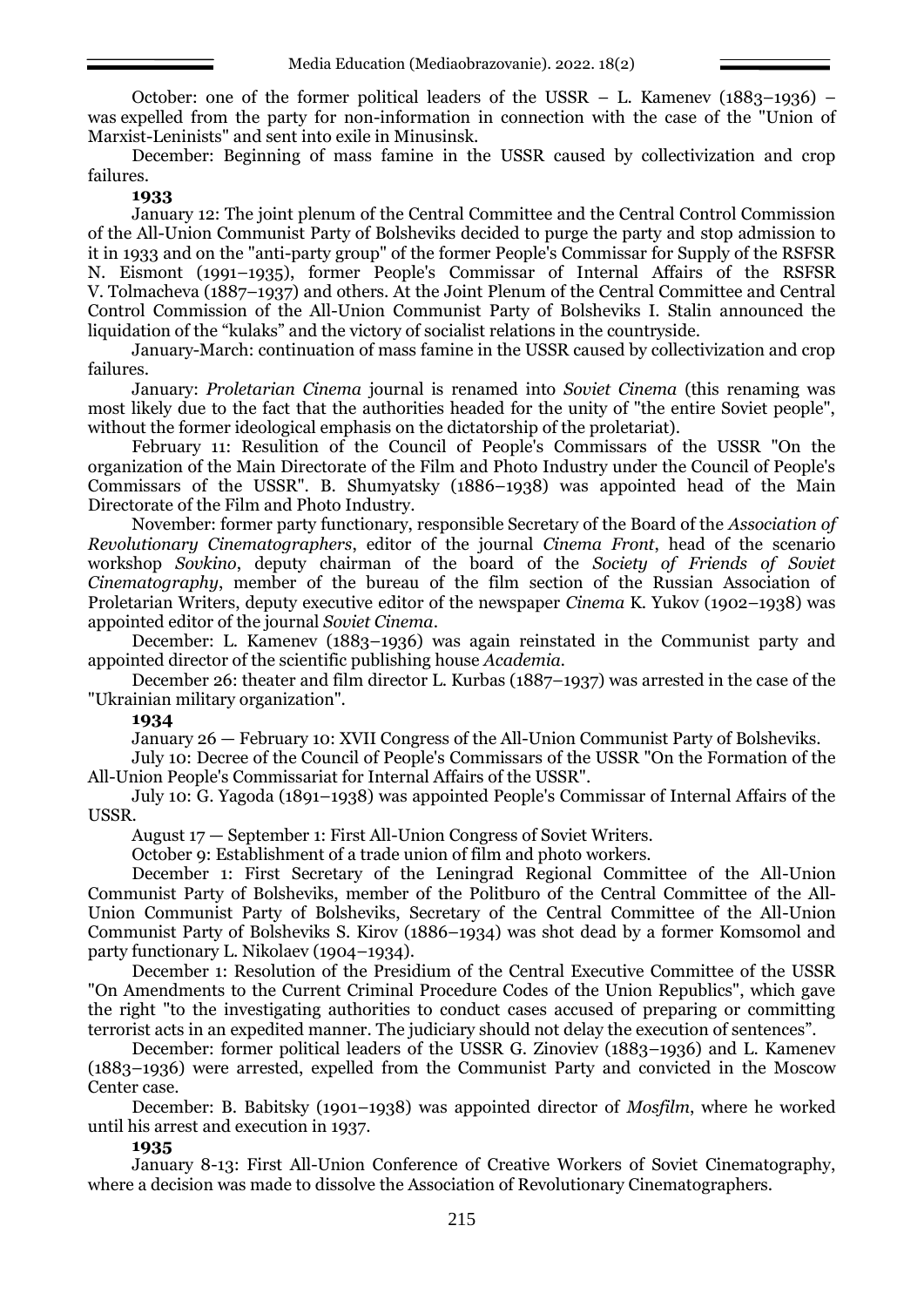October: one of the former political leaders of the USSR – L. Kamenev (1883–1936) – was expelled from the party for non-information in connection with the case of the "Union of Marxist-Leninists" and sent into exile in Minusinsk.

December: Beginning of mass famine in the USSR caused by collectivization and crop failures.

#### **1933**

January 12: The joint plenum of the Central Committee and the Central Control Commission of the All-Union Communist Party of Bolsheviks decided to purge the party and stop admission to it in 1933 and on the "anti-party group" of the former People's Commissar for Supply of the RSFSR N. Eismont (1991–1935), former People's Commissar of Internal Affairs of the RSFSR V. Tolmacheva (1887–1937) and others. At the Joint Plenum of the Central Committee and Central Control Commission of the All-Union Communist Party of Bolsheviks I. Stalin announced the liquidation of the "kulaks" and the victory of socialist relations in the countryside.

January-March: continuation of mass famine in the USSR caused by collectivization and crop failures.

January: *Proletarian Cinema* journal is renamed into *Soviet Cinema* (this renaming was most likely due to the fact that the authorities headed for the unity of "the entire Soviet people", without the former ideological emphasis on the dictatorship of the proletariat).

February 11: Resulition of the Council of People's Commissars of the USSR "On the organization of the Main Directorate of the Film and Photo Industry under the Council of People's Commissars of the USSR". B. Shumyatsky (1886–1938) was appointed head of the Main Directorate of the Film and Photo Industry.

November: former party functionary, responsible Secretary of the Board of the *Association of Revolutionary Cinematographers*, editor of the journal *Cinema Front*, head of the scenario workshop *Sovkino*, deputy chairman of the board of the *Society of Friends of Soviet Cinematography*, member of the bureau of the film section of the Russian Association of Proletarian Writers, deputy executive editor of the newspaper *Cinema* K. Yukov (1902–1938) was appointed editor of the journal *Soviet Cinema*.

December: L. Kamenev (1883–1936) was again reinstated in the Communist party and appointed director of the scientific publishing house *Academia.*

December 26: theater and film director L. Kurbas (1887–1937) was arrested in the case of the "Ukrainian military organization".

#### **1934**

January 26 — February 10: XVII Congress of the All-Union Communist Party of Bolsheviks.

July 10: Decree of the Council of People's Commissars of the USSR "On the Formation of the All-Union People's Commissariat for Internal Affairs of the USSR".

July 10: G. Yagoda (1891–1938) was appointed People's Commissar of Internal Affairs of the USSR.

August 17 — September 1: First All-Union Congress of Soviet Writers.

October 9: Establishment of a trade union of film and photo workers.

December 1: First Secretary of the Leningrad Regional Committee of the All-Union Communist Party of Bolsheviks, member of the Politburo of the Central Committee of the All-Union Communist Party of Bolsheviks, Secretary of the Central Committee of the All-Union Communist Party of Bolsheviks S. Kirov (1886–1934) was shot dead by a former Komsomol and party functionary L. Nikolaev (1904–1934).

December 1: Resolution of the Presidium of the Central Executive Committee of the USSR "On Amendments to the Current Criminal Procedure Codes of the Union Republics", which gave the right "to the investigating authorities to conduct cases accused of preparing or committing terrorist acts in an expedited manner. The judiciary should not delay the execution of sentences".

December: former political leaders of the USSR G. Zinoviev (1883–1936) and L. Kamenev (1883–1936) were arrested, expelled from the Communist Party and convicted in the Moscow Center case.

December: B. Babitsky (1901–1938) was appointed director of *Mosfilm*, where he worked until his arrest and execution in 1937.

#### **1935**

January 8-13: First All-Union Conference of Creative Workers of Soviet Cinematography, where a decision was made to dissolve the Association of Revolutionary Cinematographers.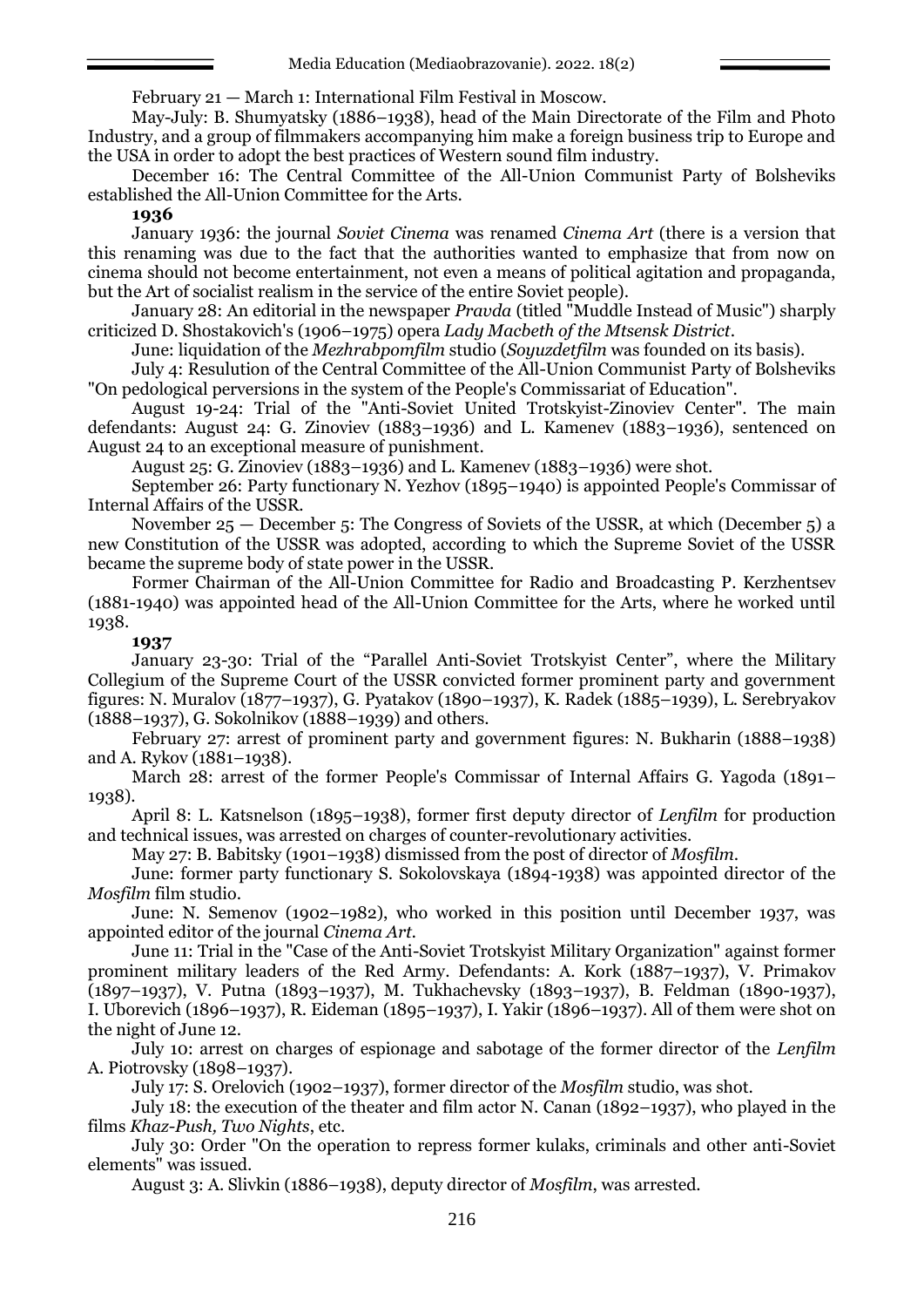February 21 — March 1: International Film Festival in Moscow.

May-July: B. Shumyatsky (1886–1938), head of the Main Directorate of the Film and Photo Industry, and a group of filmmakers accompanying him make a foreign business trip to Europe and the USA in order to adopt the best practices of Western sound film industry.

December 16: The Central Committee of the All-Union Communist Party of Bolsheviks established the All-Union Committee for the Arts.

#### **1936**

January 1936: the journal *Soviet Cinema* was renamed *Cinema Art* (there is a version that this renaming was due to the fact that the authorities wanted to emphasize that from now on cinema should not become entertainment, not even a means of political agitation and propaganda, but the Art of socialist realism in the service of the entire Soviet people).

January 28: An editorial in the newspaper *Pravda* (titled "Muddle Instead of Music") sharply criticized D. Shostakovich's (1906–1975) opera *Lady Macbeth of the Mtsensk District*.

June: liquidation of the *Mezhrabpomfilm* studio (*Soyuzdetfilm* was founded on its basis).

July 4: Resulution of the Central Committee of the All-Union Communist Party of Bolsheviks "On pedological perversions in the system of the People's Commissariat of Education".

August 19-24: Trial of the "Anti-Soviet United Trotskyist-Zinoviev Center". The main defendants: August 24: G. Zinoviev (1883–1936) and L. Kamenev (1883–1936), sentenced on August 24 to an exceptional measure of punishment.

August 25: G. Zinoviev (1883–1936) and L. Kamenev (1883–1936) were shot.

September 26: Party functionary N. Yezhov (1895–1940) is appointed People's Commissar of Internal Affairs of the USSR.

November 25 — December 5: The Congress of Soviets of the USSR, at which (December 5) a new Constitution of the USSR was adopted, according to which the Supreme Soviet of the USSR became the supreme body of state power in the USSR.

Former Chairman of the All-Union Committee for Radio and Broadcasting P. Kerzhentsev (1881-1940) was appointed head of the All-Union Committee for the Arts, where he worked until 1938.

## **1937**

January 23-30: Trial of the "Parallel Anti-Soviet Trotskyist Center", where the Military Collegium of the Supreme Court of the USSR convicted former prominent party and government figures: N. Muralov (1877–1937), G. Pyatakov (1890–1937), K. Radek (1885–1939), L. Serebryakov (1888–1937), G. Sokolnikov (1888–1939) and others.

February 27: arrest of prominent party and government figures: N. Bukharin (1888–1938) and A. Rykov (1881–1938).

March 28: arrest of the former People's Commissar of Internal Affairs G. Yagoda (1891– 1938).

April 8: L. Katsnelson (1895–1938), former first deputy director of *Lenfilm* for production and technical issues, was arrested on charges of counter-revolutionary activities.

May 27: B. Babitsky (1901–1938) dismissed from the post of director of *Mosfilm*.

June: former party functionary S. Sokolovskaya (1894-1938) was appointed director of the *Mosfilm* film studio.

June: N. Semenov (1902–1982), who worked in this position until December 1937, was appointed editor of the journal *Cinema Art.*

June 11: Trial in the "Case of the Anti-Soviet Trotskyist Military Organization" against former prominent military leaders of the Red Army. Defendants: A. Kork (1887–1937), V. Primakov (1897–1937), V. Putna (1893–1937), M. Tukhachevsky (1893–1937), B. Feldman (1890-1937), I. Uborevich (1896–1937), R. Eideman (1895–1937), I. Yakir (1896–1937). All of them were shot on the night of June 12.

July 10: arrest on charges of espionage and sabotage of the former director of the *Lenfilm*  A. Piotrovsky (1898–1937).

July 17: S. Orelovich (1902–1937), former director of the *Mosfilm* studio, was shot.

July 18: the execution of the theater and film actor N. Canan (1892–1937), who played in the films *Khaz-Push, Two Nights*, etc.

July 30: Order "On the operation to repress former kulaks, criminals and other anti-Soviet elements" was issued.

August 3: A. Slivkin (1886–1938), deputy director of *Mosfilm*, was arrested.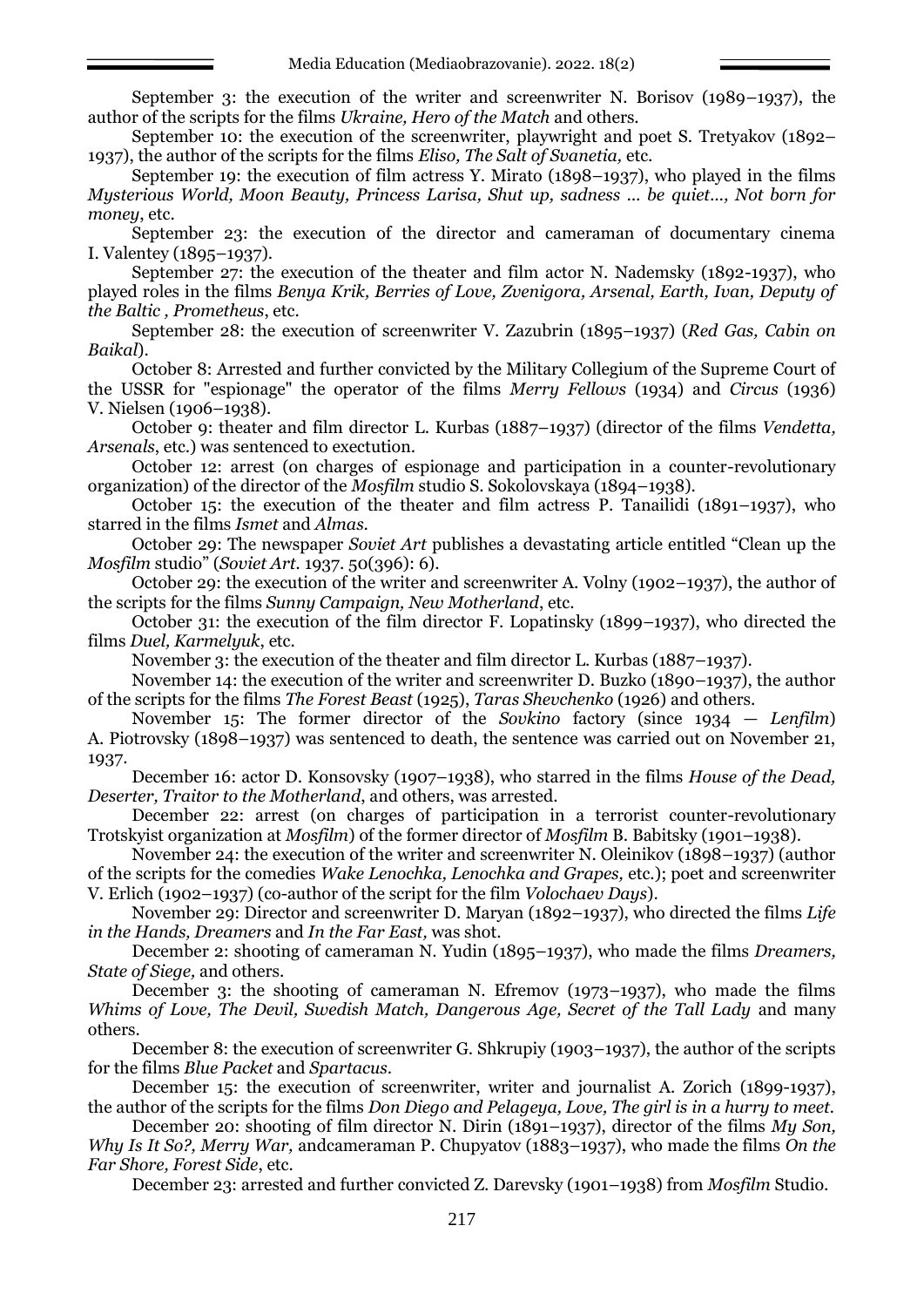September 3: the execution of the writer and screenwriter N. Borisov (1989–1937), the author of the scripts for the films *Ukraine, Hero of the Match* and others.

September 10: the execution of the screenwriter, playwright and poet S. Tretyakov (1892– 1937), the author of the scripts for the films *Eliso, The Salt of Svanetia,* etc.

September 19: the execution of film actress Y. Mirato (1898–1937), who played in the films *Mysterious World, Moon Beauty, Princess Larisa, Shut up, sadness ... be quiet..., Not born for money*, etc.

September 23: the execution of the director and cameraman of documentary cinema I. Valentey (1895–1937).

September 27: the execution of the theater and film actor N. Nademsky (1892-1937), who played roles in the films *Benya Krik, Berries of Love, Zvenigora, Arsenal, Earth, Ivan, Deputy of the Baltic , Prometheus*, etc.

September 28: the execution of screenwriter V. Zazubrin (1895–1937) (*Red Gas, Cabin on Baikal*).

October 8: Arrested and further convicted by the Military Collegium of the Supreme Court of the USSR for "espionage" the operator of the films *Merry Fellows* (1934) and *Circus* (1936) V. Nielsen (1906–1938).

October 9: theater and film director L. Kurbas (1887–1937) (director of the films *Vendetta, Arsenals*, etc.) was sentenced to exectution.

October 12: arrest (on charges of espionage and participation in a counter-revolutionary organization) of the director of the *Mosfilm* studio S. Sokolovskaya (1894–1938).

October 15: the execution of the theater and film actress P. Tanailidi (1891–1937), who starred in the films *Ismet* and *Almas*.

October 29: The newspaper *Soviet Art* publishes a devastating article entitled "Clean up the *Mosfilm* studio" (*Soviet Art.* 1937. 50(396): 6).

October 29: the execution of the writer and screenwriter A. Volny (1902–1937), the author of the scripts for the films *Sunny Campaign, New Motherland*, etc.

October 31: the execution of the film director F. Lopatinsky (1899–1937), who directed the films *Duel, Karmelyuk*, etc.

November 3: the execution of the theater and film director L. Kurbas (1887–1937).

November 14: the execution of the writer and screenwriter D. Buzko (1890–1937), the author of the scripts for the films *The Forest Beast* (1925), *Taras Shevchenko* (1926) and others.

November 15: The former director of the *Sovkino* factory (since 1934 — *Lenfilm*) A. Piotrovsky (1898–1937) was sentenced to death, the sentence was carried out on November 21, 1937.

December 16: actor D. Konsovsky (1907–1938), who starred in the films *House of the Dead, Deserter, Traitor to the Motherland*, and others, was arrested.

December 22: arrest (on charges of participation in a terrorist counter-revolutionary Trotskyist organization at *Mosfilm*) of the former director of *Mosfilm* B. Babitsky (1901–1938).

November 24: the execution of the writer and screenwriter N. Oleinikov (1898–1937) (author of the scripts for the comedies *Wake Lenochka, Lenochka and Grapes,* etc.); poet and screenwriter V. Erlich (1902–1937) (co-author of the script for the film *Volochaev Days*).

November 29: Director and screenwriter D. Maryan (1892–1937), who directed the films *Life in the Hands, Dreamers* and *In the Far East,* was shot.

December 2: shooting of cameraman N. Yudin (1895–1937), who made the films *Dreamers, State of Siege,* and others.

December 3: the shooting of cameraman N. Efremov (1973–1937), who made the films *Whims of Love, The Devil, Swedish Match, Dangerous Age, Secret of the Tall Lady* and many others.

December 8: the execution of screenwriter G. Shkrupiy (1903–1937), the author of the scripts for the films *Blue Packet* and *Spartacus*.

December 15: the execution of screenwriter, writer and journalist A. Zorich (1899-1937), the author of the scripts for the films *Don Diego and Pelageya, Love, The girl is in a hurry to meet.*

December 20: shooting of film director N. Dirin (1891–1937), director of the films *My Son, Why Is It So?, Merry War,* andcameraman P. Chupyatov (1883–1937), who made the films *On the Far Shore, Forest Side*, etc.

December 23: arrested and further convicted Z. Darevsky (1901–1938) from *Mosfilm* Studio.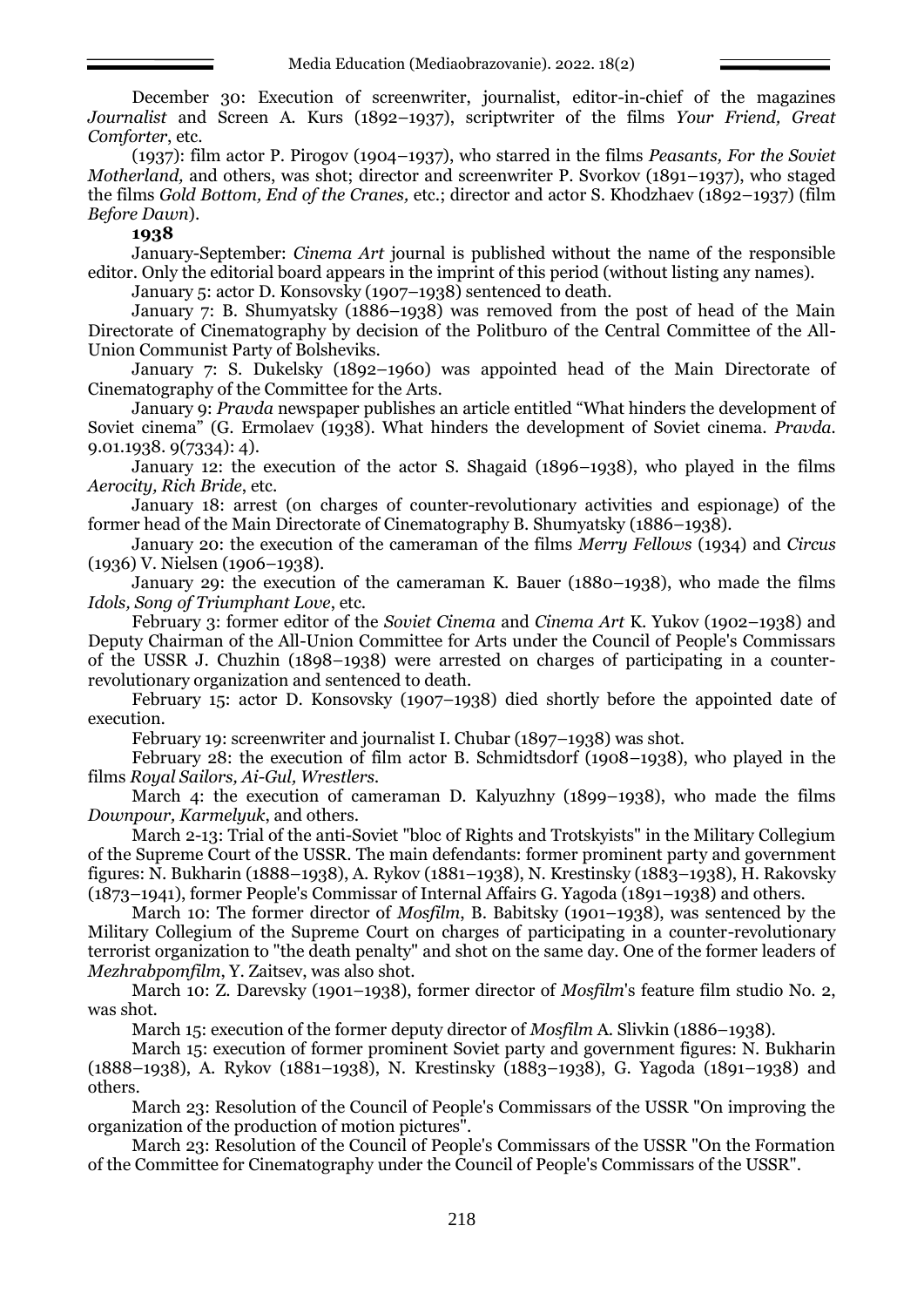December 30: Execution of screenwriter, journalist, editor-in-chief of the magazines *Journalist* and Screen A. Kurs (1892–1937), scriptwriter of the films *Your Friend, Great Comforter*, etc.

(1937): film actor P. Pirogov (1904–1937), who starred in the films *Peasants, For the Soviet Motherland,* and others, was shot; director and screenwriter P. Svorkov (1891–1937), who staged the films *Gold Bottom, End of the Cranes,* etc.; director and actor S. Khodzhaev (1892–1937) (film *Before Dawn*).

## **1938**

January-September: *Cinema Art* journal is published without the name of the responsible editor. Only the editorial board appears in the imprint of this period (without listing any names).

January 5: actor D. Konsovsky (1907–1938) sentenced to death.

January 7: B. Shumyatsky (1886–1938) was removed from the post of head of the Main Directorate of Cinematography by decision of the Politburo of the Central Committee of the All-Union Communist Party of Bolsheviks.

January 7: S. Dukelsky (1892–1960) was appointed head of the Main Directorate of Cinematography of the Committee for the Arts.

January 9: *Pravda* newspaper publishes an article entitled "What hinders the development of Soviet cinema" (G. Ermolaev (1938). What hinders the development of Soviet cinema. *Pravda.* 9.01.1938. 9(7334): 4).

January 12: the execution of the actor S. Shagaid (1896–1938), who played in the films *Aerocity, Rich Bride*, etc.

January 18: arrest (on charges of counter-revolutionary activities and espionage) of the former head of the Main Directorate of Cinematography B. Shumyatsky (1886–1938).

January 20: the execution of the cameraman of the films *Merry Fellows* (1934) and *Circus* (1936) V. Nielsen (1906–1938).

January 29: the execution of the cameraman K. Bauer (1880–1938), who made the films *Idols, Song of Triumphant Love*, etc.

February 3: former editor of the *Soviet Cinema* and *Cinema Art* K. Yukov (1902–1938) and Deputy Chairman of the All-Union Committee for Arts under the Council of People's Commissars of the USSR J. Chuzhin (1898–1938) were arrested on charges of participating in a counterrevolutionary organization and sentenced to death.

February 15: actor D. Konsovsky (1907–1938) died shortly before the appointed date of execution.

February 19: screenwriter and journalist I. Chubar (1897–1938) was shot.

February 28: the execution of film actor B. Schmidtsdorf (1908–1938), who played in the films *Royal Sailors, Ai-Gul, Wrestlers.*

March 4: the execution of cameraman D. Kalyuzhny (1899–1938), who made the films *Downpour, Karmelyuk*, and others.

March 2-13: Trial of the anti-Soviet "bloc of Rights and Trotskyists" in the Military Collegium of the Supreme Court of the USSR. The main defendants: former prominent party and government figures: N. Bukharin (1888–1938), A. Rykov (1881–1938), N. Krestinsky (1883–1938), H. Rakovsky (1873–1941), former People's Commissar of Internal Affairs G. Yagoda (1891–1938) and others.

March 10: The former director of *Mosfilm*, B. Babitsky (1901–1938), was sentenced by the Military Collegium of the Supreme Court on charges of participating in a counter-revolutionary terrorist organization to "the death penalty" and shot on the same day. One of the former leaders of *Mezhrabpomfilm*, Y. Zaitsev, was also shot.

March 10: Z. Darevsky (1901–1938), former director of *Mosfilm*'s feature film studio No. 2, was shot.

March 15: execution of the former deputy director of *Mosfilm* A. Slivkin (1886–1938).

March 15: execution of former prominent Soviet party and government figures: N. Bukharin (1888–1938), A. Rykov (1881–1938), N. Krestinsky (1883–1938), G. Yagoda (1891–1938) and others.

March 23: Resolution of the Council of People's Commissars of the USSR "On improving the organization of the production of motion pictures".

March 23: Resolution of the Council of People's Commissars of the USSR "On the Formation of the Committee for Cinematography under the Council of People's Commissars of the USSR".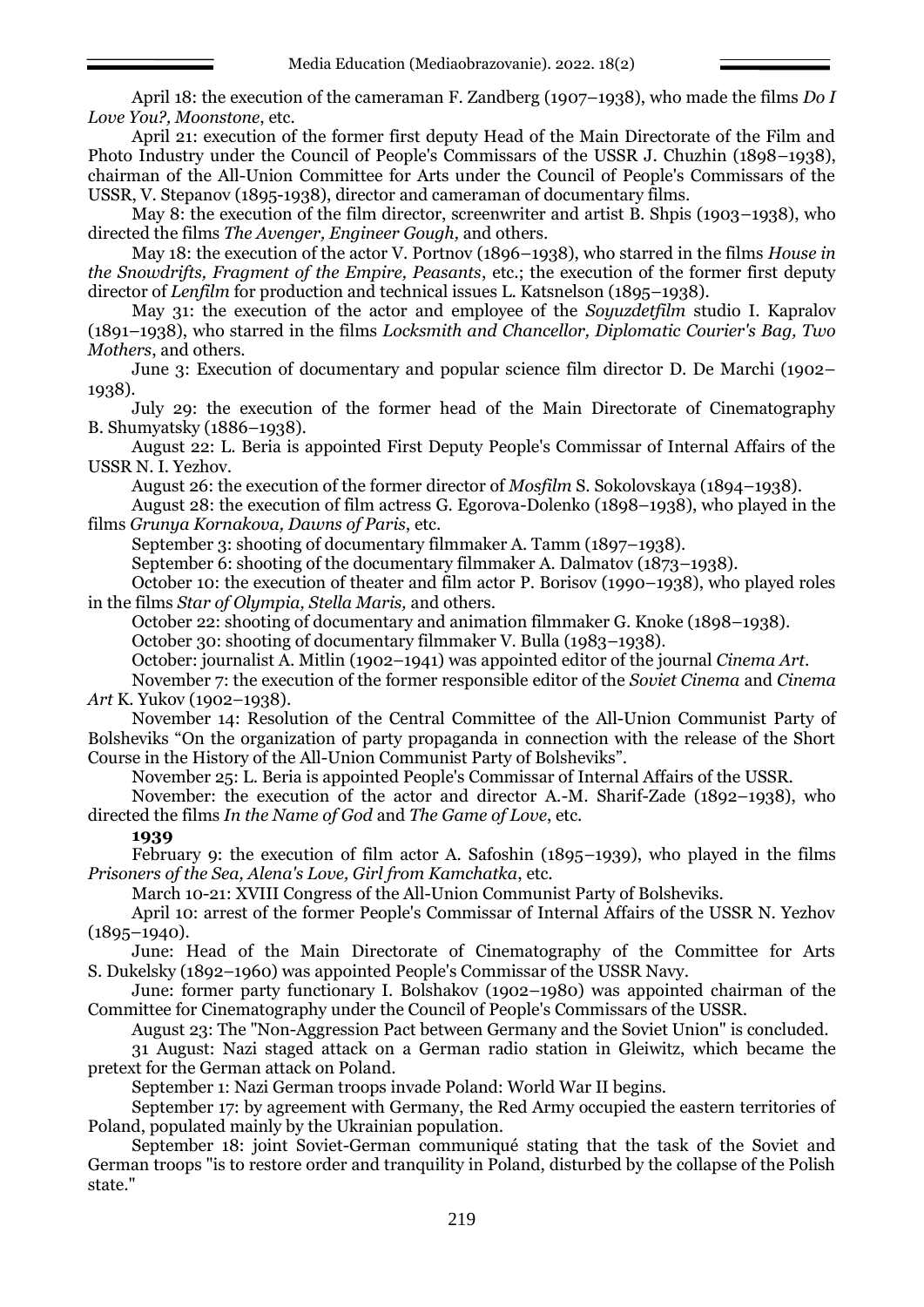April 18: the execution of the cameraman F. Zandberg (1907–1938), who made the films *Do I Love You?, Moonstone*, etc.

April 21: execution of the former first deputy Head of the Main Directorate of the Film and Photo Industry under the Council of People's Commissars of the USSR J. Chuzhin (1898–1938), chairman of the All-Union Committee for Arts under the Council of People's Commissars of the USSR, V. Stepanov (1895-1938), director and cameraman of documentary films.

May 8: the execution of the film director, screenwriter and artist B. Shpis (1903–1938), who directed the films *The Avenger, Engineer Gough,* and others.

May 18: the execution of the actor V. Portnov (1896–1938), who starred in the films *House in the Snowdrifts, Fragment of the Empire, Peasants*, etc.; the execution of the former first deputy director of *Lenfilm* for production and technical issues L. Katsnelson (1895–1938).

May 31: the execution of the actor and employee of the *Soyuzdetfilm* studio I. Kapralov (1891–1938), who starred in the films *Locksmith and Chancellor, Diplomatic Courier's Bag, Two Mothers*, and others.

June 3: Execution of documentary and popular science film director D. De Marchi (1902– 1938).

July 29: the execution of the former head of the Main Directorate of Cinematography B. Shumyatsky (1886–1938).

August 22: L. Beria is appointed First Deputy People's Commissar of Internal Affairs of the USSR N. I. Yezhov.

August 26: the execution of the former director of *Mosfilm* S. Sokolovskaya (1894–1938).

August 28: the execution of film actress G. Egorova-Dolenko (1898–1938), who played in the films *Grunya Kornakova, Dawns of Paris*, etc.

September 3: shooting of documentary filmmaker A. Tamm (1897–1938).

September 6: shooting of the documentary filmmaker A. Dalmatov (1873–1938).

October 10: the execution of theater and film actor P. Borisov (1990–1938), who played roles in the films *Star of Olympia, Stella Maris,* and others.

October 22: shooting of documentary and animation filmmaker G. Knoke (1898–1938).

October 30: shooting of documentary filmmaker V. Bulla (1983–1938).

October: journalist A. Mitlin (1902–1941) was appointed editor of the journal *Cinema Art*.

November 7: the execution of the former responsible editor of the *Soviet Cinema* and *Cinema Art* K. Yukov (1902–1938).

November 14: Resolution of the Central Committee of the All-Union Communist Party of Bolsheviks "On the organization of party propaganda in connection with the release of the Short Course in the History of the All-Union Communist Party of Bolsheviks".

November 25: L. Beria is appointed People's Commissar of Internal Affairs of the USSR.

November: the execution of the actor and director A.-M. Sharif-Zade (1892–1938), who directed the films *In the Name of God* and *The Game of Love*, etc.

## **1939**

February 9: the execution of film actor A. Safoshin (1895–1939), who played in the films *Prisoners of the Sea, Alena's Love, Girl from Kamchatka*, etc.

March 10-21: XVIII Congress of the All-Union Communist Party of Bolsheviks.

April 10: arrest of the former People's Commissar of Internal Affairs of the USSR N. Yezhov  $(1895 - 1940)$ .

June: Head of the Main Directorate of Cinematography of the Committee for Arts S. Dukelsky (1892–1960) was appointed People's Commissar of the USSR Navy.

June: former party functionary I. Bolshakov (1902–1980) was appointed chairman of the Committee for Cinematography under the Council of People's Commissars of the USSR.

August 23: The "Non-Aggression Pact between Germany and the Soviet Union" is concluded.

31 August: Nazi staged attack on a German radio station in Gleiwitz, which became the pretext for the German attack on Poland.

September 1: Nazi German troops invade Poland: World War II begins.

September 17: by agreement with Germany, the Red Army occupied the eastern territories of Poland, populated mainly by the Ukrainian population.

September 18: joint Soviet-German communiqué stating that the task of the Soviet and German troops "is to restore order and tranquility in Poland, disturbed by the collapse of the Polish state."